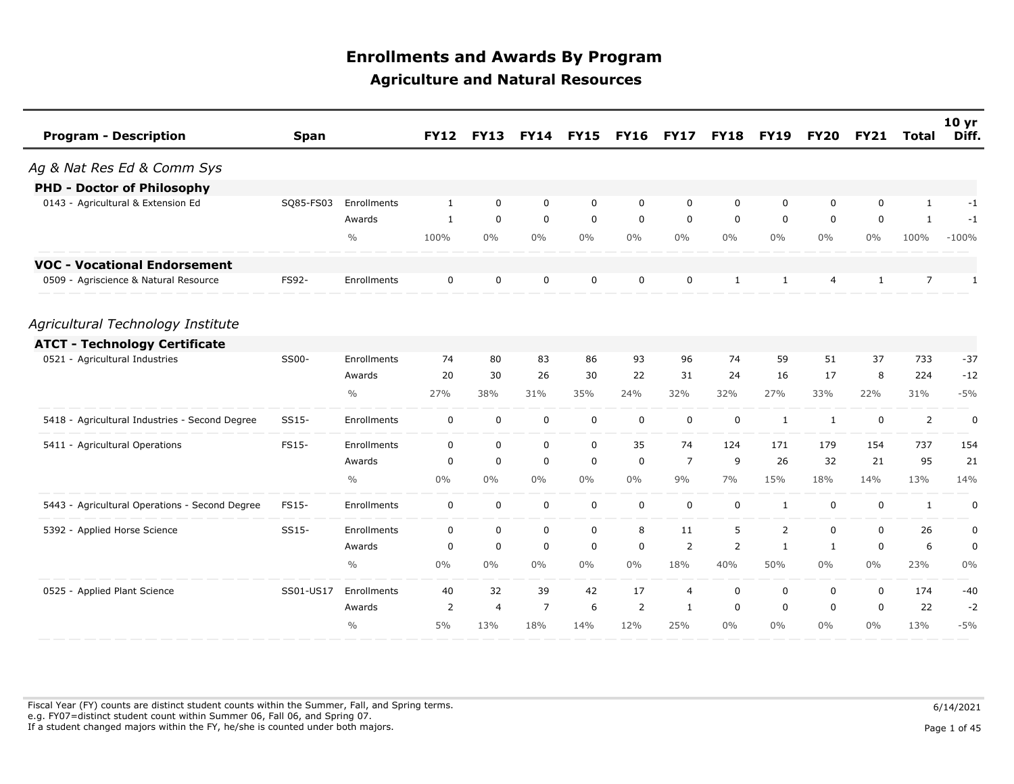| <b>Program - Description</b>                   | <b>Span</b> |               | <b>FY12</b>  | <b>FY13</b>    | <b>FY14</b>    | <b>FY15</b> | <b>FY16</b> | <b>FY17</b>    | <b>FY18</b>    | <b>FY19</b>  | <b>FY20</b>  | <b>FY21</b>  | <b>Total</b>   | 10 <sub>yr</sub><br>Diff. |
|------------------------------------------------|-------------|---------------|--------------|----------------|----------------|-------------|-------------|----------------|----------------|--------------|--------------|--------------|----------------|---------------------------|
| Ag & Nat Res Ed & Comm Sys                     |             |               |              |                |                |             |             |                |                |              |              |              |                |                           |
| <b>PHD - Doctor of Philosophy</b>              |             |               |              |                |                |             |             |                |                |              |              |              |                |                           |
| 0143 - Agricultural & Extension Ed             | SQ85-FS03   | Enrollments   | $\mathbf{1}$ | $\mathbf 0$    | $\mathbf 0$    | $\mathbf 0$ | 0           | $\mathbf 0$    | 0              | $\mathbf 0$  | 0            | $\mathbf 0$  | $\mathbf{1}$   | $-1$                      |
|                                                |             | Awards        | $\mathbf{1}$ | $\mathbf 0$    | $\mathbf 0$    | $\mathbf 0$ | 0           | 0              | 0              | 0            | 0            | 0            | 1              | -1                        |
|                                                |             | $\frac{0}{0}$ | 100%         | $0\%$          | $0\%$          | $0\%$       | $0\%$       | $0\%$          | $0\%$          | $0\%$        | $0\%$        | 0%           | 100%           | $-100%$                   |
| <b>VOC - Vocational Endorsement</b>            |             |               |              |                |                |             |             |                |                |              |              |              |                |                           |
| 0509 - Agriscience & Natural Resource          | FS92-       | Enrollments   | 0            | 0              | 0              | 0           | 0           | $\mathbf 0$    | $\mathbf{1}$   | $\mathbf{1}$ | 4            | $\mathbf{1}$ | $\overline{7}$ | $\mathbf{1}$              |
| Agricultural Technology Institute              |             |               |              |                |                |             |             |                |                |              |              |              |                |                           |
| <b>ATCT - Technology Certificate</b>           |             |               |              |                |                |             |             |                |                |              |              |              |                |                           |
| 0521 - Agricultural Industries                 | SS00-       | Enrollments   | 74           | 80             | 83             | 86          | 93          | 96             | 74             | 59           | 51           | 37           | 733            | $-37$                     |
|                                                |             | Awards        | 20           | 30             | 26             | 30          | 22          | 31             | 24             | 16           | 17           | 8            | 224            | $-12$                     |
|                                                |             | $\frac{0}{0}$ | 27%          | 38%            | 31%            | 35%         | 24%         | 32%            | 32%            | 27%          | 33%          | 22%          | 31%            | $-5%$                     |
| 5418 - Agricultural Industries - Second Degree | SS15-       | Enrollments   | $\mathbf 0$  | $\mathbf 0$    | $\mathbf 0$    | $\mathbf 0$ | $\mathbf 0$ | $\mathbf 0$    | $\mathbf 0$    | $\mathbf{1}$ | $\mathbf{1}$ | $\mathbf 0$  | $\overline{2}$ | 0                         |
| 5411 - Agricultural Operations                 | FS15-       | Enrollments   | 0            | $\mathbf 0$    | $\mathbf 0$    | $\mathbf 0$ | 35          | 74             | 124            | 171          | 179          | 154          | 737            | 154                       |
|                                                |             | Awards        | 0            | $\mathbf 0$    | $\mathbf 0$    | $\mathbf 0$ | $\mathbf 0$ | $\overline{7}$ | 9              | 26           | 32           | 21           | 95             | 21                        |
|                                                |             | $\frac{0}{0}$ | $0\%$        | $0\%$          | $0\%$          | $0\%$       | $0\%$       | 9%             | 7%             | 15%          | 18%          | 14%          | 13%            | 14%                       |
| 5443 - Agricultural Operations - Second Degree | FS15-       | Enrollments   | $\mathbf 0$  | $\mathbf 0$    | $\mathbf 0$    | $\mathbf 0$ | $\mathbf 0$ | $\mathbf 0$    | $\mathbf 0$    | $\mathbf{1}$ | 0            | $\mathbf 0$  | $\mathbf{1}$   | $\pmb{0}$                 |
| 5392 - Applied Horse Science                   | SS15-       | Enrollments   | 0            | $\mathbf 0$    | $\mathbf 0$    | $\mathbf 0$ | 8           | 11             | 5              | 2            | 0            | $\mathbf 0$  | 26             | 0                         |
|                                                |             | Awards        | 0            | $\mathbf 0$    | $\mathbf 0$    | $\mathbf 0$ | $\mathbf 0$ | $\overline{2}$ | $\overline{2}$ | $\mathbf{1}$ | $\mathbf{1}$ | $\mathbf 0$  | 6              | $\pmb{0}$                 |
|                                                |             | $\frac{0}{0}$ | $0\%$        | $0\%$          | $0\%$          | $0\%$       | $0\%$       | 18%            | 40%            | 50%          | $0\%$        | $0\%$        | 23%            | $0\%$                     |
| 0525 - Applied Plant Science                   | SS01-US17   | Enrollments   | 40           | 32             | 39             | 42          | 17          | $\overline{4}$ | 0              | 0            | 0            | $\mathbf 0$  | 174            | $-40$                     |
|                                                |             | Awards        | 2            | $\overline{4}$ | $\overline{7}$ | 6           | 2           | 1              | 0              | $\mathbf 0$  | 0            | $\mathbf 0$  | 22             | $-2$                      |
|                                                |             | $\frac{0}{0}$ | 5%           | 13%            | 18%            | 14%         | 12%         | 25%            | $0\%$          | $0\%$        | $0\%$        | 0%           | 13%            | $-5%$                     |

Fiscal Year (FY) counts are distinct student counts within the Summer, Fall, and Spring terms.  $6/14/2021$  e.g. FY07=distinct student count within Summer 06, Fall 06, and Spring 07. If a student changed majors within the FY, he/she is counted under both majors. Page 1 of 45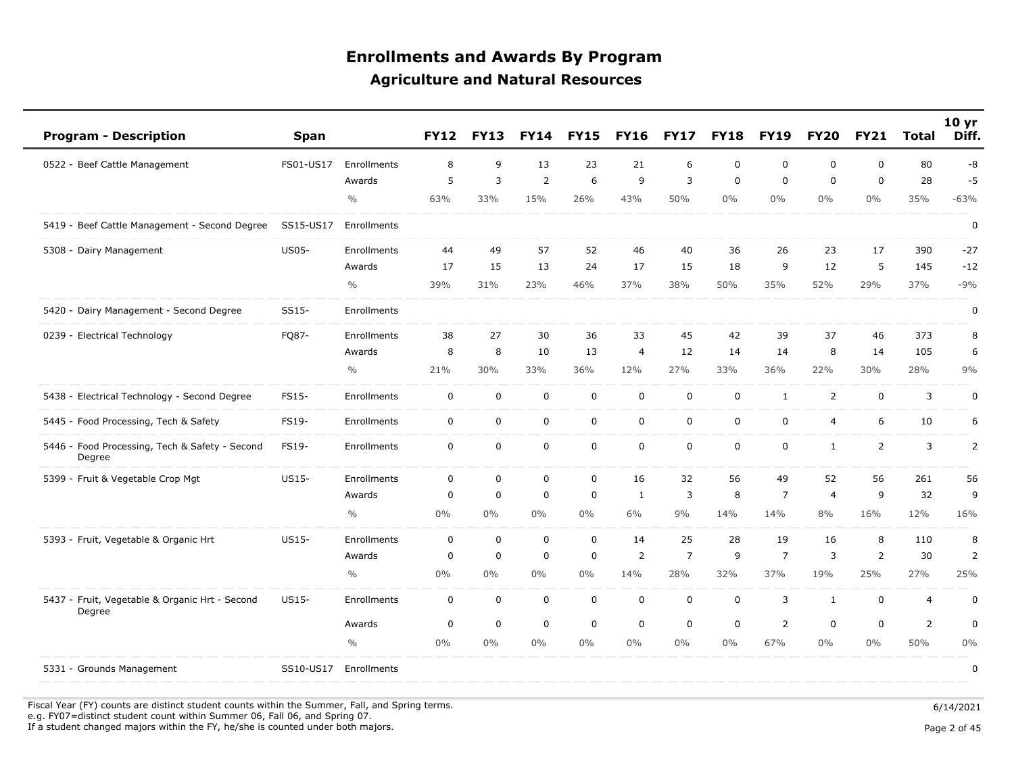| <b>Program - Description</b>                             | <b>Span</b>  |               | <b>FY12</b>             | <b>FY13</b> | <b>FY14</b> | <b>FY15</b>         | <b>FY16</b>    | <b>FY17</b>    | <b>FY18</b> | <b>FY19</b>    | <b>FY20</b>    | <b>FY21</b>    | <b>Total</b>   | 10 <sub>yr</sub><br>Diff. |
|----------------------------------------------------------|--------------|---------------|-------------------------|-------------|-------------|---------------------|----------------|----------------|-------------|----------------|----------------|----------------|----------------|---------------------------|
| 0522 - Beef Cattle Management                            | FS01-US17    | Enrollments   | 8                       | 9           | 13          | 23                  | 21             | 6              | $\mathbf 0$ | $\mathbf 0$    | $\mathbf 0$    | 0              | 80             | -8                        |
|                                                          |              | Awards        | 5                       | 3           | 2           | 6                   | 9              | 3              | $\mathbf 0$ | $\mathbf 0$    | $\mathbf 0$    | 0              | 28             | $-5$                      |
|                                                          |              | $\frac{0}{0}$ | 63%                     | 33%         | 15%         | 26%                 | 43%            | 50%            | $0\%$       | $0\%$          | $0\%$          | $0\%$          | 35%            | $-63%$                    |
| 5419 - Beef Cattle Management - Second Degree            | SS15-US17    | Enrollments   |                         |             |             |                     |                |                |             |                |                |                |                | 0                         |
| 5308 - Dairy Management                                  | <b>US05-</b> | Enrollments   | 44                      | 49          | 57          | 52                  | 46             | 40             | 36          | 26             | 23             | 17             | 390            | $-27$                     |
|                                                          |              | Awards        | 17                      | 15          | 13          | 24                  | 17             | 15             | 18          | 9              | 12             | 5              | 145            | $-12$                     |
|                                                          |              | $\frac{0}{0}$ | 39%                     | 31%         | 23%         | 46%                 | 37%            | 38%            | 50%         | 35%            | 52%            | 29%            | 37%            | $-9%$                     |
| 5420 - Dairy Management - Second Degree                  | SS15-        | Enrollments   |                         |             |             |                     |                |                |             |                |                |                |                | 0                         |
| 0239 - Electrical Technology                             | FQ87-        | Enrollments   | 38                      | 27          | 30          | 36                  | 33             | 45             | 42          | 39             | 37             | 46             | 373            | 8                         |
|                                                          |              | Awards        | 8                       | 8           | 10          | 13                  | 4              | 12             | 14          | 14             | 8              | 14             | 105            | 6                         |
|                                                          |              | $\frac{0}{0}$ | 21%                     | 30%         | 33%         | 36%                 | 12%            | 27%            | 33%         | 36%            | 22%            | 30%            | 28%            | 9%                        |
| 5438 - Electrical Technology - Second Degree             | <b>FS15-</b> | Enrollments   | 0                       | 0           | $\mathbf 0$ | $\pmb{0}$           | 0              | $\mathbf 0$    | $\mathbf 0$ | $\mathbf{1}$   | $\overline{2}$ | 0              | 3              | 0                         |
| 5445 - Food Processing, Tech & Safety                    | FS19-        | Enrollments   | 0                       | 0           | $\mathbf 0$ | $\mathsf{O}\xspace$ | $\mathbf 0$    | $\mathbf 0$    | $\mathbf 0$ | $\mathbf 0$    | $\overline{4}$ | 6              | 10             | 6                         |
| 5446 - Food Processing, Tech & Safety - Second<br>Degree | FS19-        | Enrollments   | $\mathsf{O}\phantom{0}$ | $\mathbf 0$ | 0           | $\mathbf 0$         | $\mathbf 0$    | $\mathsf 0$    | $\mathbf 0$ | $\mathbf 0$    | $\mathbf{1}$   | $\overline{2}$ | 3              | $\overline{2}$            |
| 5399 - Fruit & Vegetable Crop Mgt                        | US15-        | Enrollments   | 0                       | 0           | $\mathsf 0$ | $\pmb{0}$           | 16             | 32             | 56          | 49             | 52             | 56             | 261            | 56                        |
|                                                          |              | Awards        | 0                       | 0           | $\mathbf 0$ | $\mathbf 0$         | 1              | 3              | 8           | $\overline{7}$ | $\overline{4}$ | 9              | 32             | 9                         |
|                                                          |              | $\frac{0}{0}$ | $0\%$                   | $0\%$       | 0%          | $0\%$               | 6%             | 9%             | 14%         | 14%            | 8%             | 16%            | 12%            | 16%                       |
| 5393 - Fruit, Vegetable & Organic Hrt                    | US15-        | Enrollments   | 0                       | 0           | $\mathbf 0$ | 0                   | 14             | 25             | 28          | 19             | 16             | 8              | 110            | 8                         |
|                                                          |              | Awards        | 0                       | $\mathbf 0$ | $\mathbf 0$ | $\pmb{0}$           | $\overline{2}$ | $\overline{7}$ | 9           | $\overline{7}$ | 3              | $\overline{2}$ | 30             | $\overline{2}$            |
|                                                          |              | $\frac{0}{0}$ | $0\%$                   | $0\%$       | 0%          | $0\%$               | 14%            | 28%            | 32%         | 37%            | 19%            | 25%            | 27%            | 25%                       |
| 5437 - Fruit, Vegetable & Organic Hrt - Second<br>Degree | US15-        | Enrollments   | 0                       | $\mathbf 0$ | $\mathsf 0$ | $\pmb{0}$           | $\mathbf 0$    | $\mathbf 0$    | $\mathbf 0$ | 3              | 1              | 0              | $\overline{4}$ | $\pmb{0}$                 |
|                                                          |              | Awards        | 0                       | 0           | $\mathbf 0$ | $\mathbf 0$         | $\mathbf 0$    | $\mathbf 0$    | $\mathbf 0$ | $\overline{2}$ | $\mathbf 0$    | $\mathbf 0$    | $\overline{2}$ | 0                         |
|                                                          |              | $\frac{0}{0}$ | $0\%$                   | $0\%$       | 0%          | $0\%$               | 0%             | $0\%$          | $0\%$       | 67%            | $0\%$          | $0\%$          | 50%            | 0%                        |
| 5331 - Grounds Management                                | SS10-US17    | Enrollments   |                         |             |             |                     |                |                |             |                |                |                |                | 0                         |

Fiscal Year (FY) counts are distinct student counts within the Summer, Fall, and Spring terms.  $6/14/2021$ e.g. FY07=distinct student count within Summer 06, Fall 06, and Spring 07.

If a student changed majors within the FY, he/she is counted under both majors. Page 2 of 45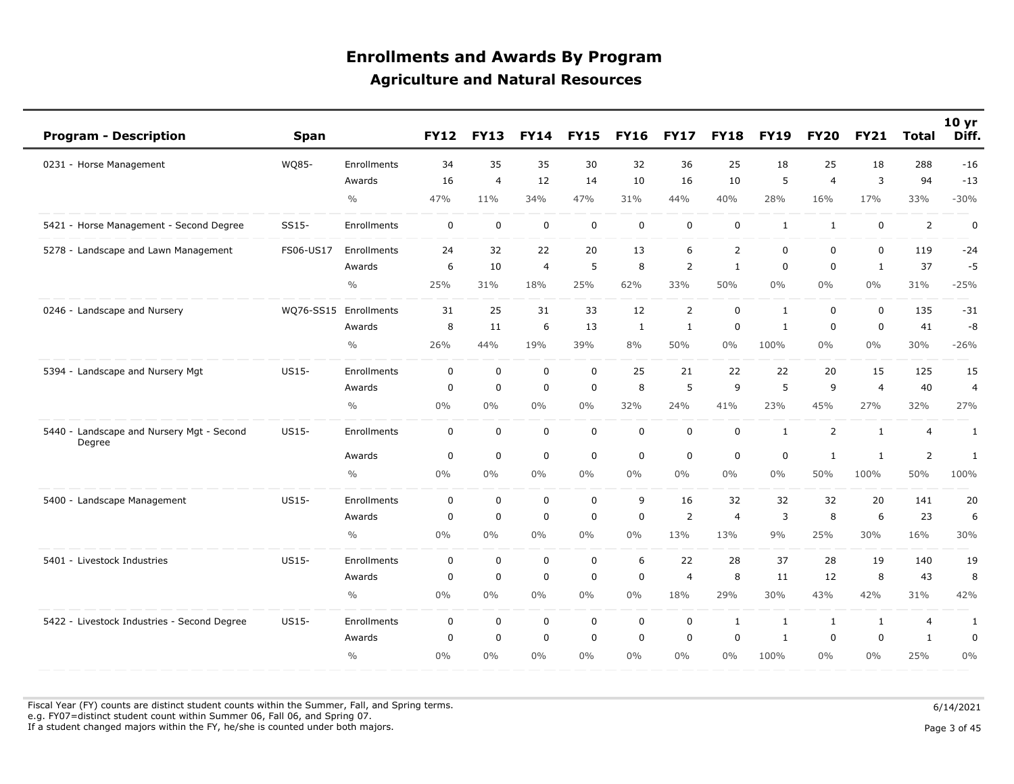| <b>Program - Description</b>                        | <b>Span</b>  |                    | <b>FY12</b> | <b>FY13</b>    | <b>FY14</b> | <b>FY15</b> | <b>FY16</b> | <b>FY17</b>    | <b>FY18</b>    | <b>FY19</b>    | <b>FY20</b>    | <b>FY21</b>    | <b>Total</b>   | 10 <sub>yr</sub><br>Diff. |
|-----------------------------------------------------|--------------|--------------------|-------------|----------------|-------------|-------------|-------------|----------------|----------------|----------------|----------------|----------------|----------------|---------------------------|
| 0231 - Horse Management                             | WQ85-        | Enrollments        | 34          | 35             | 35          | 30          | 32          | 36             | 25             | 18             | 25             | 18             | 288            | $-16$                     |
|                                                     |              | Awards             | 16          | $\overline{4}$ | 12          | 14          | 10          | 16             | 10             | 5              | $\overline{4}$ | 3              | 94             | $-13$                     |
|                                                     |              | $\frac{0}{0}$      | 47%         | 11%            | 34%         | 47%         | 31%         | 44%            | 40%            | 28%            | 16%            | 17%            | 33%            | $-30%$                    |
| 5421 - Horse Management - Second Degree             | SS15-        | <b>Enrollments</b> | $\mathbf 0$ | $\mathbf 0$    | $\mathbf 0$ | $\mathbf 0$ | $\mathbf 0$ | $\mathbf 0$    | $\mathbf 0$    | 1              | 1              | $\mathbf 0$    | 2              | $\mathbf 0$               |
| 5278 - Landscape and Lawn Management                | FS06-US17    | Enrollments        | 24          | 32             | 22          | 20          | 13          | 6              | $\overline{2}$ | $\mathbf 0$    | $\mathbf 0$    | $\mathbf 0$    | 119            | $-24$                     |
|                                                     |              | Awards             | 6           | 10             | 4           | 5           | 8           | $\overline{2}$ | 1              | $\mathbf 0$    | 0              | 1              | 37             | $-5$                      |
|                                                     |              | $\frac{0}{0}$      | 25%         | 31%            | 18%         | 25%         | 62%         | 33%            | 50%            | $0\%$          | $0\%$          | $0\%$          | 31%            | $-25%$                    |
| 0246 - Landscape and Nursery                        | WQ76-SS15    | Enrollments        | 31          | 25             | 31          | 33          | 12          | $\overline{2}$ | $\mathbf 0$    | $\mathbf{1}$   | $\mathbf 0$    | $\mathbf 0$    | 135            | $-31$                     |
|                                                     |              | Awards             | 8           | 11             | 6           | 13          | 1           | 1              | 0              | 1              | $\mathbf 0$    | 0              | 41             | -8                        |
|                                                     |              | $\frac{0}{0}$      | 26%         | 44%            | 19%         | 39%         | 8%          | 50%            | 0%             | 100%           | $0\%$          | $0\%$          | 30%            | $-26%$                    |
| 5394 - Landscape and Nursery Mgt                    | <b>US15-</b> | Enrollments        | $\mathbf 0$ | $\mathbf 0$    | $\mathbf 0$ | $\mathbf 0$ | 25          | 21             | 22             | 22             | 20             | 15             | 125            | 15                        |
|                                                     |              | Awards             | $\mathbf 0$ | $\mathbf 0$    | $\Omega$    | $\mathbf 0$ | 8           | 5              | 9              | 5              | 9              | $\overline{4}$ | 40             | $\overline{4}$            |
|                                                     |              | $\frac{0}{0}$      | $0\%$       | $0\%$          | $0\%$       | $0\%$       | 32%         | 24%            | 41%            | 23%            | 45%            | 27%            | 32%            | 27%                       |
| 5440 - Landscape and Nursery Mgt - Second<br>Degree | <b>US15-</b> | Enrollments        | $\mathbf 0$ | 0              | $\mathbf 0$ | $\mathbf 0$ | $\mathbf 0$ | $\pmb{0}$      | $\mathbf 0$    | $\mathbf{1}$   | 2              | 1              | 4              | 1                         |
|                                                     |              | Awards             | $\mathbf 0$ | $\mathbf 0$    | $\mathbf 0$ | $\mathbf 0$ | $\mathbf 0$ | $\mathbf 0$    | $\mathbf 0$    | $\overline{0}$ | 1              | 1              | $\overline{2}$ | $\mathbf{1}$              |
|                                                     |              | $\frac{0}{0}$      | $0\%$       | $0\%$          | $0\%$       | $0\%$       | $0\%$       | $0\%$          | $0\%$          | $0\%$          | 50%            | 100%           | 50%            | 100%                      |
| 5400 - Landscape Management                         | US15-        | Enrollments        | $\mathbf 0$ | $\mathbf 0$    | $\mathbf 0$ | $\mathbf 0$ | 9           | 16             | 32             | 32             | 32             | 20             | 141            | 20                        |
|                                                     |              | Awards             | $\mathbf 0$ | $\mathbf 0$    | $\mathbf 0$ | $\mathbf 0$ | $\mathbf 0$ | $\overline{2}$ | $\overline{4}$ | 3              | 8              | 6              | 23             | 6                         |
|                                                     |              | $\frac{0}{0}$      | $0\%$       | $0\%$          | $0\%$       | 0%          | 0%          | 13%            | 13%            | 9%             | 25%            | 30%            | 16%            | 30%                       |
| 5401 - Livestock Industries                         | <b>US15-</b> | Enrollments        | $\mathbf 0$ | $\mathbf 0$    | $\mathbf 0$ | $\pmb{0}$   | 6           | 22             | 28             | 37             | 28             | 19             | 140            | 19                        |
|                                                     |              | Awards             | $\mathbf 0$ | $\mathbf 0$    | $\mathbf 0$ | $\mathbf 0$ | $\mathbf 0$ | $\overline{4}$ | 8              | 11             | 12             | 8              | 43             | 8                         |
|                                                     |              | $\frac{0}{0}$      | 0%          | $0\%$          | $0\%$       | $0\%$       | 0%          | 18%            | 29%            | 30%            | 43%            | 42%            | 31%            | 42%                       |
| 5422 - Livestock Industries - Second Degree         | <b>US15-</b> | Enrollments        | $\mathbf 0$ | $\mathbf 0$    | $\mathbf 0$ | $\mathbf 0$ | $\mathbf 0$ | $\mathbf 0$    | $\mathbf{1}$   | $\mathbf{1}$   | $\mathbf{1}$   | 1              | $\overline{4}$ | $\mathbf{1}$              |
|                                                     |              | Awards             | $\mathbf 0$ | $\mathbf 0$    | $\mathbf 0$ | $\mathbf 0$ | $\mathbf 0$ | $\mathbf 0$    | $\mathbf 0$    | $\mathbf{1}$   | $\mathbf 0$    | $\mathbf 0$    | $\mathbf{1}$   | $\mathbf 0$               |
|                                                     |              | $\frac{0}{0}$      | 0%          | $0\%$          | $0\%$       | 0%          | 0%          | $0\%$          | $0\%$          | 100%           | $0\%$          | $0\%$          | 25%            | 0%                        |

Fiscal Year (FY) counts are distinct student counts within the Summer, Fall, and Spring terms.  $6/14/2021$ e.g. FY07=distinct student count within Summer 06, Fall 06, and Spring 07.

If a student changed majors within the FY, he/she is counted under both majors. Page 3 of 45

Page 3 of 45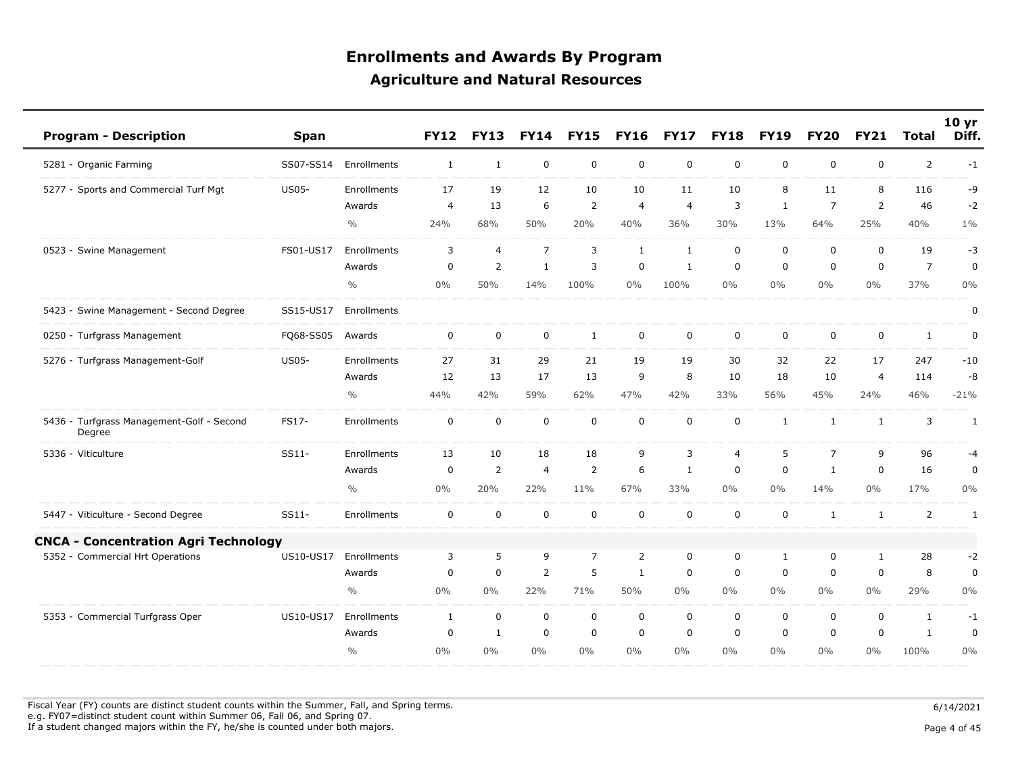| <b>Program - Description</b>                        | Span         |               | <b>FY12</b>  | <b>FY13</b>    | <b>FY14</b>    | <b>FY15</b>    | <b>FY16</b>    | <b>FY17</b>    | <b>FY18</b>    | <b>FY19</b>  | <b>FY20</b>    | <b>FY21</b>    | <b>Total</b>   | 10 <sub>yr</sub><br>Diff. |
|-----------------------------------------------------|--------------|---------------|--------------|----------------|----------------|----------------|----------------|----------------|----------------|--------------|----------------|----------------|----------------|---------------------------|
| 5281 - Organic Farming                              | SS07-SS14    | Enrollments   | $\mathbf{1}$ | 1              | $\mathbf 0$    | 0              | $\mathbf 0$    | $\mathbf 0$    | $\mathbf 0$    | $\mathbf 0$  | $\mathbf 0$    | 0              | $\overline{2}$ | $-1$                      |
| 5277 - Sports and Commercial Turf Mgt               | <b>US05-</b> | Enrollments   | 17           | 19             | 12             | 10             | 10             | 11             | 10             | 8            | 11             | 8              | 116            | -9                        |
|                                                     |              | Awards        | 4            | 13             | 6              | $\overline{2}$ | $\overline{4}$ | $\overline{4}$ | 3              | $\mathbf{1}$ | $\overline{7}$ | 2              | 46             | $-2$                      |
|                                                     |              | $\frac{0}{0}$ | 24%          | 68%            | 50%            | 20%            | 40%            | 36%            | 30%            | 13%          | 64%            | 25%            | 40%            | $1\%$                     |
| 0523 - Swine Management                             | FS01-US17    | Enrollments   | 3            | $\overline{4}$ | $\overline{7}$ | 3              | $\mathbf{1}$   | $\mathbf{1}$   | $\mathbf 0$    | $\mathbf 0$  | $\mathbf 0$    | $\mathbf 0$    | 19             | $-3$                      |
|                                                     |              | Awards        | $\mathbf 0$  | 2              | $\mathbf{1}$   | 3              | $\Omega$       | $\mathbf{1}$   | $\mathbf 0$    | $\mathbf 0$  | $\Omega$       | $\mathbf 0$    | $\overline{7}$ | $\mathbf 0$               |
|                                                     |              | $\frac{0}{0}$ | $0\%$        | 50%            | 14%            | 100%           | 0%             | 100%           | $0\%$          | $0\%$        | $0\%$          | $0\%$          | 37%            | 0%                        |
| 5423 - Swine Management - Second Degree             | SS15-US17    | Enrollments   |              |                |                |                |                |                |                |              |                |                |                | 0                         |
| 0250 - Turfgrass Management                         | FQ68-SS05    | Awards        | 0            | 0              | $\mathbf 0$    | $\mathbf{1}$   | $\mathbf 0$    | $\mathbf 0$    | $\mathbf 0$    | $\mathbf 0$  | $\mathbf 0$    | $\mathbf 0$    | $\mathbf{1}$   | 0                         |
| 5276 - Turfgrass Management-Golf                    | <b>US05-</b> | Enrollments   | 27           | 31             | 29             | 21             | 19             | 19             | 30             | 32           | 22             | 17             | 247            | $-10$                     |
|                                                     |              | Awards        | 12           | 13             | 17             | 13             | 9              | 8              | 10             | 18           | 10             | $\overline{4}$ | 114            | -8                        |
|                                                     |              | $\frac{0}{0}$ | 44%          | 42%            | 59%            | 62%            | 47%            | 42%            | 33%            | 56%          | 45%            | 24%            | 46%            | $-21%$                    |
| 5436 - Turfgrass Management-Golf - Second<br>Degree | FS17-        | Enrollments   | $\pmb{0}$    | $\mathbf 0$    | $\mathbf 0$    | $\mathbf 0$    | $\mathbf 0$    | $\mathbf 0$    | $\mathbf 0$    | 1            | 1              | 1              | 3              | 1                         |
| 5336 - Viticulture                                  | SS11-        | Enrollments   | 13           | 10             | 18             | 18             | 9              | 3              | $\overline{4}$ | 5            | $\overline{7}$ | 9              | 96             | $-4$                      |
|                                                     |              | Awards        | $\mathbf 0$  | 2              | $\overline{4}$ | $\overline{2}$ | 6              | 1              | $\mathbf 0$    | $\mathbf 0$  | $\mathbf{1}$   | $\mathbf 0$    | 16             | $\pmb{0}$                 |
|                                                     |              | $\frac{0}{0}$ | $0\%$        | 20%            | 22%            | 11%            | 67%            | 33%            | $0\%$          | $0\%$        | 14%            | $0\%$          | 17%            | 0%                        |
| 5447 - Viticulture - Second Degree                  | SS11-        | Enrollments   | $\mathbf 0$  | $\mathbf 0$    | $\mathbf 0$    | $\mathbf 0$    | $\mathbf 0$    | $\Omega$       | $\mathbf 0$    | $\mathbf 0$  | 1              | $\mathbf{1}$   | $\overline{2}$ | 1                         |
| - Concentration Agri Technology<br><b>CNCA</b>      |              |               |              |                |                |                |                |                |                |              |                |                |                |                           |
| 5352 - Commercial Hrt Operations                    | US10-US17    | Enrollments   | 3            | 5              | 9              | $\overline{7}$ | $\overline{2}$ | $\mathbf 0$    | $\mathbf 0$    | $\mathbf{1}$ | $\mathbf 0$    | $\mathbf{1}$   | 28             | $-2$                      |
|                                                     |              | Awards        | 0            | $\mathbf 0$    | 2              | 5              | 1              | $\mathbf 0$    | $\mathbf 0$    | $\mathbf 0$  | $\Omega$       | 0              | 8              | $\mathbf 0$               |
|                                                     |              | $\frac{0}{0}$ | $0\%$        | 0%             | 22%            | 71%            | 50%            | $0\%$          | $0\%$          | $0\%$        | $0\%$          | $0\%$          | 29%            | $0\%$                     |
| 5353 - Commercial Turfgrass Oper                    | US10-US17    | Enrollments   | $\mathbf{1}$ | 0              | $\mathbf 0$    | $\mathbf 0$    | 0              | $\mathbf 0$    | $\mathbf 0$    | 0            | $\mathbf 0$    | $\mathbf 0$    | $\mathbf{1}$   | -1                        |
|                                                     |              | Awards        | $\mathbf 0$  | 1              | $\mathbf 0$    | $\mathbf 0$    | $\mathbf 0$    | $\mathbf 0$    | $\mathbf 0$    | $\mathbf 0$  | $\mathbf 0$    | $\mathbf 0$    | $\mathbf{1}$   | $\pmb{0}$                 |
|                                                     |              | $\frac{0}{0}$ | $0\%$        | 0%             | 0%             | $0\%$          | 0%             | $0\%$          | $0\%$          | $0\%$        | $0\%$          | $0\%$          | 100%           | 0%                        |

Fiscal Year (FY) counts are distinct student counts within the Summer, Fall, and Spring terms.  $6/14/2021$  e.g. FY07=distinct student count within Summer 06, Fall 06, and Spring 07. If a student changed majors within the FY, he/she is counted under both majors. Page 4 of 45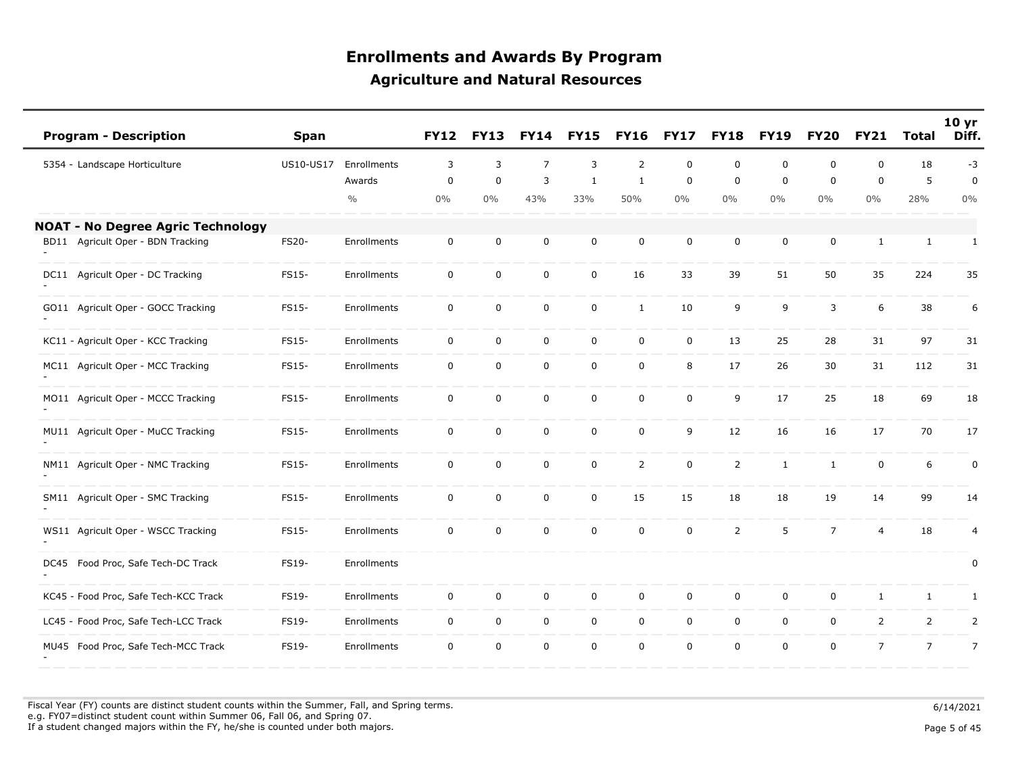| <b>Program - Description</b>             | <b>Span</b> |               | <b>FY12</b> | <b>FY13</b> | <b>FY14</b>    | <b>FY15</b>  | <b>FY16</b>    | <b>FY17</b> | <b>FY18</b>    | <b>FY19</b>  | <b>FY20</b>    | <b>FY21</b>    | Total          | 10 <sub>yr</sub><br>Diff. |
|------------------------------------------|-------------|---------------|-------------|-------------|----------------|--------------|----------------|-------------|----------------|--------------|----------------|----------------|----------------|---------------------------|
| 5354 - Landscape Horticulture            | US10-US17   | Enrollments   | 3           | 3           | $\overline{7}$ | 3            | $\overline{2}$ | $\mathbf 0$ | $\mathbf 0$    | $\mathbf 0$  | $\mathbf 0$    | $\mathbf 0$    | 18             | $-3$                      |
|                                          |             | Awards        | $\mathbf 0$ | 0           | 3              | $\mathbf{1}$ | $\mathbf{1}$   | $\mathbf 0$ | $\mathbf 0$    | $\mathbf 0$  | $\mathbf 0$    | $\mathbf 0$    | 5              | $\mathbf 0$               |
|                                          |             | $\frac{0}{0}$ | $0\%$       | 0%          | 43%            | 33%          | 50%            | 0%          | $0\%$          | $0\%$        | $0\%$          | $0\%$          | 28%            | $0\%$                     |
| <b>NOAT - No Degree Agric Technology</b> |             |               |             |             |                |              |                |             |                |              |                |                |                |                           |
| BD11 Agricult Oper - BDN Tracking        | FS20-       | Enrollments   | $\mathbf 0$ | 0           | 0              | $\mathbf 0$  | $\mathbf 0$    | $\mathbf 0$ | $\mathbf 0$    | $\mathbf 0$  | $\mathbf 0$    | 1              | $\mathbf{1}$   | $\mathbf{1}$              |
| DC11 Agricult Oper - DC Tracking         | FS15-       | Enrollments   | $\mathbf 0$ | $\pmb{0}$   | $\mathsf 0$    | $\mathbf 0$  | 16             | 33          | 39             | 51           | 50             | 35             | 224            | 35                        |
| GO11 Agricult Oper - GOCC Tracking       | FS15-       | Enrollments   | $\mathbf 0$ | 0           | $\mathbf 0$    | $\mathbf 0$  | $\mathbf{1}$   | 10          | 9              | 9            | 3              | 6              | 38             | 6                         |
| KC11 - Agricult Oper - KCC Tracking      | FS15-       | Enrollments   | $\mathbf 0$ | $\pmb{0}$   | $\mathsf 0$    | 0            | $\mathbf 0$    | $\mathsf 0$ | 13             | 25           | 28             | 31             | 97             | 31                        |
| MC11 Agricult Oper - MCC Tracking        | FS15-       | Enrollments   | 0           | 0           | 0              | 0            | $\mathbf 0$    | 8           | 17             | 26           | 30             | 31             | 112            | 31                        |
| MO11 Agricult Oper - MCCC Tracking       | FS15-       | Enrollments   | $\mathbf 0$ | 0           | $\mathbf 0$    | $\mathbf 0$  | $\mathbf 0$    | $\mathbf 0$ | 9              | 17           | 25             | 18             | 69             | 18                        |
| MU11 Agricult Oper - MuCC Tracking       | FS15-       | Enrollments   | $\mathbf 0$ | 0           | $\mathsf 0$    | $\mathbf 0$  | $\mathbf 0$    | 9           | 12             | 16           | 16             | 17             | 70             | 17                        |
| NM11 Agricult Oper - NMC Tracking        | FS15-       | Enrollments   | $\mathbf 0$ | 0           | $\mathbf 0$    | $\mathbf 0$  | $\overline{2}$ | $\mathbf 0$ | $\overline{2}$ | $\mathbf{1}$ | $\mathbf{1}$   | $\mathbf 0$    | 6              | $\pmb{0}$                 |
| SM11 Agricult Oper - SMC Tracking        | FS15-       | Enrollments   | $\mathbf 0$ | 0           | 0              | 0            | 15             | 15          | 18             | 18           | 19             | 14             | 99             | 14                        |
| WS11 Agricult Oper - WSCC Tracking       | FS15-       | Enrollments   | $\mathbf 0$ | $\mathbf 0$ | $\mathbf 0$    | $\mathbf 0$  | $\mathbf 0$    | $\mathbf 0$ | $\overline{2}$ | 5            | $\overline{7}$ | $\overline{4}$ | 18             | $\overline{4}$            |
| DC45 Food Proc, Safe Tech-DC Track       | FS19-       | Enrollments   |             |             |                |              |                |             |                |              |                |                |                | 0                         |
| KC45 - Food Proc, Safe Tech-KCC Track    | FS19-       | Enrollments   | $\mathbf 0$ | 0           | $\mathbf 0$    | $\mathbf 0$  | $\mathbf 0$    | $\mathbf 0$ | $\mathbf 0$    | $\mathbf 0$  | $\mathbf 0$    | 1              | $\mathbf{1}$   | 1                         |
| LC45 - Food Proc, Safe Tech-LCC Track    | FS19-       | Enrollments   | $\mathbf 0$ | $\pmb{0}$   | $\mathbf 0$    | $\mathbf 0$  | $\mathbf 0$    | $\pmb{0}$   | $\mathbf 0$    | $\mathsf 0$  | $\mathsf{O}$   | $\overline{2}$ | $\overline{2}$ | $\overline{2}$            |
| MU45 Food Proc, Safe Tech-MCC Track      | FS19-       | Enrollments   | $\mathbf 0$ | 0           | $\mathbf 0$    | $\mathbf 0$  | $\mathbf 0$    | $\mathbf 0$ | $\mathbf 0$    | $\mathbf 0$  | 0              | $\overline{7}$ | $\overline{7}$ | $\overline{7}$            |

Fiscal Year (FY) counts are distinct student counts within the Summer, Fall, and Spring terms.  $6/14/2021$  e.g. FY07=distinct student count within Summer 06, Fall 06, and Spring 07. If a student changed majors within the FY, he/she is counted under both majors. Page 5 of 45

Page 5 of 45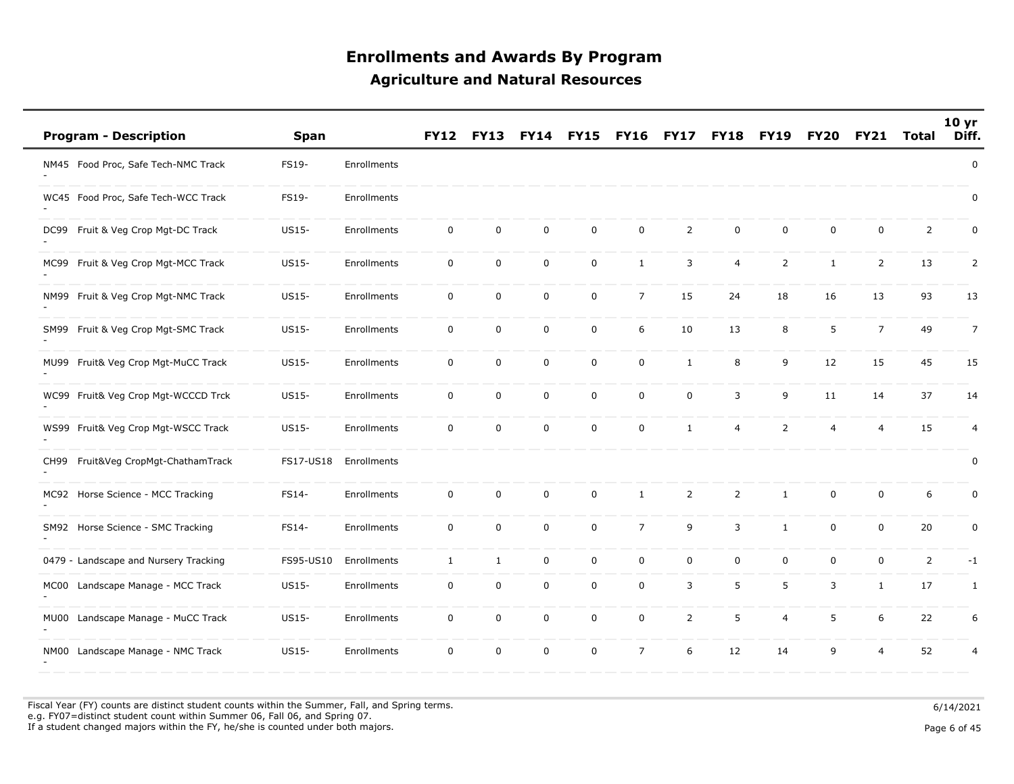| <b>Program - Description</b>           | <b>Span</b> |             | FY12             | <b>FY13</b>  |             |             | FY16           | FY17           | <b>FY18</b>    | <b>FY19</b>    | FY <sub>20</sub> | <b>FY21</b>    | <b>Total</b>   | 10 <sub>yr</sub><br>Diff. |
|----------------------------------------|-------------|-------------|------------------|--------------|-------------|-------------|----------------|----------------|----------------|----------------|------------------|----------------|----------------|---------------------------|
| NM45 Food Proc, Safe Tech-NMC Track    | FS19-       | Enrollments |                  |              |             |             |                |                |                |                |                  |                |                | $\pmb{0}$                 |
| WC45 Food Proc, Safe Tech-WCC Track    | FS19-       | Enrollments |                  |              |             |             |                |                |                |                |                  |                |                | $\pmb{0}$                 |
| Fruit & Veg Crop Mgt-DC Track<br>DC99  | US15-       | Enrollments | $\boldsymbol{0}$ | $\mathbf 0$  | $\mathbf 0$ | 0           | 0              | 2              | $\mathbf 0$    | $\mathbf 0$    | $\mathbf 0$      | $\mathbf 0$    | $\overline{2}$ | 0                         |
| Fruit & Veg Crop Mgt-MCC Track<br>MC99 | US15-       | Enrollments | $\mathbf 0$      | $\mathbf 0$  | $\mathbf 0$ | 0           | $\mathbf{1}$   | 3              | 4              | 2              | $\mathbf{1}$     | 2              | 13             | 2                         |
| Fruit & Veg Crop Mgt-NMC Track<br>NM99 | US15-       | Enrollments | $\mathbf 0$      | 0            | $\mathbf 0$ | 0           | $\overline{7}$ | 15             | 24             | 18             | 16               | 13             | 93             | 13                        |
| Fruit & Veg Crop Mgt-SMC Track<br>SM99 | US15-       | Enrollments | $\mathbf 0$      | $\mathsf 0$  | $\mathsf 0$ | 0           | 6              | 10             | 13             | 8              | 5                | $\overline{7}$ | 49             | $\overline{7}$            |
| MU99 Fruit& Veg Crop Mgt-MuCC Track    | US15-       | Enrollments | $\mathbf 0$      | $\mathbf 0$  | $\mathbf 0$ | 0           | $\mathbf 0$    | $\mathbf{1}$   | 8              | 9              | 12               | 15             | 45             | 15                        |
| WC99 Fruit& Veg Crop Mgt-WCCCD Trck    | US15-       | Enrollments | $\boldsymbol{0}$ | $\mathsf 0$  | $\mathbf 0$ | 0           | 0              | 0              | 3              | 9              | 11               | 14             | 37             | 14                        |
| WS99 Fruit& Veg Crop Mgt-WSCC Track    | US15-       | Enrollments | $\mathbf 0$      | $\mathbf 0$  | $\mathbf 0$ | 0           | 0              | $\mathbf{1}$   | 4              | 2              | $\overline{4}$   | $\overline{4}$ | 15             | 4                         |
| Fruit&Veg CropMgt-ChathamTrack<br>CH99 | FS17-US18   | Enrollments |                  |              |             |             |                |                |                |                |                  |                |                | $\pmb{0}$                 |
| Horse Science - MCC Tracking<br>MC92   | FS14-       | Enrollments | $\mathsf 0$      | $\mathbf 0$  | $\mathbf 0$ | $\mathbf 0$ | $\mathbf{1}$   | $\overline{2}$ | $\overline{2}$ | $\mathbf{1}$   | $\mathbf 0$      | $\mathbf 0$    | 6              | $\pmb{0}$                 |
| SM92 Horse Science - SMC Tracking      | FS14-       | Enrollments | $\mathbf 0$      | $\mathsf 0$  | $\mathbf 0$ | 0           | $\overline{7}$ | 9              | 3              | $\mathbf{1}$   | $\mathbf 0$      | $\mathbf 0$    | 20             | $\mathbf 0$               |
| 0479 - Landscape and Nursery Tracking  | FS95-US10   | Enrollments | 1                | $\mathbf{1}$ | $\mathbf 0$ | 0           | 0              | 0              | $\mathbf 0$    | $\mathbf 0$    | $\mathbf 0$      | $\mathbf 0$    | $\overline{2}$ | $-1$                      |
| Landscape Manage - MCC Track<br>MC00   | US15-       | Enrollments | $\mathbf 0$      | $\mathbf 0$  | $\mathbf 0$ | 0           | 0              | 3              | 5              | 5              | 3                | $\mathbf{1}$   | 17             | $\mathbf{1}$              |
| Landscape Manage - MuCC Track<br>MU00  | US15-       | Enrollments | 0                | $\mathbf 0$  | $\mathbf 0$ | $\mathbf 0$ | $\mathbf 0$    | 2              | 5              | $\overline{4}$ | 5                | 6              | 22             | 6                         |
| Landscape Manage - NMC Track<br>NM00   | US15-       | Enrollments | $\mathsf 0$      | $\mathbf 0$  | $\pmb{0}$   | 0           | $\overline{7}$ | 6              | 12             | 14             | 9                | $\overline{4}$ | 52             | 4                         |

Fiscal Year (FY) counts are distinct student counts within the Summer, Fall, and Spring terms.  $6/14/2021$  e.g. FY07=distinct student count within Summer 06, Fall 06, and Spring 07. If a student changed majors within the FY, he/she is counted under both majors. Page 6 of 45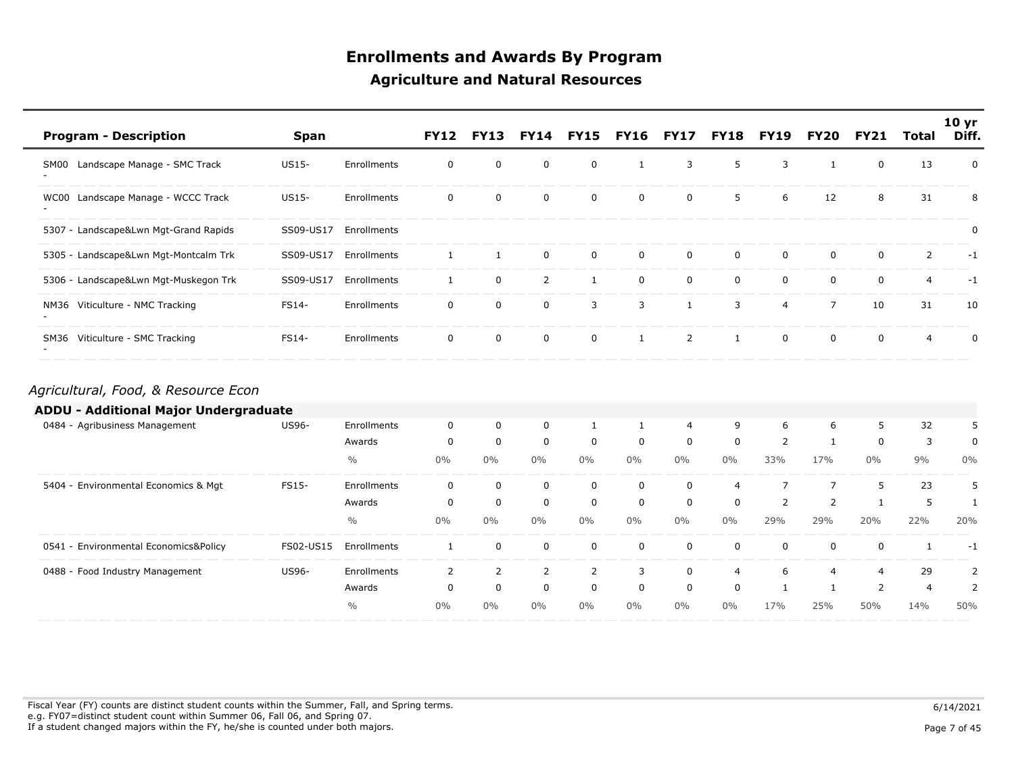| <b>Program - Description</b>                                                 | Span         |               | <b>FY12</b>    | <b>FY13</b>    | <b>FY14</b>    | <b>FY15</b>    | <b>FY16</b>  | <b>FY17</b>    | <b>FY18</b>    | <b>FY19</b>    | <b>FY20</b>    | <b>FY21</b>  | <b>Total</b>   | 10 <sub>yr</sub><br>Diff. |
|------------------------------------------------------------------------------|--------------|---------------|----------------|----------------|----------------|----------------|--------------|----------------|----------------|----------------|----------------|--------------|----------------|---------------------------|
| SM00 Landscape Manage - SMC Track                                            | US15-        | Enrollments   | 0              | $\mathbf 0$    | 0              | 0              | 1            | 3              | 5              | 3              | 1              | $\mathbf 0$  | 13             | 0                         |
| WC00 Landscape Manage - WCCC Track                                           | <b>US15-</b> | Enrollments   | 0              | 0              | $\mathbf 0$    | $\mathbf 0$    | 0            | 0              | 5              | 6              | 12             | 8            | 31             | 8                         |
| 5307 - Landscape&Lwn Mgt-Grand Rapids                                        | SS09-US17    | Enrollments   |                |                |                |                |              |                |                |                |                |              |                | 0                         |
| 5305 - Landscape&Lwn Mgt-Montcalm Trk                                        | SS09-US17    | Enrollments   | $\mathbf{1}$   | $\mathbf{1}$   | $\mathbf 0$    | $\mathbf 0$    | $\mathbf 0$  | $\mathbf 0$    | 0              | 0              | 0              | $\mathbf 0$  | $\overline{2}$ | $-1$                      |
| 5306 - Landscape&Lwn Mgt-Muskegon Trk                                        | SS09-US17    | Enrollments   | $\mathbf{1}$   | $\mathbf 0$    | $\overline{2}$ | $\mathbf{1}$   | $\mathbf 0$  | $\mathbf 0$    | $\mathbf 0$    | $\mathbf 0$    | 0              | $\mathbf 0$  | $\overline{4}$ | $-1$                      |
| NM36 Viticulture - NMC Tracking                                              | FS14-        | Enrollments   | $\mathbf 0$    | $\mathbf 0$    | $\mathbf 0$    | 3              | 3            | $\mathbf{1}$   | 3              | $\overline{4}$ | $\overline{7}$ | 10           | 31             | 10                        |
| SM36 Viticulture - SMC Tracking                                              | FS14-        | Enrollments   | 0              | $\mathbf 0$    | $\mathbf 0$    | $\mathbf 0$    | $\mathbf{1}$ | $\overline{2}$ | $\mathbf{1}$   | $\mathbf 0$    | 0              | $\mathbf 0$  | $\overline{4}$ | $\mathbf 0$               |
| Agricultural, Food, & Resource Econ<br>ADDU - Additional Major Undergraduate |              |               |                |                |                |                |              |                |                |                |                |              |                |                           |
| 0484 - Agribusiness Management                                               | <b>US96-</b> | Enrollments   | 0              | 0              | 0              | 1              | $\mathbf{1}$ | $\overline{4}$ | 9              | 6              | 6              | 5            | 32             | 5                         |
|                                                                              |              | Awards        | 0              | $\mathbf 0$    | $\mathbf 0$    | $\mathbf 0$    | 0            | $\mathbf 0$    | $\mathbf 0$    | 2              | 1              | $\mathbf{0}$ | 3              | 0                         |
|                                                                              |              | $\frac{0}{0}$ | $0\%$          | $0\%$          | $0\%$          | $0\%$          | $0\%$        | $0\%$          | $0\%$          | 33%            | 17%            | $0\%$        | 9%             | $0\%$                     |
| 5404 - Environmental Economics & Mgt                                         | FS15-        | Enrollments   | $\mathbf 0$    | $\mathbf 0$    | $\mathbf 0$    | $\mathbf 0$    | $\mathbf 0$  | $\mathbf 0$    | $\overline{4}$ | $\overline{7}$ | $\overline{7}$ | 5            | 23             | 5                         |
|                                                                              |              | Awards        | 0              | $\mathbf 0$    | 0              | $\mathbf 0$    | 0            | 0              | 0              | $\overline{2}$ | 2              | $\mathbf{1}$ | 5              | $\mathbf{1}$              |
|                                                                              |              | $\frac{0}{0}$ | $0\%$          | $0\%$          | $0\%$          | $0\%$          | $0\%$        | $0\%$          | $0\%$          | 29%            | 29%            | 20%          | 22%            | 20%                       |
| 0541 - Environmental Economics&Policy                                        | FS02-US15    | Enrollments   | $\mathbf{1}$   | $\mathbf 0$    | $\mathbf 0$    | $\mathbf 0$    | $\mathbf 0$  | $\mathbf 0$    | 0              | 0              | 0              | $\mathbf 0$  | 1              | $-1$                      |
| 0488 - Food Industry Management                                              | US96-        | Enrollments   | $\overline{2}$ | $\overline{2}$ | $\overline{2}$ | $\overline{2}$ | 3            | $\mathbf 0$    | $\overline{4}$ | 6              | 4              | 4            | 29             | $\overline{2}$            |
|                                                                              |              | Awards        | 0              | $\mathbf 0$    | $\mathbf 0$    | $\mathbf 0$    | $\mathbf 0$  | $\mathbf 0$    | 0              | 1              | 1              | 2            | $\overline{4}$ | 2                         |
|                                                                              |              | $\frac{0}{0}$ | $0\%$          | $0\%$          | $0\%$          | $0\%$          | $0\%$        | $0\%$          | $0\%$          | 17%            | 25%            | 50%          | 14%            | 50%                       |

Fiscal Year (FY) counts are distinct student counts within the Summer, Fall, and Spring terms.  $6/14/2021$  e.g. FY07=distinct student count within Summer 06, Fall 06, and Spring 07. If a student changed majors within the FY, he/she is counted under both majors. Page 7 of 45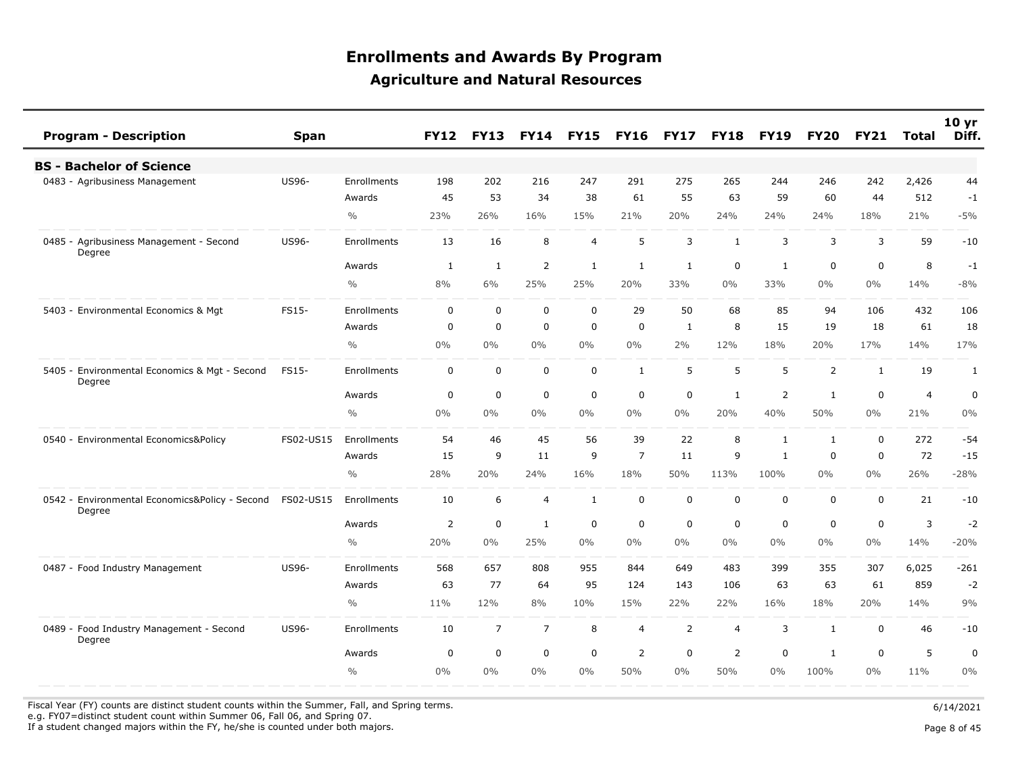| <b>Program - Description</b>                             | <b>Span</b>  |               | <b>FY12</b>    | <b>FY13</b>    | <b>FY14</b>    | <b>FY15</b>    | <b>FY16</b>    | <b>FY17</b>    | <b>FY18</b>    | <b>FY19</b>    | <b>FY20</b>    | <b>FY21</b>  | <b>Total</b>   | 10 <sub>yr</sub><br>Diff. |
|----------------------------------------------------------|--------------|---------------|----------------|----------------|----------------|----------------|----------------|----------------|----------------|----------------|----------------|--------------|----------------|---------------------------|
| <b>BS - Bachelor of Science</b>                          |              |               |                |                |                |                |                |                |                |                |                |              |                |                           |
| 0483 - Agribusiness Management                           | <b>US96-</b> | Enrollments   | 198            | 202            | 216            | 247            | 291            | 275            | 265            | 244            | 246            | 242          | 2,426          | 44                        |
|                                                          |              | Awards        | 45             | 53             | 34             | 38             | 61             | 55             | 63             | 59             | 60             | 44           | 512            | $-1$                      |
|                                                          |              | $\frac{0}{0}$ | 23%            | 26%            | 16%            | 15%            | 21%            | 20%            | 24%            | 24%            | 24%            | 18%          | 21%            | $-5%$                     |
| 0485 - Agribusiness Management - Second<br>Degree        | <b>US96-</b> | Enrollments   | 13             | 16             | 8              | $\overline{4}$ | 5              | 3              | $\mathbf{1}$   | 3              | 3              | 3            | 59             | $-10$                     |
|                                                          |              | Awards        | 1              | 1              | 2              | $\mathbf{1}$   | $\mathbf{1}$   | 1              | $\mathbf 0$    | $\mathbf{1}$   | $\mathbf 0$    | $\mathbf 0$  | 8              | $-1$                      |
|                                                          |              | $\frac{0}{0}$ | 8%             | 6%             | 25%            | 25%            | 20%            | 33%            | $0\%$          | 33%            | $0\%$          | $0\%$        | 14%            | $-8%$                     |
| 5403 - Environmental Economics & Mgt                     | FS15-        | Enrollments   | $\mathbf 0$    | 0              | $\mathbf 0$    | $\mathbf 0$    | 29             | 50             | 68             | 85             | 94             | 106          | 432            | 106                       |
|                                                          |              | Awards        | 0              | $\mathbf 0$    | $\mathbf 0$    | $\mathbf 0$    | $\mathbf 0$    | $\mathbf{1}$   | 8              | 15             | 19             | 18           | 61             | 18                        |
|                                                          |              | $\frac{0}{0}$ | $0\%$          | $0\%$          | 0%             | 0%             | 0%             | 2%             | 12%            | 18%            | 20%            | 17%          | 14%            | 17%                       |
| 5405 - Environmental Economics & Mgt - Second<br>Degree  | FS15-        | Enrollments   | $\mathbf 0$    | 0              | $\mathbf 0$    | 0              | 1              | 5              | 5              | 5              | $\overline{2}$ | $\mathbf{1}$ | 19             | $\mathbf{1}$              |
|                                                          |              | Awards        | 0              | 0              | $\mathbf 0$    | $\mathbf 0$    | 0              | 0              | 1              | 2              | 1              | 0            | $\overline{4}$ | 0                         |
|                                                          |              | $\frac{0}{0}$ | $0\%$          | 0%             | 0%             | 0%             | 0%             | 0%             | 20%            | 40%            | 50%            | $0\%$        | 21%            | 0%                        |
| 0540 - Environmental Economics&Policy                    | FS02-US15    | Enrollments   | 54             | 46             | 45             | 56             | 39             | 22             | 8              | $\mathbf{1}$   | 1              | $\mathbf 0$  | 272            | $-54$                     |
|                                                          |              | Awards        | 15             | 9              | 11             | 9              | $\overline{7}$ | 11             | 9              | $\mathbf{1}$   | $\mathbf 0$    | $\Omega$     | 72             | $-15$                     |
|                                                          |              | $\frac{0}{0}$ | 28%            | 20%            | 24%            | 16%            | 18%            | 50%            | 113%           | 100%           | $0\%$          | $0\%$        | 26%            | $-28%$                    |
| 0542 - Environmental Economics&Policy - Second<br>Degree | FS02-US15    | Enrollments   | 10             | 6              | $\overline{4}$ | $\mathbf{1}$   | $\mathbf 0$    | $\mathbf 0$    | $\mathbf 0$    | $\mathbf 0$    | $\mathbf 0$    | $\mathbf 0$  | 21             | $-10$                     |
|                                                          |              | Awards        | $\overline{2}$ | 0              | 1              | $\mathbf 0$    | $\mathbf 0$    | 0              | $\mathbf 0$    | $\mathbf 0$    | $\mathbf 0$    | 0            | 3              | $-2$                      |
|                                                          |              | $\frac{0}{0}$ | 20%            | $0\%$          | 25%            | $0\%$          | 0%             | $0\%$          | $0\%$          | $0\%$          | $0\%$          | $0\%$        | 14%            | $-20%$                    |
| 0487 - Food Industry Management                          | <b>US96-</b> | Enrollments   | 568            | 657            | 808            | 955            | 844            | 649            | 483            | 399            | 355            | 307          | 6,025          | $-261$                    |
|                                                          |              | Awards        | 63             | 77             | 64             | 95             | 124            | 143            | 106            | 63             | 63             | 61           | 859            | $-2$                      |
|                                                          |              | $\frac{0}{0}$ | 11%            | 12%            | 8%             | 10%            | 15%            | 22%            | 22%            | 16%            | 18%            | 20%          | 14%            | 9%                        |
| 0489 - Food Industry Management - Second<br>Degree       | <b>US96-</b> | Enrollments   | 10             | $\overline{7}$ | $\overline{7}$ | 8              | $\overline{4}$ | $\overline{2}$ | $\overline{4}$ | 3              | 1              | 0            | 46             | $-10$                     |
|                                                          |              | Awards        | 0              | 0              | $\pmb{0}$      | $\mathbf 0$    | 2              | $\mathbf 0$    | $\overline{2}$ | $\overline{0}$ | 1              | $\mathbf 0$  | 5              | $\pmb{0}$                 |
|                                                          |              | $\frac{0}{0}$ | $0\%$          | $0\%$          | 0%             | $0\%$          | 50%            | $0\%$          | 50%            | $0\%$          | 100%           | $0\%$        | 11%            | $0\%$                     |
|                                                          |              |               |                |                |                |                |                |                |                |                |                |              |                |                           |

Fiscal Year (FY) counts are distinct student counts within the Summer, Fall, and Spring terms.  $6/14/2021$ 

e.g. FY07=distinct student count within Summer 06, Fall 06, and Spring 07.

If a student changed majors within the FY, he/she is counted under both majors. Page 8 of 45

Page 8 of 45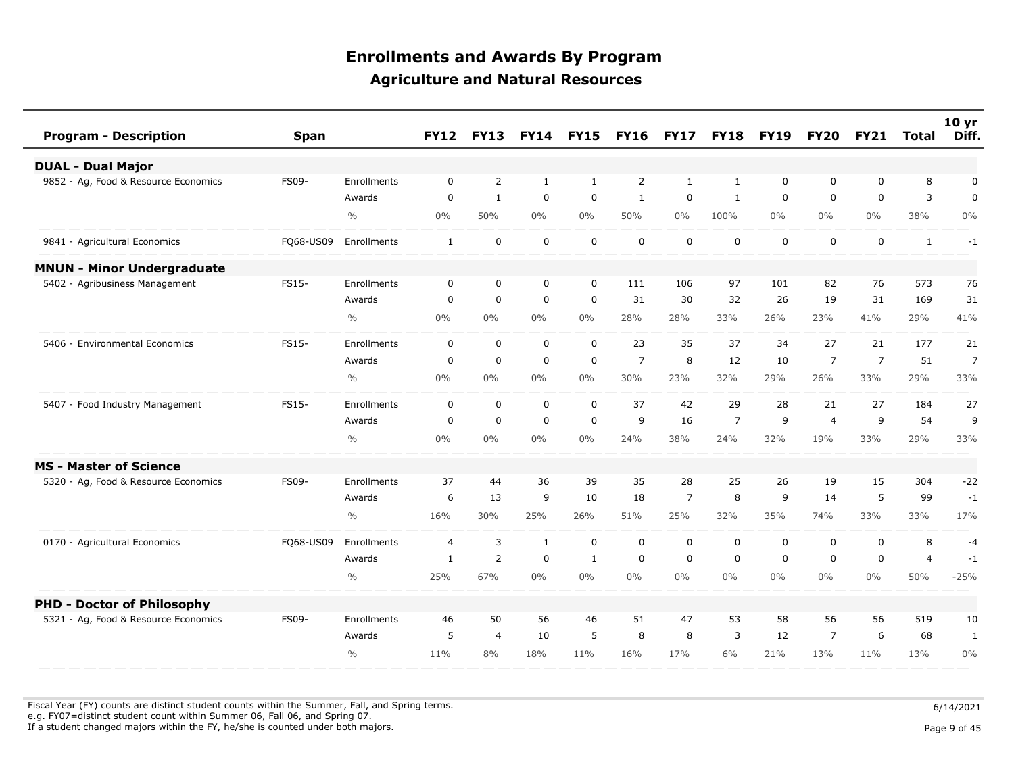| <b>Program - Description</b>         | Span         |               | <b>FY12</b>    | <b>FY13</b>    | <b>FY14</b>  | <b>FY15</b>  | <b>FY16</b>    | <b>FY17</b>    | <b>FY18</b>    | <b>FY19</b> | <b>FY20</b>    | <b>FY21</b>    | <b>Total</b>   | 10 <sub>yr</sub><br>Diff. |
|--------------------------------------|--------------|---------------|----------------|----------------|--------------|--------------|----------------|----------------|----------------|-------------|----------------|----------------|----------------|---------------------------|
| <b>DUAL - Dual Major</b>             |              |               |                |                |              |              |                |                |                |             |                |                |                |                           |
| 9852 - Ag, Food & Resource Economics | <b>FS09-</b> | Enrollments   | $\Omega$       | $\overline{2}$ | $\mathbf{1}$ | $\mathbf{1}$ | $\overline{2}$ | $\mathbf{1}$   | $\mathbf{1}$   | $\Omega$    | 0              | $\Omega$       | 8              | 0                         |
|                                      |              | Awards        | 0              | $\mathbf{1}$   | $\mathbf 0$  | $\mathbf 0$  | 1              | $\mathbf 0$    | $\mathbf{1}$   | 0           | 0              | 0              | 3              | $\mathbf 0$               |
|                                      |              | $\frac{0}{0}$ | $0\%$          | 50%            | $0\%$        | $0\%$        | 50%            | $0\%$          | 100%           | $0\%$       | $0\%$          | $0\%$          | 38%            | $0\%$                     |
| 9841 - Agricultural Economics        | FQ68-US09    | Enrollments   | $\mathbf{1}$   | $\mathbf 0$    | $\mathbf 0$  | $\mathbf 0$  | $\mathbf 0$    | $\Omega$       | $\mathbf{0}$   | $\mathbf 0$ | $\mathbf 0$    | $\mathbf 0$    | $\mathbf{1}$   | $-1$                      |
| <b>MNUN - Minor Undergraduate</b>    |              |               |                |                |              |              |                |                |                |             |                |                |                |                           |
| 5402 - Agribusiness Management       | FS15-        | Enrollments   | $\mathbf 0$    | $\mathbf 0$    | $\mathbf 0$  | $\mathbf 0$  | 111            | 106            | 97             | 101         | 82             | 76             | 573            | 76                        |
|                                      |              | Awards        | $\mathbf 0$    | $\mathbf 0$    | $\mathbf 0$  | $\mathbf 0$  | 31             | 30             | 32             | 26          | 19             | 31             | 169            | 31                        |
|                                      |              | $\frac{0}{0}$ | $0\%$          | $0\%$          | $0\%$        | $0\%$        | 28%            | 28%            | 33%            | 26%         | 23%            | 41%            | 29%            | 41%                       |
| 5406 - Environmental Economics       | FS15-        | Enrollments   | $\mathbf 0$    | $\mathbf 0$    | $\mathbf 0$  | $\mathbf 0$  | 23             | 35             | 37             | 34          | 27             | 21             | 177            | 21                        |
|                                      |              | Awards        | $\mathbf 0$    | $\mathbf 0$    | $\mathbf 0$  | $\mathbf 0$  | $\overline{7}$ | 8              | 12             | 10          | $\overline{7}$ | $\overline{7}$ | 51             | $\overline{7}$            |
|                                      |              | $\frac{0}{0}$ | $0\%$          | $0\%$          | $0\%$        | $0\%$        | 30%            | 23%            | 32%            | 29%         | 26%            | 33%            | 29%            | 33%                       |
| 5407 - Food Industry Management      | FS15-        | Enrollments   | $\mathbf 0$    | $\mathbf 0$    | $\mathbf 0$  | $\mathbf 0$  | 37             | 42             | 29             | 28          | 21             | 27             | 184            | 27                        |
|                                      |              | Awards        | $\mathbf 0$    | $\mathbf 0$    | $\mathbf 0$  | $\mathbf 0$  | 9              | 16             | $\overline{7}$ | 9           | $\overline{4}$ | 9              | 54             | 9                         |
|                                      |              | $\frac{0}{0}$ | $0\%$          | $0\%$          | $0\%$        | $0\%$        | 24%            | 38%            | 24%            | 32%         | 19%            | 33%            | 29%            | 33%                       |
| <b>MS - Master of Science</b>        |              |               |                |                |              |              |                |                |                |             |                |                |                |                           |
| 5320 - Ag, Food & Resource Economics | <b>FS09-</b> | Enrollments   | 37             | 44             | 36           | 39           | 35             | 28             | 25             | 26          | 19             | 15             | 304            | $-22$                     |
|                                      |              | Awards        | 6              | 13             | 9            | 10           | 18             | $\overline{7}$ | 8              | 9           | 14             | 5              | 99             | $-1$                      |
|                                      |              | $\frac{0}{0}$ | 16%            | 30%            | 25%          | 26%          | 51%            | 25%            | 32%            | 35%         | 74%            | 33%            | 33%            | 17%                       |
| 0170 - Agricultural Economics        | FQ68-US09    | Enrollments   | $\overline{4}$ | 3              | $\mathbf{1}$ | $\mathbf 0$  | $\mathbf 0$    | $\mathbf 0$    | $\mathbf 0$    | $\mathbf 0$ | 0              | $\mathbf 0$    | 8              | $-4$                      |
|                                      |              | Awards        | $\mathbf{1}$   | 2              | $\mathbf 0$  | $\mathbf{1}$ | $\mathbf 0$    | $\mathbf 0$    | $\mathbf 0$    | $\mathbf 0$ | $\mathbf 0$    | $\mathbf 0$    | $\overline{4}$ | $-1$                      |
|                                      |              | $\frac{0}{0}$ | 25%            | 67%            | $0\%$        | $0\%$        | $0\%$          | $0\%$          | $0\%$          | $0\%$       | $0\%$          | $0\%$          | 50%            | $-25%$                    |
| <b>PHD - Doctor of Philosophy</b>    |              |               |                |                |              |              |                |                |                |             |                |                |                |                           |
| 5321 - Ag, Food & Resource Economics | <b>FS09-</b> | Enrollments   | 46             | 50             | 56           | 46           | 51             | 47             | 53             | 58          | 56             | 56             | 519            | 10                        |
|                                      |              | Awards        | 5              | $\overline{4}$ | 10           | 5            | 8              | 8              | 3              | 12          | $\overline{7}$ | 6              | 68             | $\mathbf{1}$              |
|                                      |              | $\frac{0}{0}$ | 11%            | 8%             | 18%          | 11%          | 16%            | 17%            | 6%             | 21%         | 13%            | 11%            | 13%            | 0%                        |

Fiscal Year (FY) counts are distinct student counts within the Summer, Fall, and Spring terms.  $6/14/2021$ e.g. FY07=distinct student count within Summer 06, Fall 06, and Spring 07.

If a student changed majors within the FY, he/she is counted under both majors. Page 9 of 45

Page 9 of 45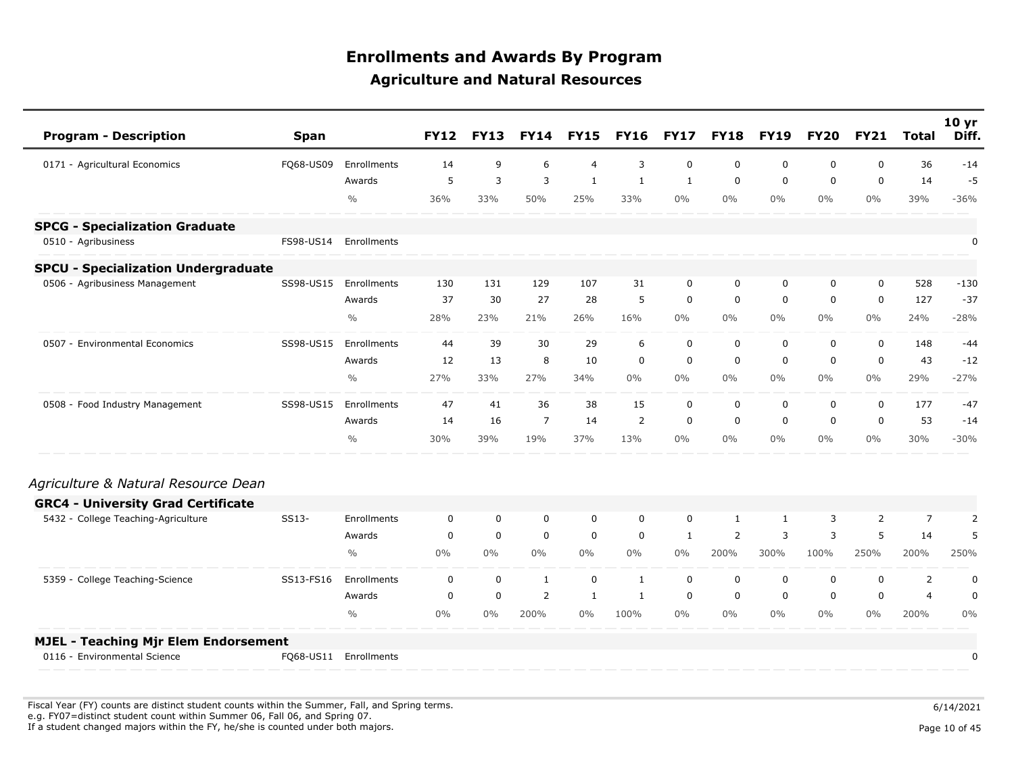| <b>Program - Description</b>                | <b>Span</b> |                       | <b>FY12</b> | <b>FY13</b> | <b>FY14</b>    | <b>FY15</b>    | <b>FY16</b>  | <b>FY17</b> | <b>FY18</b> | <b>FY19</b>  | <b>FY20</b> | <b>FY21</b>  | <b>Total</b>   | 10 <sub>yr</sub><br>Diff. |
|---------------------------------------------|-------------|-----------------------|-------------|-------------|----------------|----------------|--------------|-------------|-------------|--------------|-------------|--------------|----------------|---------------------------|
| 0171 - Agricultural Economics               | FQ68-US09   | Enrollments           | 14          | 9           | 6              | $\overline{4}$ | 3            | $\mathbf 0$ | $\mathbf 0$ | 0            | 0           | $\mathbf 0$  | 36             | $-14$                     |
|                                             |             | Awards                | 5           | 3           | 3              | 1              | 1            | 1           | $\mathbf 0$ | $\mathbf 0$  | 0           | $\mathbf{0}$ | 14             | $-5$                      |
|                                             |             | $\frac{0}{0}$         | 36%         | 33%         | 50%            | 25%            | 33%          | $0\%$       | $0\%$       | $0\%$        | $0\%$       | $0\%$        | 39%            | $-36%$                    |
| <b>SPCG - Specialization Graduate</b>       |             |                       |             |             |                |                |              |             |             |              |             |              |                |                           |
| 0510 - Agribusiness                         | FS98-US14   | Enrollments           |             |             |                |                |              |             |             |              |             |              |                | 0                         |
| <b>SPCU - Specialization Undergraduate</b>  |             |                       |             |             |                |                |              |             |             |              |             |              |                |                           |
| 0506 - Agribusiness Management              | SS98-US15   | Enrollments           | 130         | 131         | 129            | 107            | 31           | 0           | 0           | 0            | 0           | $\mathbf 0$  | 528            | $-130$                    |
|                                             |             | Awards                | 37          | 30          | 27             | 28             | 5            | $\mathbf 0$ | $\mathbf 0$ | 0            | 0           | $\mathbf 0$  | 127            | $-37$                     |
|                                             |             | $\frac{0}{0}$         | 28%         | 23%         | 21%            | 26%            | 16%          | $0\%$       | $0\%$       | $0\%$        | $0\%$       | $0\%$        | 24%            | $-28%$                    |
| 0507 - Environmental Economics              | SS98-US15   | Enrollments           | 44          | 39          | 30             | 29             | 6            | $\mathbf 0$ | $\mathbf 0$ | $\mathbf 0$  | 0           | $\mathbf 0$  | 148            | $-44$                     |
|                                             |             | Awards                | 12          | 13          | 8              | 10             | $\mathbf 0$  | $\mathbf 0$ | $\mathbf 0$ | $\mathbf 0$  | $\mathbf 0$ | $\mathbf 0$  | 43             | $-12$                     |
|                                             |             | $\frac{0}{0}$         | 27%         | 33%         | 27%            | 34%            | $0\%$        | $0\%$       | $0\%$       | $0\%$        | $0\%$       | 0%           | 29%            | $-27%$                    |
| 0508 - Food Industry Management             | SS98-US15   | Enrollments           | 47          | 41          | 36             | 38             | 15           | $\mathbf 0$ | $\mathbf 0$ | $\mathbf 0$  | 0           | $\mathbf 0$  | 177            | $-47$                     |
|                                             |             | Awards                | 14          | 16          | $\overline{7}$ | 14             | 2            | 0           | 0           | 0            | 0           | 0            | 53             | $-14$                     |
|                                             |             | $\frac{0}{0}$         | 30%         | 39%         | 19%            | 37%            | 13%          | $0\%$       | $0\%$       | $0\%$        | $0\%$       | 0%           | 30%            | $-30%$                    |
| Agriculture & Natural Resource Dean         |             |                       |             |             |                |                |              |             |             |              |             |              |                |                           |
| <b>GRC4 - University Grad Certificate</b>   |             |                       |             |             |                |                |              |             |             |              |             |              |                |                           |
| 5432 - College Teaching-Agriculture         | SS13-       | Enrollments           | 0           | 0           | $\mathbf 0$    | $\mathbf 0$    | $\mathbf 0$  | 0           | 1           | $\mathbf{1}$ | 3           | 2            | $\overline{7}$ | $\overline{2}$            |
|                                             |             | Awards                | 0           | 0           | $\mathbf 0$    | $\mathbf 0$    | $\mathbf 0$  | 1           | 2           | 3            | 3           | 5            | 14             | 5                         |
|                                             |             | $\frac{0}{0}$         | $0\%$       | $0\%$       | $0\%$          | $0\%$          | $0\%$        | $0\%$       | 200%        | 300%         | 100%        | 250%         | 200%           | 250%                      |
| 5359 - College Teaching-Science             | SS13-FS16   | Enrollments           | $\mathbf 0$ | $\mathbf 0$ | $\mathbf{1}$   | $\mathbf 0$    | 1            | $\mathbf 0$ | $\mathbf 0$ | $\mathbf 0$  | 0           | $\mathbf 0$  | $\overline{2}$ | $\pmb{0}$                 |
|                                             |             | Awards                | 0           | 0           | $\overline{2}$ | $\mathbf{1}$   | $\mathbf{1}$ | 0           | 0           | $\mathbf 0$  | 0           | 0            | $\overline{4}$ | $\pmb{0}$                 |
|                                             |             | $\frac{0}{0}$         | $0\%$       | $0\%$       | 200%           | $0\%$          | 100%         | $0\%$       | $0\%$       | $0\%$        | $0\%$       | $0\%$        | 200%           | 0%                        |
| <b>MJEL - Teaching Mjr Elem Endorsement</b> |             |                       |             |             |                |                |              |             |             |              |             |              |                |                           |
| 0116 - Environmental Science                |             | FQ68-US11 Enrollments |             |             |                |                |              |             |             |              |             |              |                | 0                         |

Fiscal Year (FY) counts are distinct student counts within the Summer, Fall, and Spring terms.  $6/14/2021$  e.g. FY07=distinct student count within Summer 06, Fall 06, and Spring 07. If a student changed majors within the FY, he/she is counted under both majors. Page 10 of 45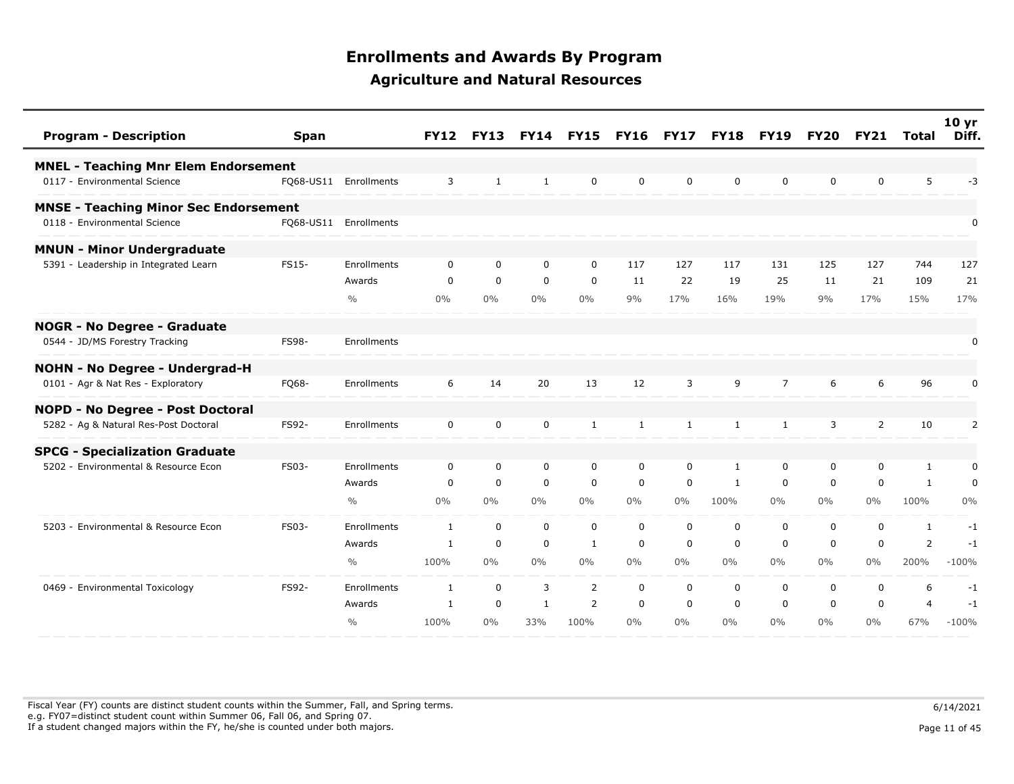| <b>Program - Description</b>                 | <b>Span</b>  |                       | <b>FY12</b>  | <b>FY13</b>  |              | <b>FY14 FY15</b> | <b>FY16</b>  | <b>FY17</b>  | <b>FY18</b>  | <b>FY19</b>    | FY20        | <b>FY21</b>    | Total          | 10 <sub>yr</sub><br>Diff. |
|----------------------------------------------|--------------|-----------------------|--------------|--------------|--------------|------------------|--------------|--------------|--------------|----------------|-------------|----------------|----------------|---------------------------|
| <b>MNEL - Teaching Mnr Elem Endorsement</b>  |              |                       |              |              |              |                  |              |              |              |                |             |                |                |                           |
| 0117 - Environmental Science                 |              | FQ68-US11 Enrollments | 3            | $\mathbf{1}$ | $\mathbf{1}$ | $\mathbf 0$      | $\mathbf 0$  | $\mathbf 0$  | 0            | 0              | 0           | $\mathbf 0$    | 5              | $-3$                      |
| <b>MNSE - Teaching Minor Sec Endorsement</b> |              |                       |              |              |              |                  |              |              |              |                |             |                |                |                           |
| 0118 - Environmental Science                 |              | FQ68-US11 Enrollments |              |              |              |                  |              |              |              |                |             |                |                | 0                         |
| <b>MNUN - Minor Undergraduate</b>            |              |                       |              |              |              |                  |              |              |              |                |             |                |                |                           |
| 5391 - Leadership in Integrated Learn        | <b>FS15-</b> | Enrollments           | 0            | 0            | $\mathbf 0$  | $\mathbf 0$      | 117          | 127          | 117          | 131            | 125         | 127            | 744            | 127                       |
|                                              |              | Awards                | 0            | $\mathbf 0$  | 0            | 0                | 11           | 22           | 19           | 25             | 11          | 21             | 109            | 21                        |
|                                              |              | $\frac{0}{0}$         | 0%           | $0\%$        | $0\%$        | $0\%$            | 9%           | 17%          | 16%          | 19%            | 9%          | 17%            | 15%            | 17%                       |
| <b>NOGR - No Degree - Graduate</b>           |              |                       |              |              |              |                  |              |              |              |                |             |                |                |                           |
| 0544 - JD/MS Forestry Tracking               | <b>FS98-</b> | Enrollments           |              |              |              |                  |              |              |              |                |             |                |                | 0                         |
| <b>NOHN - No Degree - Undergrad-H</b>        |              |                       |              |              |              |                  |              |              |              |                |             |                |                |                           |
| 0101 - Agr & Nat Res - Exploratory           | FQ68-        | Enrollments           | 6            | 14           | 20           | 13               | 12           | 3            | 9            | $\overline{7}$ | 6           | 6              | 96             | 0                         |
| NOPD - No Degree - Post Doctoral             |              |                       |              |              |              |                  |              |              |              |                |             |                |                |                           |
| 5282 - Ag & Natural Res-Post Doctoral        | FS92-        | Enrollments           | 0            | 0            | $\mathbf 0$  | $\mathbf{1}$     | $\mathbf{1}$ | $\mathbf{1}$ | $\mathbf{1}$ | 1              | 3           | $\overline{2}$ | 10             | $\overline{2}$            |
| <b>SPCG - Specialization Graduate</b>        |              |                       |              |              |              |                  |              |              |              |                |             |                |                |                           |
| 5202 - Environmental & Resource Econ         | FS03-        | Enrollments           | 0            | 0            | $\mathbf 0$  | $\mathbf 0$      | 0            | $\mathbf 0$  | 1            | 0              | 0           | $\mathbf 0$    | 1              | 0                         |
|                                              |              | Awards                | $\mathbf 0$  | $\mathbf 0$  | $\mathbf 0$  | $\mathbf 0$      | $\mathbf 0$  | $\mathbf 0$  | $\mathbf{1}$ | $\mathbf 0$    | $\mathbf 0$ | $\mathbf 0$    | $\mathbf{1}$   | $\mathbf 0$               |
|                                              |              | $\frac{0}{0}$         | 0%           | $0\%$        | $0\%$        | $0\%$            | $0\%$        | $0\%$        | 100%         | $0\%$          | $0\%$       | $0\%$          | 100%           | 0%                        |
| 5203 - Environmental & Resource Econ         | FS03-        | Enrollments           | $\mathbf{1}$ | $\mathbf 0$  | $\mathbf 0$  | $\mathbf 0$      | $\mathbf 0$  | $\mathbf 0$  | $\mathbf 0$  | $\mathbf 0$    | 0           | $\mathbf 0$    | $\mathbf{1}$   | $-1$                      |
|                                              |              | Awards                | 1            | $\mathbf 0$  | $\mathbf 0$  | $\mathbf{1}$     | 0            | 0            | 0            | 0              | 0           | 0              | $\overline{2}$ | $-1$                      |
|                                              |              | $\frac{0}{0}$         | 100%         | $0\%$        | $0\%$        | $0\%$            | $0\%$        | $0\%$        | $0\%$        | $0\%$          | $0\%$       | $0\%$          | 200%           | $-100%$                   |
| 0469 - Environmental Toxicology              | FS92-        | Enrollments           | $\mathbf{1}$ | $\mathbf 0$  | 3            | $\overline{2}$   | $\mathbf 0$  | $\mathbf 0$  | $\mathbf 0$  | $\mathbf 0$    | $\mathbf 0$ | $\mathbf 0$    | 6              | $-1$                      |
|                                              |              | Awards                | 1            | $\mathbf 0$  | $\mathbf{1}$ | $\overline{2}$   | $\mathbf 0$  | $\mathbf 0$  | $\mathbf 0$  | $\mathbf 0$    | 0           | $\mathbf 0$    | $\overline{4}$ | $-1$                      |
|                                              |              | $\frac{0}{0}$         | 100%         | $0\%$        | 33%          | 100%             | $0\%$        | $0\%$        | $0\%$        | $0\%$          | $0\%$       | $0\%$          | 67%            | $-100%$                   |

Fiscal Year (FY) counts are distinct student counts within the Summer, Fall, and Spring terms.  $6/14/2021$  e.g. FY07=distinct student count within Summer 06, Fall 06, and Spring 07. If a student changed majors within the FY, he/she is counted under both majors. Page 11 of 45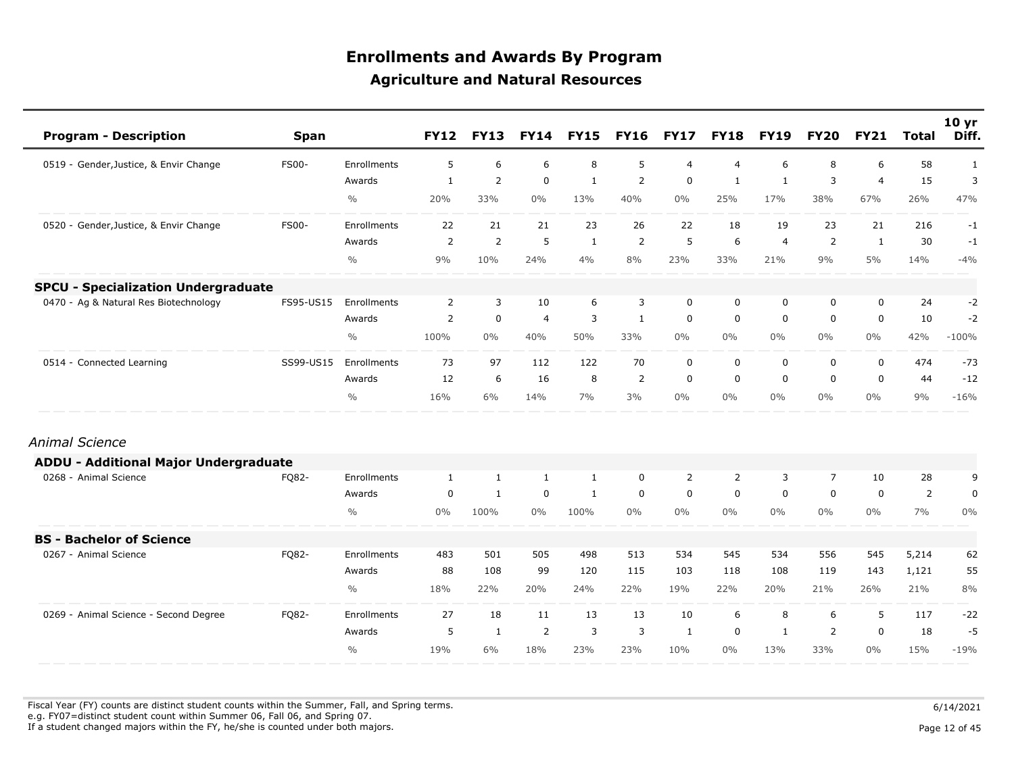| <b>Program - Description</b>                 | <b>Span</b>  |               | <b>FY12</b>    | <b>FY13</b>    | <b>FY14</b>    | <b>FY15</b>  | <b>FY16</b>    | <b>FY17</b>    | <b>FY18</b>    | <b>FY19</b>    | <b>FY20</b>    | <b>FY21</b>    | <b>Total</b>   | 10 <sub>yr</sub><br>Diff. |
|----------------------------------------------|--------------|---------------|----------------|----------------|----------------|--------------|----------------|----------------|----------------|----------------|----------------|----------------|----------------|---------------------------|
| 0519 - Gender, Justice, & Envir Change       | <b>FS00-</b> | Enrollments   | 5              | 6              | 6              | 8            | 5              | $\overline{4}$ | $\overline{4}$ | 6              | 8              | 6              | 58             | $\mathbf{1}$              |
|                                              |              | Awards        | 1              | $\overline{2}$ | $\mathbf 0$    | $\mathbf{1}$ | $\overline{2}$ | $\mathbf 0$    | $\mathbf{1}$   | $\mathbf{1}$   | 3              | $\overline{4}$ | 15             | 3                         |
|                                              |              | $\frac{0}{0}$ | 20%            | 33%            | $0\%$          | 13%          | 40%            | $0\%$          | 25%            | 17%            | 38%            | 67%            | 26%            | 47%                       |
| 0520 - Gender, Justice, & Envir Change       | <b>FS00-</b> | Enrollments   | 22             | 21             | 21             | 23           | 26             | 22             | 18             | 19             | 23             | 21             | 216            | $-1$                      |
|                                              |              | Awards        | $\overline{2}$ | $\overline{2}$ | 5              | $\mathbf{1}$ | 2              | 5              | 6              | $\overline{4}$ | $\overline{2}$ | $\mathbf{1}$   | 30             | $-1$                      |
|                                              |              | $\frac{0}{0}$ | 9%             | 10%            | 24%            | 4%           | 8%             | 23%            | 33%            | 21%            | 9%             | 5%             | 14%            | $-4%$                     |
| <b>SPCU - Specialization Undergraduate</b>   |              |               |                |                |                |              |                |                |                |                |                |                |                |                           |
| 0470 - Ag & Natural Res Biotechnology        | FS95-US15    | Enrollments   | $\overline{2}$ | 3              | 10             | 6            | 3              | $\mathbf 0$    | $\mathbf 0$    | $\mathbf 0$    | 0              | $\mathbf 0$    | 24             | $-2$                      |
|                                              |              | Awards        | $\overline{2}$ | $\mathbf 0$    | $\overline{4}$ | 3            | $\mathbf{1}$   | 0              | $\mathbf 0$    | $\mathbf 0$    | 0              | $\mathbf 0$    | 10             | $-2$                      |
|                                              |              | $\frac{0}{0}$ | 100%           | $0\%$          | 40%            | 50%          | 33%            | $0\%$          | $0\%$          | $0\%$          | $0\%$          | $0\%$          | 42%            | $-100%$                   |
| 0514 - Connected Learning                    | SS99-US15    | Enrollments   | 73             | 97             | 112            | 122          | 70             | $\mathbf 0$    | $\mathbf 0$    | $\mathbf 0$    | 0              | $\mathbf 0$    | 474            | $-73$                     |
|                                              |              | Awards        | 12             | 6              | 16             | 8            | $\overline{2}$ | $\mathbf 0$    | $\mathbf 0$    | $\mathbf 0$    | $\mathbf 0$    | $\mathbf 0$    | 44             | $-12$                     |
|                                              |              | $\frac{0}{0}$ | 16%            | 6%             | 14%            | 7%           | 3%             | $0\%$          | $0\%$          | $0\%$          | $0\%$          | $0\%$          | 9%             | $-16%$                    |
| Animal Science                               |              |               |                |                |                |              |                |                |                |                |                |                |                |                           |
| <b>ADDU - Additional Major Undergraduate</b> |              |               |                |                |                |              |                |                |                |                |                |                |                |                           |
| 0268 - Animal Science                        | FQ82-        | Enrollments   | $\mathbf{1}$   | 1              | $\mathbf{1}$   | 1            | 0              | 2              | 2              | 3              | $\overline{7}$ | 10             | 28             | 9                         |
|                                              |              | Awards        | 0              | $\mathbf{1}$   | $\mathbf 0$    | $\mathbf{1}$ | $\mathbf 0$    | $\mathbf 0$    | 0              | 0              | 0              | $\mathbf 0$    | $\overline{2}$ | $\pmb{0}$                 |
|                                              |              | $\frac{0}{0}$ | $0\%$          | 100%           | $0\%$          | 100%         | $0\%$          | $0\%$          | $0\%$          | $0\%$          | $0\%$          | 0%             | 7%             | 0%                        |
| <b>BS - Bachelor of Science</b>              |              |               |                |                |                |              |                |                |                |                |                |                |                |                           |
| 0267 - Animal Science                        | FQ82-        | Enrollments   | 483            | 501            | 505            | 498          | 513            | 534            | 545            | 534            | 556            | 545            | 5,214          | 62                        |
|                                              |              | Awards        | 88             | 108            | 99             | 120          | 115            | 103            | 118            | 108            | 119            | 143            | 1,121          | 55                        |
|                                              |              | $\frac{0}{0}$ | 18%            | 22%            | 20%            | 24%          | 22%            | 19%            | 22%            | 20%            | 21%            | 26%            | 21%            | 8%                        |
| 0269 - Animal Science - Second Degree        | FQ82-        | Enrollments   | 27             | 18             | 11             | 13           | 13             | 10             | 6              | 8              | 6              | 5              | 117            | $-22$                     |
|                                              |              | Awards        | 5              | $\mathbf{1}$   | 2              | 3            | 3              | -1             | 0              | $\mathbf{1}$   | 2              | $\mathbf 0$    | 18             | $-5$                      |
|                                              |              | $\frac{0}{0}$ | 19%            | 6%             | 18%            | 23%          | 23%            | 10%            | $0\%$          | 13%            | 33%            | $0\%$          | 15%            | $-19%$                    |

Fiscal Year (FY) counts are distinct student counts within the Summer, Fall, and Spring terms.  $6/14/2021$  e.g. FY07=distinct student count within Summer 06, Fall 06, and Spring 07. If a student changed majors within the FY, he/she is counted under both majors. Page 12 of 45

Page 12 of 45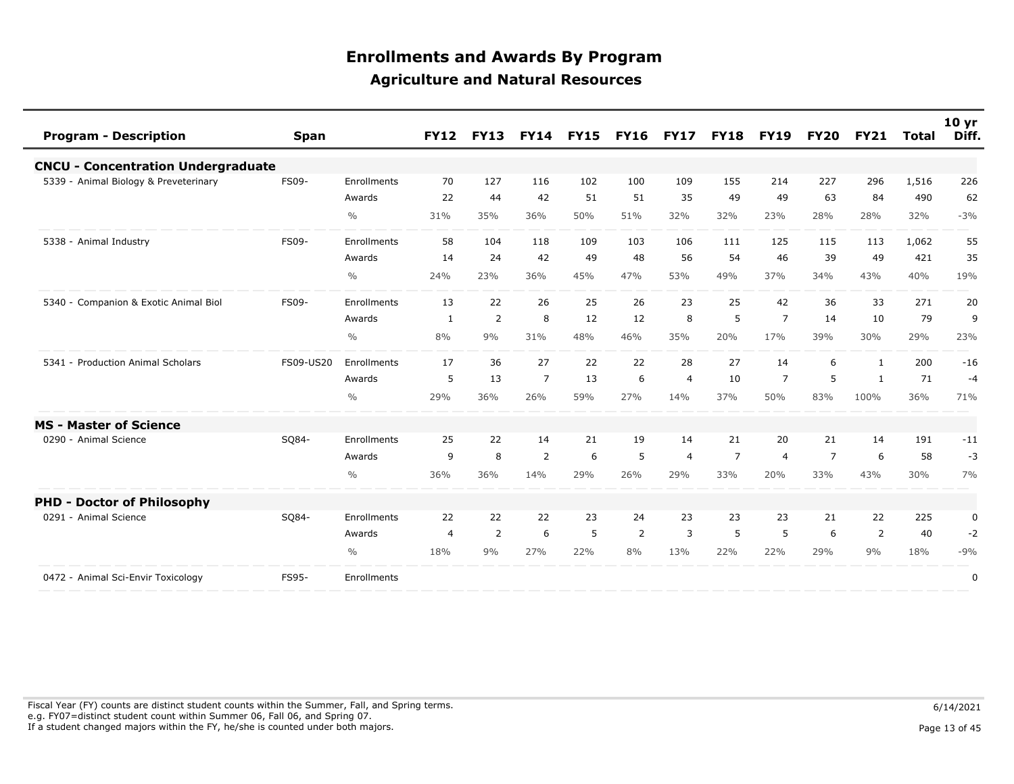| <b>Program - Description</b>              | <b>Span</b>  |               | <b>FY12</b>    | <b>FY13</b> | <b>FY14</b>    | <b>FY15</b> | <b>FY16 FY17</b> |                |                | <b>FY18 FY19</b> | <b>FY20</b>    | <b>FY21</b>    | Total | 10 <sub>yr</sub><br>Diff. |
|-------------------------------------------|--------------|---------------|----------------|-------------|----------------|-------------|------------------|----------------|----------------|------------------|----------------|----------------|-------|---------------------------|
| <b>CNCU - Concentration Undergraduate</b> |              |               |                |             |                |             |                  |                |                |                  |                |                |       |                           |
| 5339 - Animal Biology & Preveterinary     | <b>FS09-</b> | Enrollments   | 70             | 127         | 116            | 102         | 100              | 109            | 155            | 214              | 227            | 296            | 1,516 | 226                       |
|                                           |              | Awards        | 22             | 44          | 42             | 51          | 51               | 35             | 49             | 49               | 63             | 84             | 490   | 62                        |
|                                           |              | $\frac{0}{0}$ | 31%            | 35%         | 36%            | 50%         | 51%              | 32%            | 32%            | 23%              | 28%            | 28%            | 32%   | $-3%$                     |
| 5338 - Animal Industry                    | <b>FS09-</b> | Enrollments   | 58             | 104         | 118            | 109         | 103              | 106            | 111            | 125              | 115            | 113            | 1,062 | 55                        |
|                                           |              | Awards        | 14             | 24          | 42             | 49          | 48               | 56             | 54             | 46               | 39             | 49             | 421   | 35                        |
|                                           |              | $\%$          | 24%            | 23%         | 36%            | 45%         | 47%              | 53%            | 49%            | 37%              | 34%            | 43%            | 40%   | 19%                       |
| 5340 - Companion & Exotic Animal Biol     | <b>FS09-</b> | Enrollments   | 13             | 22          | 26             | 25          | 26               | 23             | 25             | 42               | 36             | 33             | 271   | 20                        |
|                                           |              | Awards        | 1              | 2           | 8              | 12          | 12               | 8              | 5              | $\overline{7}$   | 14             | 10             | 79    | 9                         |
|                                           |              | $\frac{0}{0}$ | 8%             | 9%          | 31%            | 48%         | 46%              | 35%            | 20%            | 17%              | 39%            | 30%            | 29%   | 23%                       |
| 5341 - Production Animal Scholars         | FS09-US20    | Enrollments   | 17             | 36          | 27             | 22          | 22               | 28             | 27             | 14               | 6              | 1              | 200   | $-16$                     |
|                                           |              | Awards        | 5              | 13          | $\overline{7}$ | 13          | 6                | $\overline{4}$ | 10             | $\overline{7}$   | 5              | 1              | 71    | $-4$                      |
|                                           |              | $\frac{0}{0}$ | 29%            | 36%         | 26%            | 59%         | 27%              | 14%            | 37%            | 50%              | 83%            | 100%           | 36%   | 71%                       |
| <b>MS - Master of Science</b>             |              |               |                |             |                |             |                  |                |                |                  |                |                |       |                           |
| 0290 - Animal Science                     | SQ84-        | Enrollments   | 25             | 22          | 14             | 21          | 19               | 14             | 21             | 20               | 21             | 14             | 191   | $-11$                     |
|                                           |              | Awards        | 9              | 8           | $\overline{2}$ | 6           | 5                | $\overline{4}$ | $\overline{7}$ | $\overline{4}$   | $\overline{7}$ | 6              | 58    | $-3$                      |
|                                           |              | $\frac{0}{0}$ | 36%            | 36%         | 14%            | 29%         | 26%              | 29%            | 33%            | 20%              | 33%            | 43%            | 30%   | 7%                        |
| <b>PHD - Doctor of Philosophy</b>         |              |               |                |             |                |             |                  |                |                |                  |                |                |       |                           |
| 0291 - Animal Science                     | SQ84-        | Enrollments   | 22             | 22          | 22             | 23          | 24               | 23             | 23             | 23               | 21             | 22             | 225   | 0                         |
|                                           |              | Awards        | $\overline{4}$ | 2           | 6              | 5           | 2                | 3              | 5              | 5                | 6              | $\overline{2}$ | 40    | $-2$                      |
|                                           |              | $\frac{0}{0}$ | 18%            | 9%          | 27%            | 22%         | 8%               | 13%            | 22%            | 22%              | 29%            | 9%             | 18%   | $-9%$                     |
| 0472 - Animal Sci-Envir Toxicology        | FS95-        | Enrollments   |                |             |                |             |                  |                |                |                  |                |                |       | 0                         |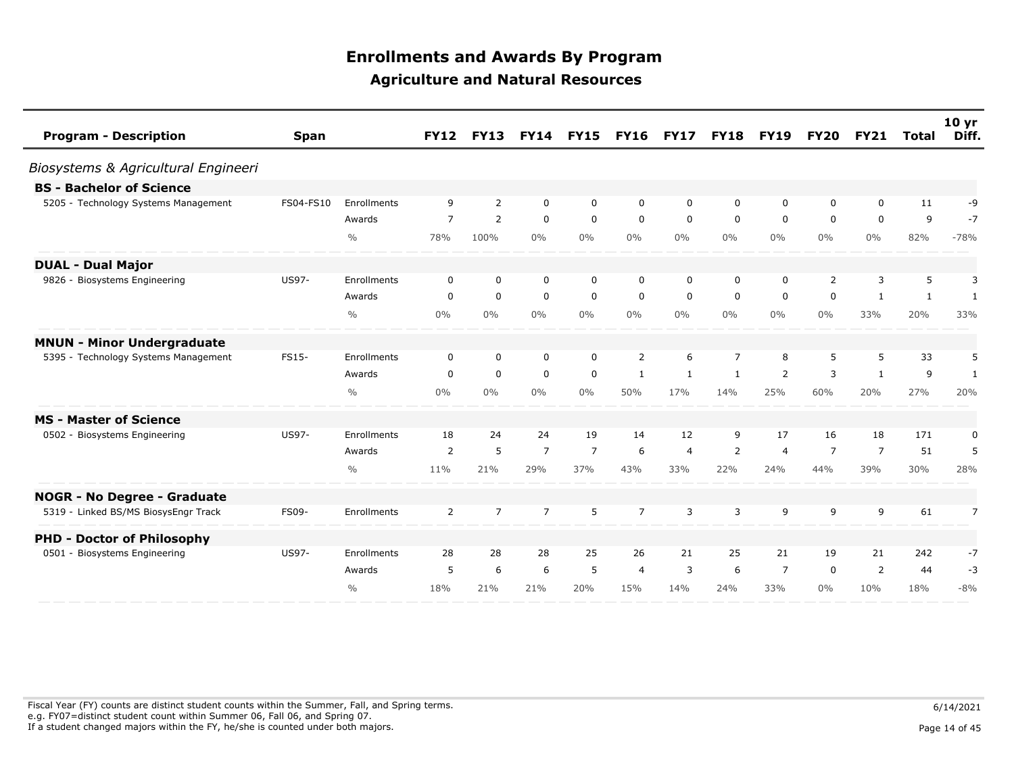| <b>Program - Description</b>              | <b>Span</b>  |               | <b>FY12</b>    | <b>FY13</b>    | <b>FY14</b>    | <b>FY15</b>    | <b>FY16</b>    | <b>FY17</b>    | <b>FY18</b>    | <b>FY19</b>    | <b>FY20</b>    | <b>FY21</b>    | <b>Total</b> | 10 <sub>yr</sub><br>Diff. |
|-------------------------------------------|--------------|---------------|----------------|----------------|----------------|----------------|----------------|----------------|----------------|----------------|----------------|----------------|--------------|---------------------------|
| Biosystems & Agricultural Engineeri       |              |               |                |                |                |                |                |                |                |                |                |                |              |                           |
| <b>BS</b> - Bachelor of Science           |              |               |                |                |                |                |                |                |                |                |                |                |              |                           |
| 5205 - Technology Systems Management      | FS04-FS10    | Enrollments   | 9              | 2              | 0              | 0              | 0              | 0              | 0              | 0              | 0              | 0              | 11           | -9                        |
|                                           |              | Awards        | $\overline{7}$ | $\overline{2}$ | 0              | $\mathbf 0$    | 0              | 0              | 0              | 0              | 0              | $\mathbf 0$    | 9            | $-7$                      |
|                                           |              | $\frac{0}{0}$ | 78%            | 100%           | $0\%$          | $0\%$          | $0\%$          | $0\%$          | $0\%$          | $0\%$          | $0\%$          | $0\%$          | 82%          | $-78%$                    |
| <b>DUAL - Dual Major</b>                  |              |               |                |                |                |                |                |                |                |                |                |                |              |                           |
| 9826 - Biosystems Engineering             | <b>US97-</b> | Enrollments   | 0              | 0              | $\mathbf 0$    | 0              | 0              | $\Omega$       | 0              | 0              | 2              | 3              | 5            | 3                         |
|                                           |              | Awards        | 0              | $\mathbf 0$    | $\mathbf 0$    | $\mathbf 0$    | 0              | 0              | 0              | $\mathbf 0$    | 0              | 1              | 1            | 1                         |
|                                           |              | $\frac{0}{0}$ | $0\%$          | $0\%$          | $0\%$          | $0\%$          | $0\%$          | $0\%$          | $0\%$          | $0\%$          | $0\%$          | 33%            | 20%          | 33%                       |
| <b>MNUN - Minor Undergraduate</b>         |              |               |                |                |                |                |                |                |                |                |                |                |              |                           |
| 5395 - Technology Systems Management      | FS15-        | Enrollments   | 0              | 0              | $\mathbf 0$    | 0              | 2              | 6              | $\overline{7}$ | 8              | 5              | 5              | 33           | 5                         |
|                                           |              | Awards        | 0              | 0              | 0              | $\mathbf 0$    | 1              | 1              | $\mathbf{1}$   | $\overline{2}$ | 3              | 1              | 9            | 1                         |
|                                           |              | $\frac{0}{0}$ | $0\%$          | $0\%$          | $0\%$          | $0\%$          | 50%            | 17%            | 14%            | 25%            | 60%            | 20%            | 27%          | 20%                       |
| <b>MS - Master of Science</b>             |              |               |                |                |                |                |                |                |                |                |                |                |              |                           |
| 0502 - Biosystems Engineering             | <b>US97-</b> | Enrollments   | 18             | 24             | 24             | 19             | 14             | 12             | 9              | 17             | 16             | 18             | 171          | 0                         |
|                                           |              | Awards        | 2              | 5              | $\overline{7}$ | $\overline{7}$ | 6              | $\overline{4}$ | 2              | $\overline{4}$ | $\overline{7}$ | $\overline{7}$ | 51           | 5                         |
|                                           |              | $\frac{0}{0}$ | 11%            | 21%            | 29%            | 37%            | 43%            | 33%            | 22%            | 24%            | 44%            | 39%            | 30%          | 28%                       |
| <b>NOGR - No Degree - Graduate</b>        |              |               |                |                |                |                |                |                |                |                |                |                |              |                           |
| 5319 - Linked BS/MS BiosysEngr Track      | FS09-        | Enrollments   | $\overline{2}$ | $\overline{7}$ | $\overline{7}$ | 5              | $\overline{7}$ | 3              | 3              | 9              | 9              | 9              | 61           | $\overline{7}$            |
| <b>PHD - Doctor of Philosophy</b>         |              |               |                |                |                |                |                |                |                |                |                |                |              |                           |
| <b>Biosystems Engineering</b><br>$0501 -$ | <b>US97-</b> | Enrollments   | 28             | 28             | 28             | 25             | 26             | 21             | 25             | 21             | 19             | 21             | 242          | $-7$                      |
|                                           |              | Awards        | 5              | 6              | 6              | 5              | $\overline{4}$ | 3              | 6              | $\overline{7}$ | $\mathbf 0$    | 2              | 44           | $-3$                      |
|                                           |              | $\frac{0}{0}$ | 18%            | 21%            | 21%            | 20%            | 15%            | 14%            | 24%            | 33%            | $0\%$          | 10%            | 18%          | $-8%$                     |

Fiscal Year (FY) counts are distinct student counts within the Summer, Fall, and Spring terms.  $6/14/2021$  e.g. FY07=distinct student count within Summer 06, Fall 06, and Spring 07. If a student changed majors within the FY, he/she is counted under both majors. Page 14 of 45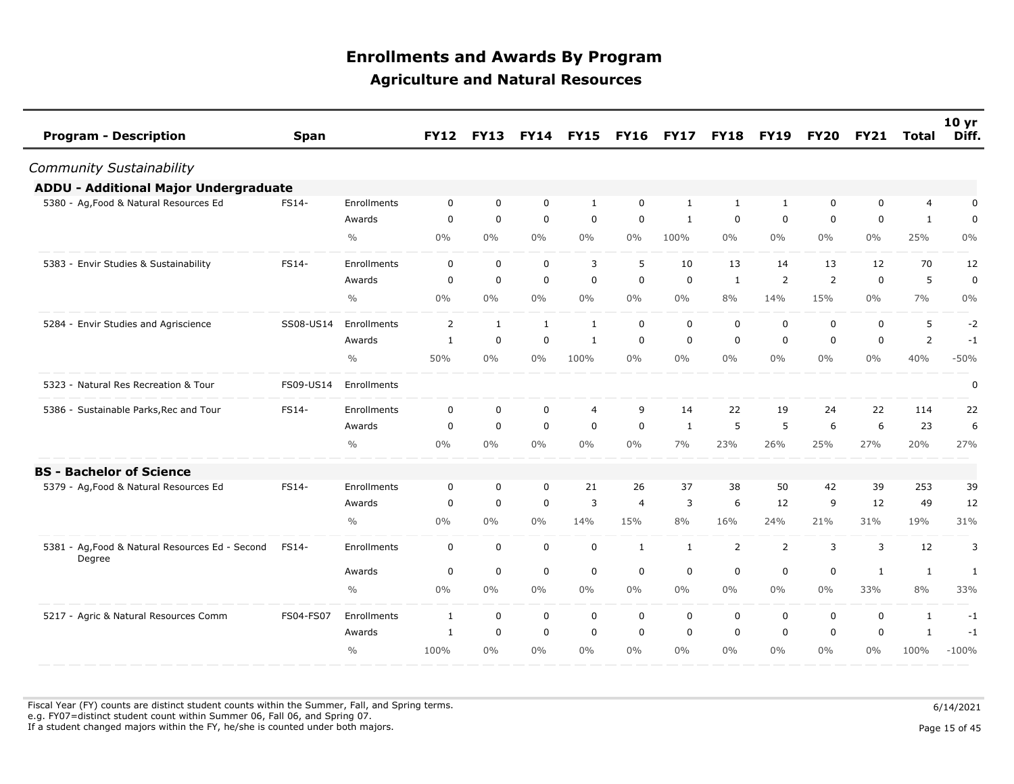| <b>Program - Description</b>                              | <b>Span</b>  |               | <b>FY12</b>  | <b>FY13</b> |              | <b>FY14 FY15</b> | <b>FY16</b>    | <b>FY17</b>  | <b>FY18</b>  | <b>FY19</b>    | <b>FY20</b> | <b>FY21</b> | Total          | 10 <sub>yr</sub><br>Diff. |
|-----------------------------------------------------------|--------------|---------------|--------------|-------------|--------------|------------------|----------------|--------------|--------------|----------------|-------------|-------------|----------------|---------------------------|
| Community Sustainability                                  |              |               |              |             |              |                  |                |              |              |                |             |             |                |                           |
| <b>ADDU - Additional Major Undergraduate</b>              |              |               |              |             |              |                  |                |              |              |                |             |             |                |                           |
| 5380 - Ag, Food & Natural Resources Ed                    | FS14-        | Enrollments   | $\mathbf 0$  | $\mathbf 0$ | $\mathbf 0$  | $\mathbf{1}$     | $\mathbf 0$    | 1            | $\mathbf{1}$ | $\mathbf{1}$   | 0           | 0           | $\overline{4}$ | $\pmb{0}$                 |
|                                                           |              | Awards        | $\mathbf 0$  | $\mathbf 0$ | $\mathbf 0$  | $\mathbf 0$      | $\mathbf 0$    | 1            | 0            | $\mathbf 0$    | 0           | $\mathbf 0$ | $\mathbf{1}$   | $\mathbf 0$               |
|                                                           |              | $\frac{0}{0}$ | $0\%$        | $0\%$       | $0\%$        | $0\%$            | $0\%$          | 100%         | $0\%$        | $0\%$          | $0\%$       | $0\%$       | 25%            | $0\%$                     |
| 5383 - Envir Studies & Sustainability                     | FS14-        | Enrollments   | $\mathbf 0$  | $\mathbf 0$ | $\mathbf 0$  | 3                | 5              | 10           | 13           | 14             | 13          | 12          | 70             | 12                        |
|                                                           |              | Awards        | $\mathbf 0$  | $\mathbf 0$ | $\mathbf 0$  | $\mathbf 0$      | $\mathbf 0$    | $\mathbf 0$  | $\mathbf{1}$ | 2              | 2           | $\mathbf 0$ | 5              | $\mathbf 0$               |
|                                                           |              | $\frac{0}{0}$ | $0\%$        | $0\%$       | $0\%$        | $0\%$            | $0\%$          | $0\%$        | 8%           | 14%            | 15%         | $0\%$       | 7%             | 0%                        |
| 5284 - Envir Studies and Agriscience                      | SS08-US14    | Enrollments   | 2            | 1           | $\mathbf{1}$ | $\mathbf{1}$     | $\mathbf 0$    | $\mathbf 0$  | $\mathbf 0$  | $\mathbf 0$    | 0           | $\mathbf 0$ | 5              | $-2$                      |
|                                                           |              | Awards        | $\mathbf{1}$ | $\mathbf 0$ | $\mathbf 0$  | $\mathbf{1}$     | $\mathbf 0$    | $\mathbf 0$  | $\mathbf 0$  | $\Omega$       | 0           | $\mathbf 0$ | $\overline{2}$ | $-1$                      |
|                                                           |              | $\frac{0}{0}$ | 50%          | $0\%$       | $0\%$        | 100%             | $0\%$          | $0\%$        | $0\%$        | $0\%$          | $0\%$       | $0\%$       | 40%            | $-50%$                    |
| 5323 - Natural Res Recreation & Tour                      | FS09-US14    | Enrollments   |              |             |              |                  |                |              |              |                |             |             |                | 0                         |
| 5386 - Sustainable Parks, Rec and Tour                    | FS14-        | Enrollments   | $\mathbf 0$  | $\mathbf 0$ | $\mathbf 0$  | 4                | 9              | 14           | 22           | 19             | 24          | 22          | 114            | 22                        |
|                                                           |              | Awards        | 0            | $\mathbf 0$ | $\mathbf 0$  | $\mathbf 0$      | $\mathbf 0$    | 1            | 5            | 5              | 6           | 6           | 23             | 6                         |
|                                                           |              | $\frac{0}{0}$ | $0\%$        | $0\%$       | $0\%$        | $0\%$            | $0\%$          | 7%           | 23%          | 26%            | 25%         | 27%         | 20%            | 27%                       |
| <b>BS - Bachelor of Science</b>                           |              |               |              |             |              |                  |                |              |              |                |             |             |                |                           |
| 5379 - Ag, Food & Natural Resources Ed                    | <b>FS14-</b> | Enrollments   | $\mathbf 0$  | $\mathbf 0$ | $\mathbf 0$  | 21               | 26             | 37           | 38           | 50             | 42          | 39          | 253            | 39                        |
|                                                           |              | Awards        | $\mathbf 0$  | $\mathbf 0$ | $\mathbf 0$  | 3                | $\overline{4}$ | 3            | 6            | 12             | 9           | 12          | 49             | 12                        |
|                                                           |              | $\frac{0}{0}$ | $0\%$        | $0\%$       | $0\%$        | 14%              | 15%            | 8%           | 16%          | 24%            | 21%         | 31%         | 19%            | 31%                       |
| 5381 - Ag, Food & Natural Resources Ed - Second<br>Degree | FS14-        | Enrollments   | $\mathbf 0$  | $\mathbf 0$ | $\mathbf 0$  | $\mathbf 0$      | $\mathbf{1}$   | $\mathbf{1}$ | 2            | $\overline{2}$ | 3           | 3           | 12             | 3                         |
|                                                           |              | Awards        | 0            | $\mathbf 0$ | $\mathbf 0$  | $\mathbf 0$      | $\mathbf 0$    | $\mathbf 0$  | 0            | $\mathbf 0$    | 0           | 1           | $\mathbf{1}$   | 1                         |
|                                                           |              | $\frac{0}{0}$ | $0\%$        | $0\%$       | $0\%$        | $0\%$            | $0\%$          | $0\%$        | $0\%$        | $0\%$          | $0\%$       | 33%         | 8%             | 33%                       |
| 5217 - Agric & Natural Resources Comm                     | FS04-FS07    | Enrollments   | 1            | $\mathbf 0$ | $\mathbf 0$  | $\mathbf 0$      | $\mathbf 0$    | $\mathbf 0$  | 0            | 0              | 0           | $\mathbf 0$ | $\mathbf{1}$   | $-1$                      |
|                                                           |              | Awards        | 1            | $\mathbf 0$ | $\mathbf 0$  | $\mathbf 0$      | $\mathbf 0$    | $\mathbf 0$  | $\mathbf 0$  | $\mathbf 0$    | $\mathbf 0$ | $\mathbf 0$ | $\mathbf{1}$   | $-1$                      |
|                                                           |              | $\frac{0}{0}$ | 100%         | $0\%$       | $0\%$        | $0\%$            | $0\%$          | $0\%$        | $0\%$        | $0\%$          | $0\%$       | $0\%$       | 100%           | $-100%$                   |

Fiscal Year (FY) counts are distinct student counts within the Summer, Fall, and Spring terms.  $6/14/2021$  e.g. FY07=distinct student count within Summer 06, Fall 06, and Spring 07. If a student changed majors within the FY, he/she is counted under both majors. Page 15 of 45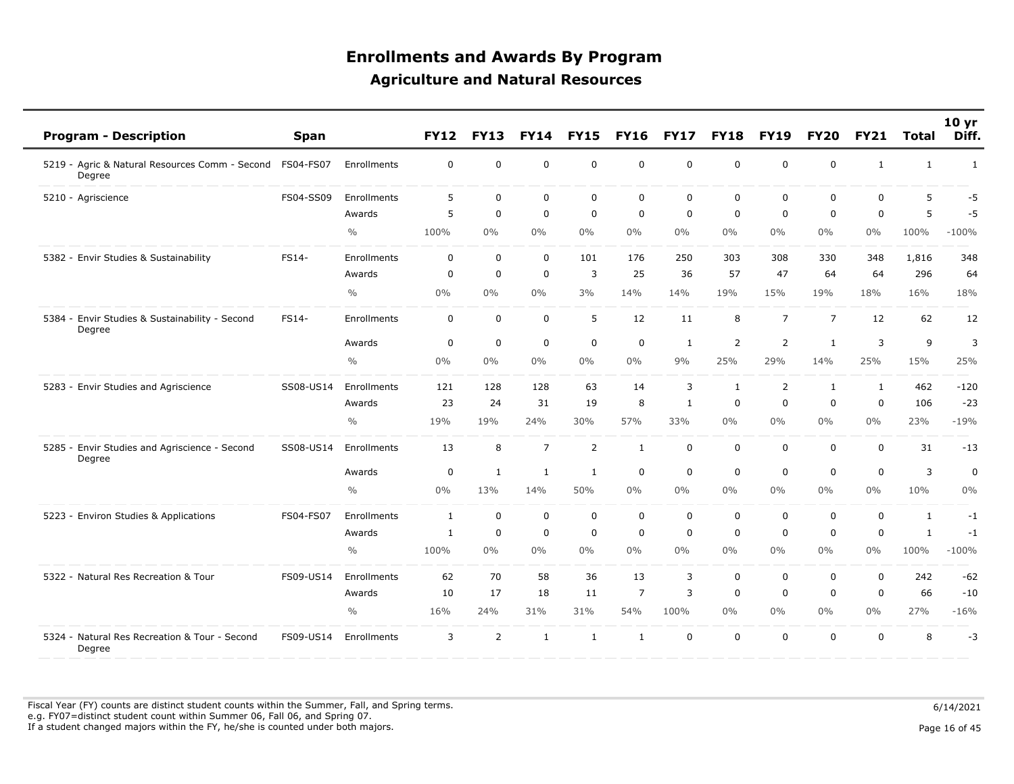| <b>Program - Description</b>                             | <b>Span</b>      |               | <b>FY12</b>  | <b>FY13</b>  | <b>FY14</b>    | <b>FY15</b>    | <b>FY16</b>    | <b>FY17</b> | <b>FY18</b>  | <b>FY19</b>    | <b>FY20</b>    | <b>FY21</b>  | <b>Total</b> | 10 yr<br>Diff. |
|----------------------------------------------------------|------------------|---------------|--------------|--------------|----------------|----------------|----------------|-------------|--------------|----------------|----------------|--------------|--------------|----------------|
| 5219 - Agric & Natural Resources Comm - Second<br>Degree | <b>FS04-FS07</b> | Enrollments   | $\mathbf 0$  | $\mathbf 0$  | $\mathbf 0$    | $\mathbf 0$    | $\mathbf 0$    | $\mathbf 0$ | $\mathbf 0$  | $\mathbf 0$    | $\mathbf 0$    | $\mathbf{1}$ | $\mathbf{1}$ | 1              |
| 5210 - Agriscience                                       | FS04-SS09        | Enrollments   | 5            | 0            | $\mathbf 0$    | $\mathbf 0$    | $\mathbf 0$    | $\mathbf 0$ | $\mathbf 0$  | $\mathbf 0$    | $\mathbf 0$    | $\mathbf 0$  | 5            | $-5$           |
|                                                          |                  | Awards        | 5            | $\mathbf 0$  | $\mathbf 0$    | $\mathbf 0$    | $\mathbf 0$    | $\mathbf 0$ | $\mathbf 0$  | $\mathbf 0$    | $\mathbf 0$    | $\mathbf 0$  | 5            | -5             |
|                                                          |                  | $\frac{0}{0}$ | 100%         | 0%           | 0%             | $0\%$          | $0\%$          | $0\%$       | $0\%$        | $0\%$          | $0\%$          | $0\%$        | 100%         | $-100%$        |
| 5382 - Envir Studies & Sustainability                    | FS14-            | Enrollments   | $\mathbf 0$  | $\mathbf 0$  | $\mathbf 0$    | 101            | 176            | 250         | 303          | 308            | 330            | 348          | 1,816        | 348            |
|                                                          |                  | Awards        | 0            | 0            | $\mathbf 0$    | 3              | 25             | 36          | 57           | 47             | 64             | 64           | 296          | 64             |
|                                                          |                  | $\frac{0}{0}$ | $0\%$        | $0\%$        | 0%             | 3%             | 14%            | 14%         | 19%          | 15%            | 19%            | 18%          | 16%          | 18%            |
| 5384 - Envir Studies & Sustainability - Second<br>Degree | FS14-            | Enrollments   | $\mathbf 0$  | 0            | $\mathbf 0$    | 5              | 12             | 11          | 8            | $\overline{7}$ | $\overline{7}$ | 12           | 62           | 12             |
|                                                          |                  | Awards        | $\mathbf 0$  | $\mathbf 0$  | $\mathbf 0$    | $\mathbf 0$    | $\mathbf 0$    | 1           | 2            | 2              | $\mathbf{1}$   | 3            | 9            | 3              |
|                                                          |                  | $\frac{0}{0}$ | $0\%$        | 0%           | 0%             | $0\%$          | 0%             | 9%          | 25%          | 29%            | 14%            | 25%          | 15%          | 25%            |
| 5283 - Envir Studies and Agriscience                     | SS08-US14        | Enrollments   | 121          | 128          | 128            | 63             | 14             | 3           | $\mathbf{1}$ | $\overline{2}$ | $\mathbf{1}$   | 1            | 462          | $-120$         |
|                                                          |                  | Awards        | 23           | 24           | 31             | 19             | 8              | 1           | $\mathbf 0$  | $\mathbf 0$    | 0              | 0            | 106          | $-23$          |
|                                                          |                  | $\frac{0}{0}$ | 19%          | 19%          | 24%            | 30%            | 57%            | 33%         | $0\%$        | $0\%$          | $0\%$          | $0\%$        | 23%          | $-19%$         |
| 5285 - Envir Studies and Agriscience - Second<br>Degree  | SS08-US14        | Enrollments   | 13           | 8            | $\overline{7}$ | $\overline{2}$ | $\mathbf{1}$   | $\mathbf 0$ | $\mathbf 0$  | $\mathbf 0$    | $\mathbf 0$    | $\mathbf 0$  | 31           | $-13$          |
|                                                          |                  | Awards        | $\mathbf 0$  | $\mathbf{1}$ | $\mathbf{1}$   | 1              | $\mathbf 0$    | $\mathbf 0$ | $\mathbf 0$  | $\mathbf 0$    | $\Omega$       | $\mathbf{0}$ | 3            | 0              |
|                                                          |                  | $\frac{0}{0}$ | $0\%$        | 13%          | 14%            | 50%            | $0\%$          | $0\%$       | $0\%$        | $0\%$          | $0\%$          | $0\%$        | 10%          | 0%             |
| 5223 - Environ Studies & Applications                    | FS04-FS07        | Enrollments   | $\mathbf{1}$ | 0            | $\mathbf 0$    | $\pmb{0}$      | $\mathbf 0$    | $\mathbf 0$ | $\mathbf 0$  | 0              | $\mathbf 0$    | $\mathbf 0$  | $\mathbf{1}$ | $-1$           |
|                                                          |                  | Awards        | $\mathbf{1}$ | $\mathbf 0$  | $\mathbf 0$    | $\mathbf 0$    | $\mathbf 0$    | $\Omega$    | $\mathbf 0$  | $\mathbf 0$    | $\mathbf 0$    | $\mathbf 0$  | $\mathbf{1}$ | $-1$           |
|                                                          |                  | $\frac{0}{0}$ | 100%         | $0\%$        | $0\%$          | $0\%$          | $0\%$          | $0\%$       | 0%           | $0\%$          | $0\%$          | $0\%$        | 100%         | $-100%$        |
| 5322 - Natural Res Recreation & Tour                     | FS09-US14        | Enrollments   | 62           | 70           | 58             | 36             | 13             | 3           | $\mathbf 0$  | $\mathbf 0$    | $\mathbf 0$    | $\mathbf 0$  | 242          | $-62$          |
|                                                          |                  | Awards        | 10           | 17           | 18             | 11             | $\overline{7}$ | 3           | $\mathbf 0$  | 0              | 0              | 0            | 66           | $-10$          |
|                                                          |                  | $\frac{0}{0}$ | 16%          | 24%          | 31%            | 31%            | 54%            | 100%        | $0\%$        | $0\%$          | $0\%$          | $0\%$        | 27%          | $-16%$         |
| 5324 - Natural Res Recreation & Tour - Second<br>Degree  | FS09-US14        | Enrollments   | 3            | 2            | $\mathbf{1}$   | $\mathbf{1}$   | $\mathbf{1}$   | $\mathbf 0$ | $\mathbf 0$  | $\mathbf 0$    | $\mathbf 0$    | $\mathbf 0$  | 8            | $-3$           |

Fiscal Year (FY) counts are distinct student counts within the Summer, Fall, and Spring terms.  $6/14/2021$  e.g. FY07=distinct student count within Summer 06, Fall 06, and Spring 07. If a student changed majors within the FY, he/she is counted under both majors. Page 16 of 45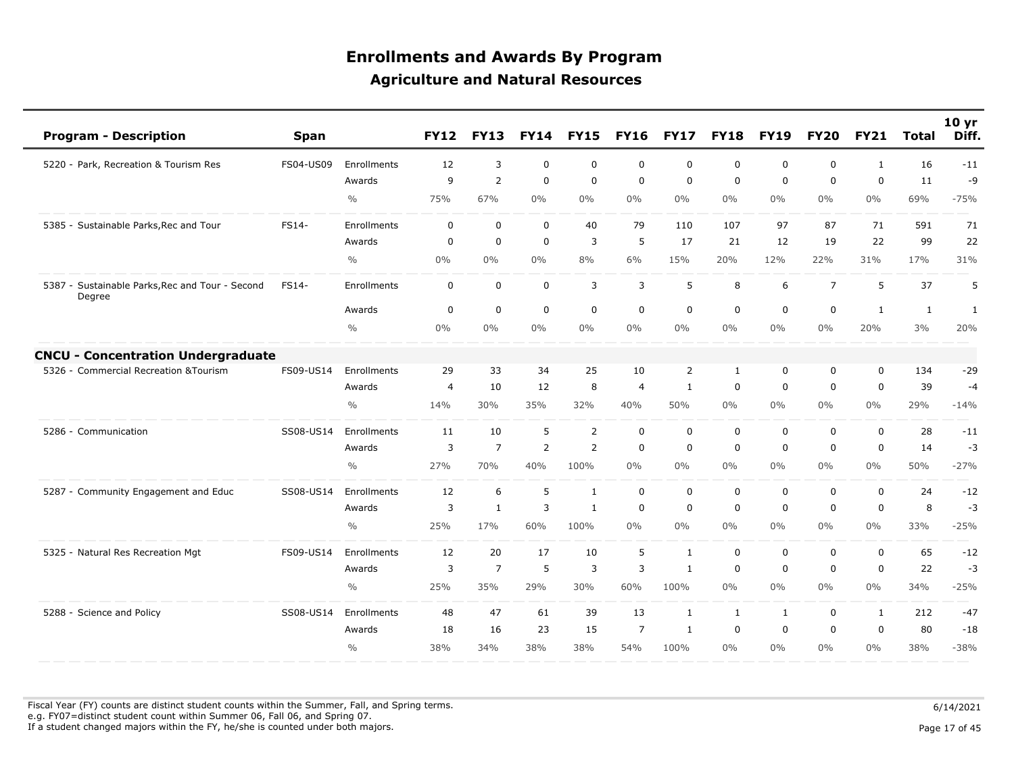|          | <b>Program - Description</b>                       | <b>Span</b> |               | <b>FY12</b>    | <b>FY13</b>    | <b>FY14</b>    | <b>FY15</b>    | <b>FY16</b>    | <b>FY17</b>  | <b>FY18</b>  | <b>FY19</b> | <b>FY20</b>    | <b>FY21</b>  | <b>Total</b> | 10 <sub>yr</sub><br>Diff. |
|----------|----------------------------------------------------|-------------|---------------|----------------|----------------|----------------|----------------|----------------|--------------|--------------|-------------|----------------|--------------|--------------|---------------------------|
|          | 5220 - Park, Recreation & Tourism Res              | FS04-US09   | Enrollments   | 12             | 3              | $\mathbf 0$    | $\mathbf 0$    | $\mathbf 0$    | $\mathbf 0$  | $\mathbf 0$  | $\mathbf 0$ | $\mathbf 0$    | $\mathbf{1}$ | 16           | $-11$                     |
|          |                                                    |             | Awards        | 9              | $\overline{2}$ | $\mathbf 0$    | $\Omega$       | $\Omega$       | $\mathbf 0$  | 0            | $\mathbf 0$ | 0              | $\Omega$     | 11           | -9                        |
|          |                                                    |             | $\frac{0}{0}$ | 75%            | 67%            | $0\%$          | 0%             | $0\%$          | $0\%$        | 0%           | $0\%$       | $0\%$          | $0\%$        | 69%          | $-75%$                    |
|          | 5385 - Sustainable Parks, Rec and Tour             | FS14-       | Enrollments   | $\mathbf{0}$   | $\mathbf 0$    | $\mathbf 0$    | 40             | 79             | 110          | 107          | 97          | 87             | 71           | 591          | 71                        |
|          |                                                    |             | Awards        | 0              | 0              | $\mathbf 0$    | 3              | 5              | 17           | 21           | 12          | 19             | 22           | 99           | 22                        |
|          |                                                    |             | $\frac{0}{0}$ | $0\%$          | $0\%$          | $0\%$          | 8%             | 6%             | 15%          | 20%          | 12%         | 22%            | 31%          | 17%          | 31%                       |
| $5387 -$ | Sustainable Parks, Rec and Tour - Second<br>Degree | FS14-       | Enrollments   | $\mathbf 0$    | $\mathbf 0$    | $\mathbf 0$    | 3              | 3              | 5            | 8            | 6           | $\overline{7}$ | 5            | 37           | 5                         |
|          |                                                    |             | Awards        | 0              | 0              | $\mathbf 0$    | $\mathbf 0$    | $\mathbf 0$    | $\mathbf 0$  | 0            | $\mathbf 0$ | $\mathbf 0$    | 1            | 1            | $\mathbf{1}$              |
|          |                                                    |             | $\frac{0}{0}$ | 0%             | $0\%$          | $0\%$          | 0%             | 0%             | $0\%$        | 0%           | $0\%$       | $0\%$          | 20%          | 3%           | 20%                       |
|          | <b>CNCU - Concentration Undergraduate</b>          |             |               |                |                |                |                |                |              |              |             |                |              |              |                           |
|          | 5326 - Commercial Recreation & Tourism             | FS09-US14   | Enrollments   | 29             | 33             | 34             | 25             | 10             | 2            | $\mathbf{1}$ | 0           | $\Omega$       | $\Omega$     | 134          | $-29$                     |
|          |                                                    |             | Awards        | $\overline{4}$ | 10             | 12             | 8              | $\overline{4}$ | $\mathbf{1}$ | $\mathbf 0$  | $\mathbf 0$ | 0              | $\mathbf 0$  | 39           | $-4$                      |
|          |                                                    |             | $\frac{0}{0}$ | 14%            | 30%            | 35%            | 32%            | 40%            | 50%          | $0\%$        | $0\%$       | $0\%$          | $0\%$        | 29%          | $-14%$                    |
|          | 5286 - Communication                               | SS08-US14   | Enrollments   | 11             | 10             | 5              | 2              | $\mathbf 0$    | $\mathbf 0$  | $\mathbf 0$  | $\mathbf 0$ | $\mathbf 0$    | $\mathbf 0$  | 28           | $-11$                     |
|          |                                                    |             | Awards        | 3              | $\overline{7}$ | $\overline{2}$ | $\overline{2}$ | $\Omega$       | $\mathbf 0$  | $\mathbf 0$  | $\mathbf 0$ | $\mathbf 0$    | $\mathbf 0$  | 14           | $-3$                      |
|          |                                                    |             | $\frac{0}{0}$ | 27%            | 70%            | 40%            | 100%           | 0%             | $0\%$        | $0\%$        | $0\%$       | $0\%$          | $0\%$        | 50%          | $-27%$                    |
|          | 5287 - Community Engagement and Educ               | SS08-US14   | Enrollments   | 12             | 6              | 5              | $\mathbf{1}$   | $\mathbf 0$    | $\mathbf 0$  | $\mathbf 0$  | $\mathbf 0$ | $\mathbf 0$    | $\mathbf 0$  | 24           | $-12$                     |
|          |                                                    |             | Awards        | 3              | $\mathbf{1}$   | 3              | 1              | 0              | $\mathbf 0$  | 0            | $\mathbf 0$ | $\mathbf 0$    | $\mathbf 0$  | 8            | $-3$                      |
|          |                                                    |             | $\frac{0}{0}$ | 25%            | 17%            | 60%            | 100%           | $0\%$          | $0\%$        | $0\%$        | $0\%$       | $0\%$          | $0\%$        | 33%          | $-25%$                    |
|          | 5325 - Natural Res Recreation Mgt                  | FS09-US14   | Enrollments   | 12             | 20             | 17             | 10             | 5              | 1            | $\mathbf 0$  | $\mathbf 0$ | $\mathbf 0$    | $\mathbf 0$  | 65           | $-12$                     |
|          |                                                    |             | Awards        | 3              | $\overline{7}$ | 5              | 3              | 3              | 1            | $\mathbf 0$  | $\mathbf 0$ | $\mathbf 0$    | $\mathbf 0$  | 22           | $-3$                      |
|          |                                                    |             | $\frac{0}{0}$ | 25%            | 35%            | 29%            | 30%            | 60%            | 100%         | 0%           | $0\%$       | $0\%$          | $0\%$        | 34%          | $-25%$                    |
|          | 5288 - Science and Policy                          | SS08-US14   | Enrollments   | 48             | 47             | 61             | 39             | 13             | $\mathbf{1}$ | 1            | 1           | $\mathbf 0$    | 1            | 212          | $-47$                     |
|          |                                                    |             | Awards        | 18             | 16             | 23             | 15             | 7              | 1            | $\mathbf 0$  | $\mathbf 0$ | 0              | $\Omega$     | 80           | $-18$                     |
|          |                                                    |             | $\frac{0}{0}$ | 38%            | 34%            | 38%            | 38%            | 54%            | 100%         | $0\%$        | $0\%$       | $0\%$          | $0\%$        | 38%          | $-38%$                    |

Fiscal Year (FY) counts are distinct student counts within the Summer, Fall, and Spring terms.  $6/14/2021$  e.g. FY07=distinct student count within Summer 06, Fall 06, and Spring 07. If a student changed majors within the FY, he/she is counted under both majors. Page 17 of 45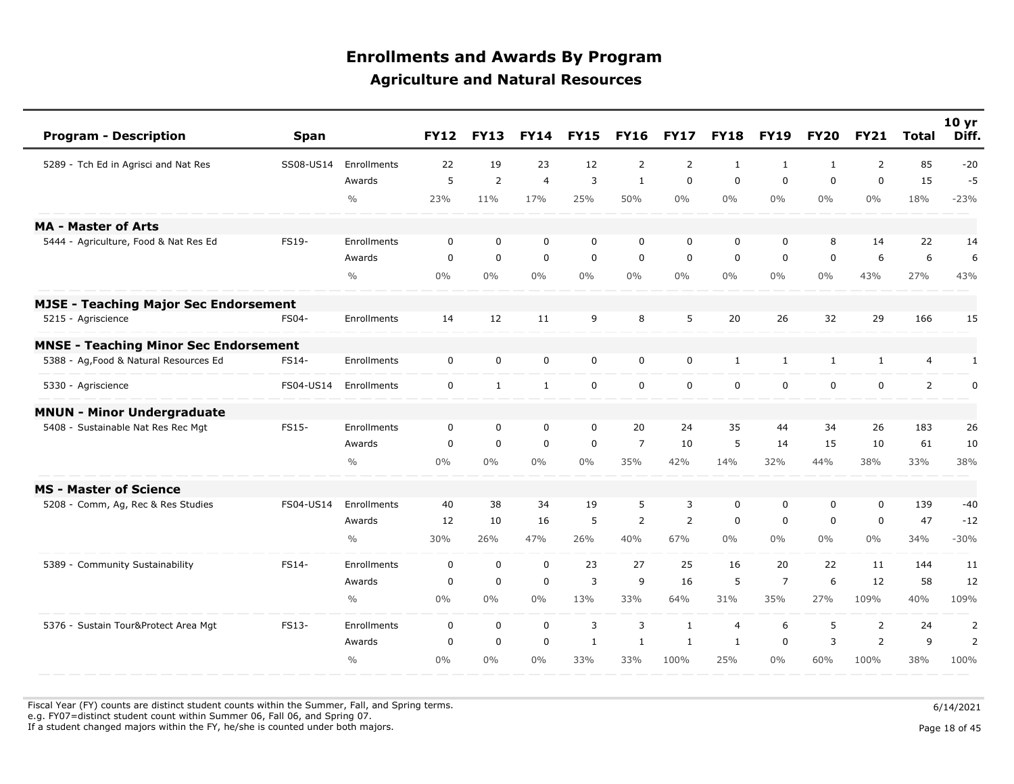| <b>Program - Description</b>                 | <b>Span</b> |               | <b>FY12</b>             | <b>FY13</b>    | <b>FY14</b>    | <b>FY15</b>    | <b>FY16</b>    | <b>FY17</b>    | <b>FY18</b>    | <b>FY19</b>    | <b>FY20</b>  | <b>FY21</b>    | <b>Total</b>   | 10 <sub>yr</sub><br>Diff. |
|----------------------------------------------|-------------|---------------|-------------------------|----------------|----------------|----------------|----------------|----------------|----------------|----------------|--------------|----------------|----------------|---------------------------|
| 5289 - Tch Ed in Agrisci and Nat Res         | SS08-US14   | Enrollments   | 22                      | 19             | 23             | 12             | $\overline{2}$ | $\overline{2}$ | $\mathbf{1}$   | $\mathbf{1}$   | $\mathbf{1}$ | $\overline{2}$ | 85             | $-20$                     |
|                                              |             | Awards        | 5                       | $\overline{2}$ | $\overline{4}$ | 3              | $\mathbf{1}$   | $\mathbf 0$    | $\mathbf 0$    | $\mathbf 0$    | 0            | $\mathbf 0$    | 15             | $-5$                      |
|                                              |             | $\frac{0}{0}$ | 23%                     | 11%            | 17%            | 25%            | 50%            | $0\%$          | $0\%$          | $0\%$          | $0\%$        | $0\%$          | 18%            | $-23%$                    |
| <b>MA - Master of Arts</b>                   |             |               |                         |                |                |                |                |                |                |                |              |                |                |                           |
| 5444 - Agriculture, Food & Nat Res Ed        | FS19-       | Enrollments   | $\mathbf 0$             | $\mathbf 0$    | $\mathbf 0$    | $\mathbf 0$    | $\mathbf 0$    | $\mathbf 0$    | $\mathbf 0$    | $\mathbf 0$    | 8            | 14             | 22             | 14                        |
|                                              |             | Awards        | $\mathbf 0$             | $\mathbf 0$    | $\mathbf 0$    | $\mathbf 0$    | $\mathbf 0$    | $\mathbf 0$    | $\mathbf 0$    | $\mathbf 0$    | 0            | 6              | 6              | 6                         |
|                                              |             | $\frac{0}{0}$ | 0%                      | $0\%$          | $0\%$          | $0\%$          | $0\%$          | $0\%$          | $0\%$          | $0\%$          | $0\%$        | 43%            | 27%            | 43%                       |
| <b>MJSE - Teaching Major Sec Endorsement</b> |             |               |                         |                |                |                |                |                |                |                |              |                |                |                           |
| 5215 - Agriscience                           | FS04-       | Enrollments   | 14                      | 12             | 11             | 9              | 8              | 5              | 20             | 26             | 32           | 29             | 166            | 15                        |
| <b>MNSE - Teaching Minor Sec Endorsement</b> |             |               |                         |                |                |                |                |                |                |                |              |                |                |                           |
| 5388 - Ag, Food & Natural Resources Ed       | FS14-       | Enrollments   | $\mathbf 0$             | $\mathbf 0$    | $\mathbf 0$    | $\mathbf 0$    | $\mathbf 0$    | $\mathbf 0$    | $\mathbf{1}$   | $\mathbf{1}$   | $\mathbf{1}$ | $\mathbf{1}$   | 4              | $\mathbf{1}$              |
| 5330 - Agriscience                           | FS04-US14   | Enrollments   | $\mathsf{O}\phantom{0}$ | $\mathbf{1}$   | $\mathbf{1}$   | $\mathbf 0$    | $\mathbf 0$    | $\mathbf 0$    | $\mathbf 0$    | $\mathbf 0$    | $\mathbf 0$  | $\mathbf 0$    | $\overline{2}$ | $\pmb{0}$                 |
| <b>MNUN - Minor Undergraduate</b>            |             |               |                         |                |                |                |                |                |                |                |              |                |                |                           |
| 5408 - Sustainable Nat Res Rec Mgt           | FS15-       | Enrollments   | $\mathbf 0$             | $\mathbf 0$    | $\mathbf 0$    | $\mathbf 0$    | 20             | 24             | 35             | 44             | 34           | 26             | 183            | 26                        |
|                                              |             | Awards        | 0                       | $\mathbf 0$    | $\mathbf 0$    | $\mathbf 0$    | $\overline{7}$ | 10             | 5              | 14             | 15           | 10             | 61             | 10                        |
|                                              |             | $\frac{0}{0}$ | 0%                      | $0\%$          | $0\%$          | $0\%$          | 35%            | 42%            | 14%            | 32%            | 44%          | 38%            | 33%            | 38%                       |
| <b>MS - Master of Science</b>                |             |               |                         |                |                |                |                |                |                |                |              |                |                |                           |
| 5208 - Comm, Ag, Rec & Res Studies           | FS04-US14   | Enrollments   | 40                      | 38             | 34             | 19             | 5              | 3              | $\mathbf 0$    | $\mathbf 0$    | 0            | $\mathbf 0$    | 139            | $-40$                     |
|                                              |             | Awards        | 12                      | 10             | 16             | 5              | $\overline{2}$ | 2              | 0              | $\mathbf 0$    | 0            | 0              | 47             | $-12$                     |
|                                              |             | $\frac{0}{0}$ | 30%                     | 26%            | 47%            | 26%            | 40%            | 67%            | $0\%$          | $0\%$          | $0\%$        | $0\%$          | 34%            | $-30%$                    |
| 5389 - Community Sustainability              | FS14-       | Enrollments   | $\mathbf 0$             | $\mathbf 0$    | $\mathbf 0$    | 23             | 27             | 25             | 16             | 20             | 22           | 11             | 144            | 11                        |
|                                              |             | Awards        | $\boldsymbol{0}$        | $\mathbf 0$    | $\mathbf 0$    | $\overline{3}$ | 9              | 16             | 5              | $\overline{7}$ | 6            | 12             | 58             | 12                        |
|                                              |             | $\frac{0}{0}$ | 0%                      | $0\%$          | $0\%$          | 13%            | 33%            | 64%            | 31%            | 35%            | 27%          | 109%           | 40%            | 109%                      |
| 5376 - Sustain Tour&Protect Area Mgt         | FS13-       | Enrollments   | $\mathbf 0$             | $\mathbf 0$    | $\mathbf 0$    | 3              | 3              | $\mathbf{1}$   | $\overline{4}$ | 6              | 5            | 2              | 24             | $\overline{2}$            |
|                                              |             | Awards        | $\mathbf 0$             | $\mathbf 0$    | $\mathbf 0$    | $\mathbf{1}$   | $\mathbf{1}$   | 1              | $\mathbf{1}$   | $\mathbf 0$    | 3            | $\overline{2}$ | 9              | $\overline{2}$            |
|                                              |             | $\frac{0}{0}$ | 0%                      | $0\%$          | 0%             | 33%            | 33%            | 100%           | 25%            | $0\%$          | 60%          | 100%           | 38%            | 100%                      |

Fiscal Year (FY) counts are distinct student counts within the Summer, Fall, and Spring terms.  $6/14/2021$ e.g. FY07=distinct student count within Summer 06, Fall 06, and Spring 07.

If a student changed majors within the FY, he/she is counted under both majors. Page 18 of 45

Page 18 of 45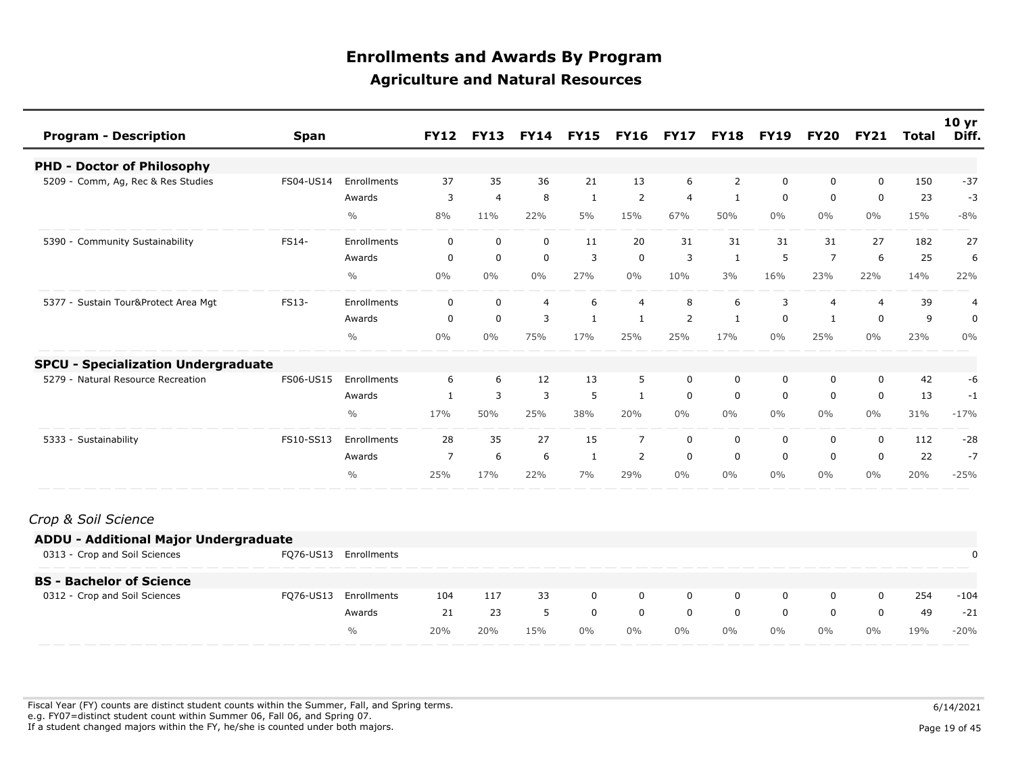| <b>Program - Description</b>               | Span      |               | <b>FY12</b>    | <b>FY13</b>    |                | <b>FY14 FY15</b> | <b>FY16</b>    | <b>FY17</b>    |                | <b>FY18 FY19</b> | <b>FY20</b>    | <b>FY21</b>    | Total | 10 <sub>yr</sub><br>Diff. |
|--------------------------------------------|-----------|---------------|----------------|----------------|----------------|------------------|----------------|----------------|----------------|------------------|----------------|----------------|-------|---------------------------|
| <b>PHD - Doctor of Philosophy</b>          |           |               |                |                |                |                  |                |                |                |                  |                |                |       |                           |
| 5209 - Comm, Ag, Rec & Res Studies         | FS04-US14 | Enrollments   | 37             | 35             | 36             | 21               | 13             | 6              | $\overline{2}$ | $\mathbf 0$      | 0              | $\mathbf 0$    | 150   | $-37$                     |
|                                            |           | Awards        | 3              | $\overline{4}$ | 8              | 1                | 2              | $\overline{4}$ | $\mathbf{1}$   | $\mathbf 0$      | 0              | $\mathbf 0$    | 23    | $-3$                      |
|                                            |           | $\frac{0}{0}$ | 8%             | 11%            | 22%            | 5%               | 15%            | 67%            | 50%            | $0\%$            | $0\%$          | $0\%$          | 15%   | $-8%$                     |
| 5390 - Community Sustainability            | FS14-     | Enrollments   | $\mathbf 0$    | $\mathbf 0$    | $\mathbf 0$    | 11               | 20             | 31             | 31             | 31               | 31             | 27             | 182   | 27                        |
|                                            |           | Awards        | $\mathbf 0$    | $\mathbf 0$    | $\mathbf 0$    | 3                | $\mathbf 0$    | 3              | 1              | 5                | $\overline{7}$ | 6              | 25    | 6                         |
|                                            |           | $\frac{0}{0}$ | $0\%$          | $0\%$          | 0%             | 27%              | 0%             | 10%            | 3%             | 16%              | 23%            | 22%            | 14%   | 22%                       |
| 5377 - Sustain Tour&Protect Area Mgt       | FS13-     | Enrollments   | 0              | 0              | $\overline{4}$ | 6                | $\overline{4}$ | 8              | 6              | 3                | $\overline{4}$ | $\overline{4}$ | 39    | 4                         |
|                                            |           | Awards        | 0              | $\mathbf 0$    | 3              | $\mathbf{1}$     | 1              | $\overline{2}$ | 1              | $\mathbf 0$      |                | 0              | 9     | 0                         |
|                                            |           | $\frac{0}{0}$ | 0%             | 0%             | 75%            | 17%              | 25%            | 25%            | 17%            | $0\%$            | 25%            | $0\%$          | 23%   | 0%                        |
| <b>SPCU - Specialization Undergraduate</b> |           |               |                |                |                |                  |                |                |                |                  |                |                |       |                           |
| Natural Resource Recreation<br>5279        | FS06-US15 | Enrollments   | 6              | 6              | 12             | 13               | 5              | $\mathbf 0$    | $\mathbf 0$    | 0                | 0              | 0              | 42    | -6                        |
|                                            |           | Awards        | $\mathbf{1}$   | 3              | 3              | 5                | 1              | 0              | $\mathbf 0$    | $\mathbf 0$      | 0              | 0              | 13    | $-1$                      |
|                                            |           | $\frac{0}{0}$ | 17%            | 50%            | 25%            | 38%              | 20%            | $0\%$          | $0\%$          | $0\%$            | $0\%$          | $0\%$          | 31%   | $-17%$                    |
| 5333 - Sustainability                      | FS10-SS13 | Enrollments   | 28             | 35             | 27             | 15               | $\overline{7}$ | $\Omega$       | $\mathbf 0$    | $\mathbf 0$      | $\Omega$       | $\Omega$       | 112   | $-28$                     |
|                                            |           | Awards        | $\overline{7}$ | 6              | 6              | $\mathbf{1}$     | 2              | $\mathbf 0$    | $\mathbf 0$    | $\mathbf 0$      | $\mathbf{0}$   | 0              | 22    | $-7$                      |
|                                            |           | $\frac{0}{0}$ | 25%            | 17%            | 22%            | 7%               | 29%            | $0\%$          | $0\%$          | $0\%$            | $0\%$          | $0\%$          | 20%   | $-25%$                    |
|                                            |           |               |                |                |                |                  |                |                |                |                  |                |                |       |                           |

#### *Crop & Soil Science*

| <b>ADDU - Additional Major Undergraduate</b> |           |               |     |     |     |       |       |       |       |       |       |       |     |        |
|----------------------------------------------|-----------|---------------|-----|-----|-----|-------|-------|-------|-------|-------|-------|-------|-----|--------|
| 0313 - Crop and Soil Sciences                | FQ76-US13 | Enrollments   |     |     |     |       |       |       |       |       |       |       |     |        |
| <b>BS - Bachelor of Science</b>              |           |               |     |     |     |       |       |       |       |       |       |       |     |        |
| 0312 - Crop and Soil Sciences                | FQ76-US13 | Enrollments   | 104 | 117 | 33  | 0     | 0     | 0     | 0     | 0     | 0     |       | 254 | $-104$ |
|                                              |           | Awards        | 21  | 23  |     | 0     |       | 0     | 0     | 0     | 0     |       | 49  | $-21$  |
|                                              |           | $\frac{0}{0}$ | 20% | 20% | 15% | $0\%$ | $0\%$ | $0\%$ | $0\%$ | $0\%$ | $0\%$ | $0\%$ | 19% | $-20%$ |

Fiscal Year (FY) counts are distinct student counts within the Summer, Fall, and Spring terms.  $6/14/2021$  e.g. FY07=distinct student count within Summer 06, Fall 06, and Spring 07. If a student changed majors within the FY, he/she is counted under both majors. Page 19 of 45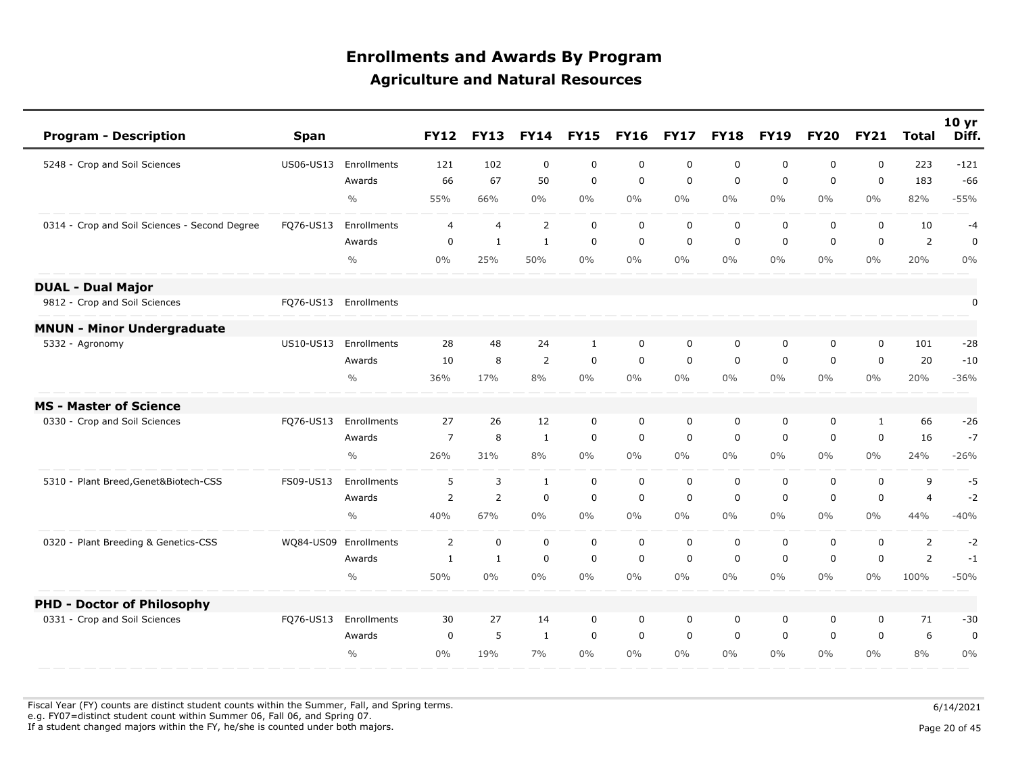| <b>Program - Description</b>                  | <b>Span</b> |                       | <b>FY12</b>    | <b>FY13</b>    | <b>FY14</b>    | <b>FY15</b>  | <b>FY16</b> | <b>FY17</b> | <b>FY18</b> | <b>FY19</b> | <b>FY20</b> | <b>FY21</b> | <b>Total</b>   | 10 yr<br>Diff. |
|-----------------------------------------------|-------------|-----------------------|----------------|----------------|----------------|--------------|-------------|-------------|-------------|-------------|-------------|-------------|----------------|----------------|
| 5248 - Crop and Soil Sciences                 | US06-US13   | Enrollments           | 121            | 102            | $\mathbf 0$    | $\mathbf 0$  | $\mathbf 0$ | $\mathbf 0$ | $\mathbf 0$ | $\mathbf 0$ | 0           | $\mathbf 0$ | 223            | $-121$         |
|                                               |             | Awards                | 66             | 67             | 50             | $\mathbf 0$  | $\mathbf 0$ | $\mathbf 0$ | $\mathbf 0$ | $\mathbf 0$ | 0           | $\mathbf 0$ | 183            | $-66$          |
|                                               |             | $\frac{0}{0}$         | 55%            | 66%            | $0\%$          | $0\%$        | $0\%$       | $0\%$       | $0\%$       | $0\%$       | $0\%$       | $0\%$       | 82%            | $-55%$         |
| 0314 - Crop and Soil Sciences - Second Degree | FQ76-US13   | Enrollments           | 4              | $\overline{4}$ | $\overline{2}$ | $\mathbf 0$  | $\mathbf 0$ | $\mathbf 0$ | $\mathbf 0$ | $\mathbf 0$ | 0           | $\mathbf 0$ | 10             | $-4$           |
|                                               |             | Awards                | $\mathbf 0$    | $\mathbf{1}$   | $\mathbf{1}$   | $\mathbf 0$  | $\mathbf 0$ | $\mathbf 0$ | $\mathbf 0$ | $\mathbf 0$ | $\mathbf 0$ | $\mathbf 0$ | $\overline{2}$ | $\mathbf 0$    |
|                                               |             | $\frac{0}{0}$         | $0\%$          | 25%            | 50%            | $0\%$        | $0\%$       | $0\%$       | $0\%$       | $0\%$       | $0\%$       | $0\%$       | 20%            | 0%             |
| <b>DUAL - Dual Major</b>                      |             |                       |                |                |                |              |             |             |             |             |             |             |                |                |
| 9812 - Crop and Soil Sciences                 |             | FQ76-US13 Enrollments |                |                |                |              |             |             |             |             |             |             |                | 0              |
| <b>MNUN - Minor Undergraduate</b>             |             |                       |                |                |                |              |             |             |             |             |             |             |                |                |
| 5332 - Agronomy                               | US10-US13   | Enrollments           | 28             | 48             | 24             | $\mathbf{1}$ | $\mathbf 0$ | $\mathbf 0$ | $\mathbf 0$ | 0           | 0           | $\mathbf 0$ | 101            | $-28$          |
|                                               |             | Awards                | 10             | 8              | $\overline{2}$ | $\mathbf 0$  | 0           | $\mathbf 0$ | 0           | $\mathbf 0$ | 0           | $\mathbf 0$ | 20             | $-10$          |
|                                               |             | $\frac{0}{0}$         | 36%            | 17%            | 8%             | $0\%$        | $0\%$       | $0\%$       | $0\%$       | $0\%$       | $0\%$       | $0\%$       | 20%            | $-36%$         |
| <b>MS - Master of Science</b>                 |             |                       |                |                |                |              |             |             |             |             |             |             |                |                |
| 0330 - Crop and Soil Sciences                 | FQ76-US13   | Enrollments           | 27             | 26             | 12             | $\mathbf 0$  | $\mathbf 0$ | $\mathbf 0$ | $\mathbf 0$ | 0           | 0           | 1           | 66             | $-26$          |
|                                               |             | Awards                | $\overline{7}$ | 8              | $\mathbf{1}$   | $\mathbf 0$  | $\mathbf 0$ | $\mathbf 0$ | $\mathbf 0$ | $\mathbf 0$ | 0           | $\mathbf 0$ | 16             | $-7$           |
|                                               |             | $\frac{0}{0}$         | 26%            | 31%            | 8%             | $0\%$        | $0\%$       | $0\%$       | $0\%$       | $0\%$       | $0\%$       | $0\%$       | 24%            | $-26%$         |
| 5310 - Plant Breed, Genet&Biotech-CSS         | FS09-US13   | Enrollments           | 5              | 3              | $\mathbf{1}$   | $\mathbf 0$  | $\mathbf 0$ | $\mathbf 0$ | $\mathbf 0$ | $\mathbf 0$ | 0           | $\mathbf 0$ | 9              | $-5$           |
|                                               |             | Awards                | $\overline{2}$ | 2              | $\mathbf 0$    | $\mathbf 0$  | $\mathbf 0$ | $\mathbf 0$ | $\mathbf 0$ | $\mathbf 0$ | $\mathbf 0$ | $\mathbf 0$ | $\overline{4}$ | $-2$           |
|                                               |             | $\frac{0}{0}$         | 40%            | 67%            | $0\%$          | $0\%$        | $0\%$       | $0\%$       | $0\%$       | $0\%$       | $0\%$       | $0\%$       | 44%            | $-40%$         |
| 0320 - Plant Breeding & Genetics-CSS          | WQ84-US09   | Enrollments           | $\overline{2}$ | $\mathbf 0$    | $\mathbf 0$    | $\mathbf 0$  | $\mathbf 0$ | $\mathbf 0$ | $\mathbf 0$ | $\mathbf 0$ | 0           | $\mathbf 0$ | $\overline{2}$ | $-2$           |
|                                               |             | Awards                | $\mathbf{1}$   | $\mathbf{1}$   | $\mathbf 0$    | $\mathsf 0$  | 0           | $\mathbf 0$ | $\mathbf 0$ | $\mathbf 0$ | 0           | $\mathbf 0$ | $\overline{2}$ | $-1$           |
|                                               |             | $\frac{0}{0}$         | 50%            | $0\%$          | $0\%$          | $0\%$        | 0%          | $0\%$       | $0\%$       | $0\%$       | $0\%$       | $0\%$       | 100%           | $-50%$         |
| <b>PHD - Doctor of Philosophy</b>             |             |                       |                |                |                |              |             |             |             |             |             |             |                |                |
| 0331 - Crop and Soil Sciences                 | FQ76-US13   | Enrollments           | 30             | 27             | 14             | $\mathbf 0$  | $\mathbf 0$ | $\mathbf 0$ | $\mathbf 0$ | $\mathbf 0$ | 0           | $\mathbf 0$ | 71             | $-30$          |
|                                               |             | Awards                | $\mathbf 0$    | 5              | $\mathbf{1}$   | $\mathbf 0$  | $\mathbf 0$ | $\mathbf 0$ | $\mathbf 0$ | $\mathbf 0$ | 0           | $\mathbf 0$ | 6              | $\mathbf 0$    |
|                                               |             | $\frac{0}{0}$         | 0%             | 19%            | 7%             | $0\%$        | $0\%$       | $0\%$       | $0\%$       | $0\%$       | $0\%$       | $0\%$       | 8%             | 0%             |

Fiscal Year (FY) counts are distinct student counts within the Summer, Fall, and Spring terms.  $6/14/2021$ e.g. FY07=distinct student count within Summer 06, Fall 06, and Spring 07.

If a student changed majors within the FY, he/she is counted under both majors. Page 20 of 45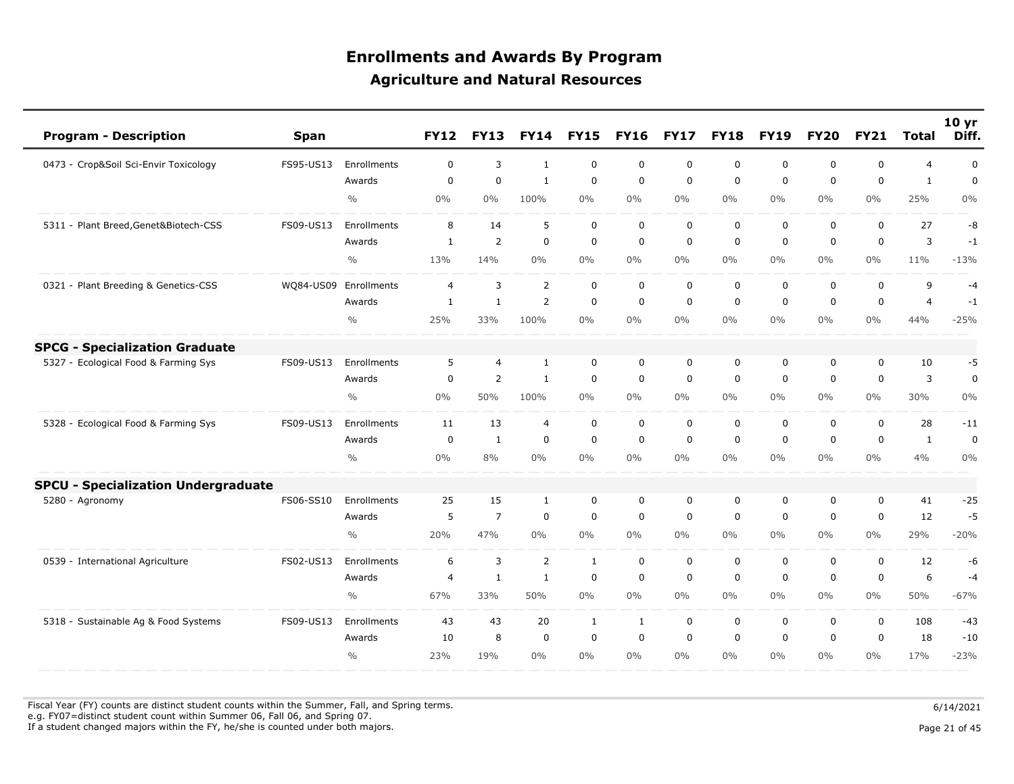| <b>Program - Description</b>               | <b>Span</b> |                    | <b>FY12</b>    | <b>FY13</b>    | <b>FY14</b>    | <b>FY15</b>  | <b>FY16</b> | <b>FY17</b> | <b>FY18</b> | <b>FY19</b> | <b>FY20</b> | <b>FY21</b>  | <b>Total</b>   | 10 yr<br>Diff. |
|--------------------------------------------|-------------|--------------------|----------------|----------------|----------------|--------------|-------------|-------------|-------------|-------------|-------------|--------------|----------------|----------------|
| 0473 - Crop&Soil Sci-Envir Toxicology      | FS95-US13   | Enrollments        | 0              | 3              | $\mathbf{1}$   | $\mathbf 0$  | 0           | 0           | 0           | 0           | $\mathbf 0$ | 0            | $\overline{4}$ | $\pmb{0}$      |
|                                            |             | Awards             | $\Omega$       | $\Omega$       | 1              | $\mathbf 0$  | $\mathbf 0$ | $\mathbf 0$ | $\mathbf 0$ | $\mathbf 0$ | $\Omega$    | $\mathbf 0$  | $\mathbf{1}$   | $\mathbf 0$    |
|                                            |             | $\frac{0}{0}$      | 0%             | 0%             | 100%           | $0\%$        | $0\%$       | $0\%$       | $0\%$       | $0\%$       | $0\%$       | $0\%$        | 25%            | 0%             |
| 5311 - Plant Breed, Genet&Biotech-CSS      | FS09-US13   | <b>Enrollments</b> | 8              | 14             | 5              | $\mathbf 0$  | $\mathbf 0$ | $\mathbf 0$ | $\mathbf 0$ | $\mathbf 0$ | 0           | $\mathbf 0$  | 27             | -8             |
|                                            |             | Awards             | $\mathbf{1}$   | $\overline{2}$ | $\mathbf 0$    | $\mathbf 0$  | $\mathbf 0$ | $\mathbf 0$ | $\mathbf 0$ | $\mathbf 0$ | $\mathbf 0$ | $\mathbf 0$  | 3              | $-1$           |
|                                            |             | $\frac{0}{0}$      | 13%            | 14%            | 0%             | $0\%$        | $0\%$       | $0\%$       | $0\%$       | $0\%$       | $0\%$       | $0\%$        | 11%            | $-13%$         |
| 0321 - Plant Breeding & Genetics-CSS       | WQ84-US09   | Enrollments        | $\overline{4}$ | 3              | 2              | $\mathbf 0$  | $\mathbf 0$ | $\Omega$    | $\mathbf 0$ | $\mathbf 0$ | $\mathbf 0$ | $\mathbf 0$  | 9              | $-4$           |
|                                            |             | Awards             | $\mathbf{1}$   | $\mathbf{1}$   | $\overline{2}$ | $\mathbf 0$  | $\mathbf 0$ | $\mathbf 0$ | $\mathbf 0$ | $\mathbf 0$ | $\mathbf 0$ | $\mathbf 0$  | $\overline{4}$ | $-1$           |
|                                            |             | $\frac{0}{0}$      | 25%            | 33%            | 100%           | 0%           | 0%          | $0\%$       | $0\%$       | $0\%$       | $0\%$       | $0\%$        | 44%            | $-25%$         |
| <b>SPCG - Specialization Graduate</b>      |             |                    |                |                |                |              |             |             |             |             |             |              |                |                |
| 5327 - Ecological Food & Farming Sys       | FS09-US13   | Enrollments        | 5              | $\overline{4}$ | $\mathbf{1}$   | $\mathbf 0$  | 0           | $\mathbf 0$ | 0           | 0           | $\mathbf 0$ | $\mathbf 0$  | 10             | $-5$           |
|                                            |             | Awards             | $\mathbf 0$    | $\overline{2}$ | $\mathbf{1}$   | $\mathbf 0$  | $\mathbf 0$ | $\mathbf 0$ | $\mathbf 0$ | $\mathbf 0$ | $\mathbf 0$ | $\mathbf 0$  | 3              | $\mathbf 0$    |
|                                            |             | $\frac{0}{0}$      | 0%             | 50%            | 100%           | $0\%$        | 0%          | $0\%$       | $0\%$       | $0\%$       | $0\%$       | $0\%$        | 30%            | 0%             |
| 5328 - Ecological Food & Farming Sys       | FS09-US13   | Enrollments        | 11             | 13             | $\overline{4}$ | $\mathsf 0$  | $\mathbf 0$ | $\mathbf 0$ | $\mathbf 0$ | $\mathbf 0$ | $\mathbf 0$ | $\mathbf 0$  | 28             | $-11$          |
|                                            |             | Awards             | 0              | $\mathbf{1}$   | $\mathbf 0$    | $\mathbf 0$  | $\mathbf 0$ | $\mathbf 0$ | $\mathbf 0$ | $\mathbf 0$ | $\mathbf 0$ | $\mathbf 0$  | $\mathbf{1}$   | $\mathbf 0$    |
|                                            |             | $\frac{0}{0}$      | 0%             | 8%             | 0%             | $0\%$        | $0\%$       | $0\%$       | $0\%$       | $0\%$       | $0\%$       | $0\%$        | 4%             | 0%             |
| <b>SPCU - Specialization Undergraduate</b> |             |                    |                |                |                |              |             |             |             |             |             |              |                |                |
| 5280 - Agronomy                            | FS06-SS10   | <b>Enrollments</b> | 25             | 15             | $\mathbf{1}$   | 0            | 0           | 0           | 0           | 0           | 0           | 0            | 41             | $-25$          |
|                                            |             | Awards             | 5              | $\overline{7}$ | $\mathbf 0$    | $\mathbf 0$  | $\mathbf 0$ | $\mathbf 0$ | $\mathbf 0$ | $\mathbf 0$ | $\mathbf 0$ | $\mathbf 0$  | 12             | $-5$           |
|                                            |             | $\frac{0}{0}$      | 20%            | 47%            | 0%             | $0\%$        | $0\%$       | $0\%$       | $0\%$       | $0\%$       | $0\%$       | $0\%$        | 29%            | $-20%$         |
| 0539 - International Agriculture           | FS02-US13   | Enrollments        | 6              | 3              | $\overline{2}$ | $\mathbf{1}$ | $\mathbf 0$ | $\mathsf 0$ | $\mathbf 0$ | $\mathbf 0$ | $\mathbf 0$ | 0            | 12             | -6             |
|                                            |             | Awards             | 4              | $\mathbf{1}$   | 1              | $\mathbf 0$  | $\mathbf 0$ | $\mathbf 0$ | $\mathbf 0$ | $\mathbf 0$ | $\mathbf 0$ | 0            | 6              | $-4$           |
|                                            |             | $\frac{0}{0}$      | 67%            | 33%            | 50%            | $0\%$        | $0\%$       | $0\%$       | $0\%$       | $0\%$       | $0\%$       | $0\%$        | 50%            | $-67%$         |
| 5318 - Sustainable Ag & Food Systems       | FS09-US13   | Enrollments        | 43             | 43             | 20             | $\mathbf{1}$ | 1           | $\mathbf 0$ | $\mathbf 0$ | $\mathbf 0$ | $\mathbf 0$ | $\mathbf 0$  | 108            | $-43$          |
|                                            |             | Awards             | 10             | 8              | $\mathbf 0$    | $\Omega$     | $\Omega$    | $\Omega$    | $\Omega$    | $\Omega$    | $\Omega$    | $\mathbf{0}$ | 18             | $-10$          |
|                                            |             | $\frac{0}{0}$      | 23%            | 19%            | $0\%$          | $0\%$        | 0%          | $0\%$       | $0\%$       | $0\%$       | $0\%$       | $0\%$        | 17%            | $-23%$         |

Fiscal Year (FY) counts are distinct student counts within the Summer, Fall, and Spring terms.  $6/14/2021$ e.g. FY07=distinct student count within Summer 06, Fall 06, and Spring 07.

If a student changed majors within the FY, he/she is counted under both majors. Page 21 of 45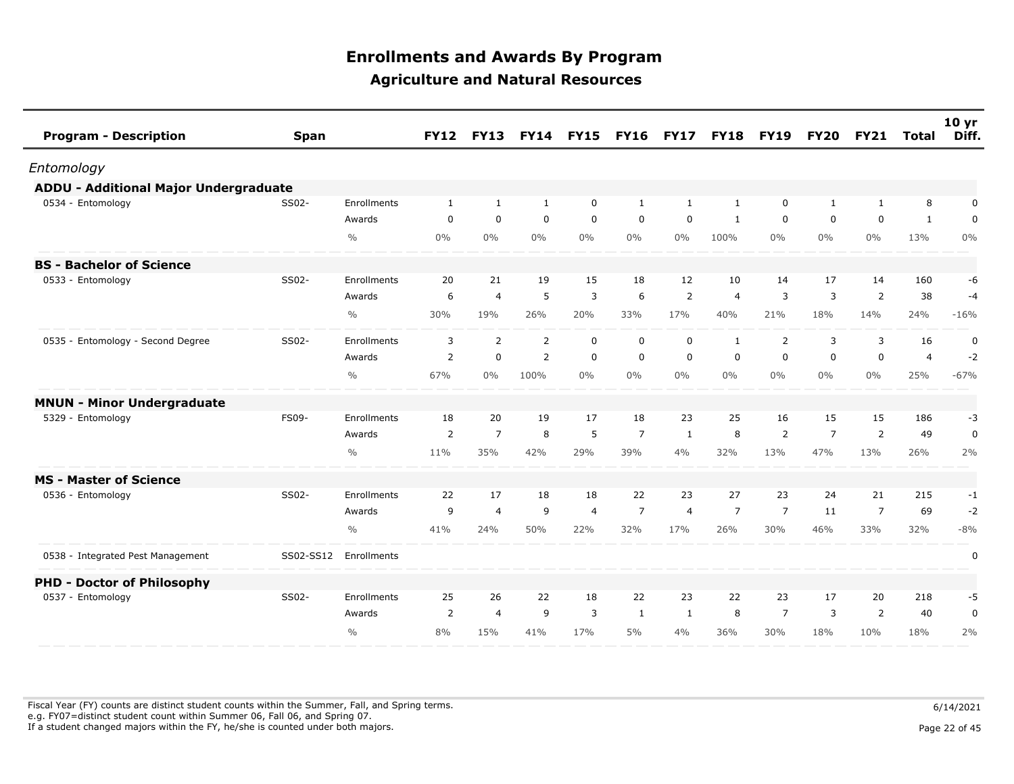| <b>Program - Description</b>                 | <b>Span</b> |               | <b>FY12</b>    | <b>FY13</b>    |              | <b>FY14 FY15</b> | <b>FY16</b>    | <b>FY17</b>    | <b>FY18</b>    | <b>FY19</b>    | <b>FY20</b>    | <b>FY21</b>    | Total          | 10 <sub>yr</sub><br>Diff. |
|----------------------------------------------|-------------|---------------|----------------|----------------|--------------|------------------|----------------|----------------|----------------|----------------|----------------|----------------|----------------|---------------------------|
| Entomology                                   |             |               |                |                |              |                  |                |                |                |                |                |                |                |                           |
| <b>ADDU - Additional Major Undergraduate</b> |             |               |                |                |              |                  |                |                |                |                |                |                |                |                           |
| 0534 - Entomology                            | SS02-       | Enrollments   | $\mathbf{1}$   | $\mathbf{1}$   | $\mathbf{1}$ | $\mathbf 0$      | $\mathbf{1}$   | $\mathbf{1}$   | $\mathbf{1}$   | $\mathbf 0$    | 1              | 1              | 8              | 0                         |
|                                              |             | Awards        | $\mathbf 0$    | $\mathbf 0$    | $\mathbf 0$  | $\mathbf 0$      | $\mathbf 0$    | $\mathbf 0$    | $\mathbf{1}$   | $\mathbf 0$    | 0              | $\mathbf 0$    | $\mathbf{1}$   | $\mathbf 0$               |
|                                              |             | $\frac{0}{0}$ | $0\%$          | $0\%$          | $0\%$        | $0\%$            | $0\%$          | $0\%$          | 100%           | $0\%$          | $0\%$          | $0\%$          | 13%            | $0\%$                     |
| <b>BS - Bachelor of Science</b>              |             |               |                |                |              |                  |                |                |                |                |                |                |                |                           |
| 0533 - Entomology                            | SS02-       | Enrollments   | 20             | 21             | 19           | 15               | 18             | 12             | 10             | 14             | 17             | 14             | 160            | -6                        |
|                                              |             | Awards        | 6              | $\overline{a}$ | 5            | 3                | 6              | 2              | $\overline{4}$ | 3              | 3              | 2              | 38             | $-4$                      |
|                                              |             | $\frac{0}{0}$ | 30%            | 19%            | 26%          | 20%              | 33%            | 17%            | 40%            | 21%            | 18%            | 14%            | 24%            | $-16%$                    |
| 0535 - Entomology - Second Degree            | SS02-       | Enrollments   | 3              | 2              | 2            | $\mathbf 0$      | $\mathbf 0$    | $\mathbf 0$    | $\mathbf{1}$   | 2              | 3              | 3              | 16             | $\mathbf 0$               |
|                                              |             | Awards        | $\overline{2}$ | $\mathbf 0$    | 2            | $\mathbf 0$      | $\mathbf 0$    | $\mathbf 0$    | $\mathbf 0$    | $\mathbf 0$    | $\mathbf 0$    | $\mathsf 0$    | $\overline{4}$ | $-2$                      |
|                                              |             | $\frac{0}{0}$ | 67%            | $0\%$          | 100%         | $0\%$            | $0\%$          | $0\%$          | $0\%$          | $0\%$          | $0\%$          | $0\%$          | 25%            | $-67%$                    |
| <b>MNUN - Minor Undergraduate</b>            |             |               |                |                |              |                  |                |                |                |                |                |                |                |                           |
| 5329 - Entomology                            | FS09-       | Enrollments   | 18             | 20             | 19           | 17               | 18             | 23             | 25             | 16             | 15             | 15             | 186            | $-3$                      |
|                                              |             | Awards        | $\overline{2}$ | $\overline{7}$ | 8            | 5                | $\overline{7}$ | 1              | 8              | 2              | $\overline{7}$ | 2              | 49             | 0                         |
|                                              |             | $\frac{0}{0}$ | 11%            | 35%            | 42%          | 29%              | 39%            | 4%             | 32%            | 13%            | 47%            | 13%            | 26%            | 2%                        |
| <b>MS - Master of Science</b>                |             |               |                |                |              |                  |                |                |                |                |                |                |                |                           |
| 0536 - Entomology                            | SS02-       | Enrollments   | 22             | 17             | 18           | 18               | 22             | 23             | 27             | 23             | 24             | 21             | 215            | $-1$                      |
|                                              |             | Awards        | 9              | $\overline{4}$ | 9            | $\overline{4}$   | $\overline{7}$ | $\overline{4}$ | $\overline{7}$ | $\overline{7}$ | 11             | $\overline{7}$ | 69             | $-2$                      |
|                                              |             | $\frac{0}{0}$ | 41%            | 24%            | 50%          | 22%              | 32%            | 17%            | 26%            | 30%            | 46%            | 33%            | 32%            | $-8%$                     |
| 0538 - Integrated Pest Management            | SS02-SS12   | Enrollments   |                |                |              |                  |                |                |                |                |                |                |                | 0                         |
| <b>PHD - Doctor of Philosophy</b>            |             |               |                |                |              |                  |                |                |                |                |                |                |                |                           |
| 0537 - Entomology                            | SS02-       | Enrollments   | 25             | 26             | 22           | 18               | 22             | 23             | 22             | 23             | 17             | 20             | 218            | -5                        |
|                                              |             | Awards        | 2              | $\overline{4}$ | 9            | 3                | 1              | -1             | 8              | $\overline{7}$ | 3              | 2              | 40             | 0                         |
|                                              |             | $\frac{0}{0}$ | 8%             | 15%            | 41%          | 17%              | 5%             | 4%             | 36%            | 30%            | 18%            | 10%            | 18%            | 2%                        |

Fiscal Year (FY) counts are distinct student counts within the Summer, Fall, and Spring terms.  $6/14/2021$  e.g. FY07=distinct student count within Summer 06, Fall 06, and Spring 07. If a student changed majors within the FY, he/she is counted under both majors. Page 22 of 45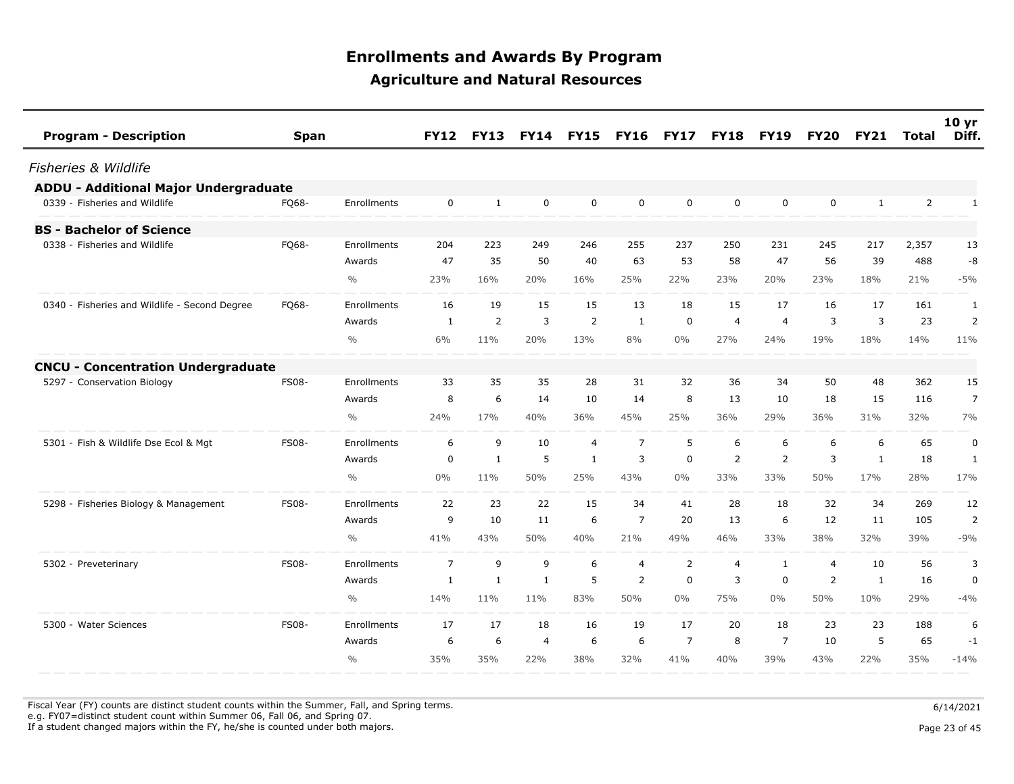| <b>Program - Description</b>                  | <b>Span</b>  |               | <b>FY12</b>    | <b>FY13</b>  | <b>FY14</b>  | <b>FY15</b>    | <b>FY16</b>    | <b>FY17</b>    | <b>FY18</b>    | <b>FY19</b>    | <b>FY20</b>    | <b>FY21</b>  | Total | 10 <sub>yr</sub><br>Diff. |
|-----------------------------------------------|--------------|---------------|----------------|--------------|--------------|----------------|----------------|----------------|----------------|----------------|----------------|--------------|-------|---------------------------|
| <b>Fisheries &amp; Wildlife</b>               |              |               |                |              |              |                |                |                |                |                |                |              |       |                           |
| <b>ADDU - Additional Major Undergraduate</b>  |              |               |                |              |              |                |                |                |                |                |                |              |       |                           |
| 0339 - Fisheries and Wildlife                 | FQ68-        | Enrollments   | $\mathbf 0$    | 1            | 0            | $\mathbf 0$    | 0              | $\mathbf 0$    | 0              | 0              | $\mathbf 0$    | $\mathbf{1}$ | 2     | $\mathbf{1}$              |
| <b>BS - Bachelor of Science</b>               |              |               |                |              |              |                |                |                |                |                |                |              |       |                           |
| 0338 - Fisheries and Wildlife                 | FQ68-        | Enrollments   | 204            | 223          | 249          | 246            | 255            | 237            | 250            | 231            | 245            | 217          | 2,357 | 13                        |
|                                               |              | Awards        | 47             | 35           | 50           | 40             | 63             | 53             | 58             | 47             | 56             | 39           | 488   | -8                        |
|                                               |              | $\frac{0}{0}$ | 23%            | 16%          | 20%          | 16%            | 25%            | 22%            | 23%            | 20%            | 23%            | 18%          | 21%   | $-5%$                     |
| 0340 - Fisheries and Wildlife - Second Degree | FQ68-        | Enrollments   | 16             | 19           | 15           | 15             | 13             | 18             | 15             | 17             | 16             | 17           | 161   | 1                         |
|                                               |              | Awards        | 1              | 2            | 3            | 2              | 1              | 0              | $\overline{4}$ | $\overline{4}$ | 3              | 3            | 23    | 2                         |
|                                               |              | $\frac{0}{0}$ | 6%             | 11%          | 20%          | 13%            | 8%             | $0\%$          | 27%            | 24%            | 19%            | 18%          | 14%   | 11%                       |
| <b>CNCU - Concentration Undergraduate</b>     |              |               |                |              |              |                |                |                |                |                |                |              |       |                           |
| 5297 - Conservation Biology                   | <b>FS08-</b> | Enrollments   | 33             | 35           | 35           | 28             | 31             | 32             | 36             | 34             | 50             | 48           | 362   | 15                        |
|                                               |              | Awards        | 8              | 6            | 14           | 10             | 14             | 8              | 13             | 10             | 18             | 15           | 116   | 7                         |
|                                               |              | $\frac{0}{0}$ | 24%            | 17%          | 40%          | 36%            | 45%            | 25%            | 36%            | 29%            | 36%            | 31%          | 32%   | 7%                        |
| 5301 - Fish & Wildlife Dse Ecol & Mgt         | <b>FS08-</b> | Enrollments   | 6              | 9            | 10           | $\overline{4}$ | $\overline{7}$ | 5              | 6              | 6              | 6              | 6            | 65    | $\pmb{0}$                 |
|                                               |              | Awards        | 0              | $\mathbf{1}$ | 5            | $\mathbf{1}$   | 3              | $\mathbf 0$    | $\overline{2}$ | $\overline{2}$ | 3              | $\mathbf{1}$ | 18    | 1                         |
|                                               |              | $\frac{0}{0}$ | $0\%$          | 11%          | 50%          | 25%            | 43%            | $0\%$          | 33%            | 33%            | 50%            | 17%          | 28%   | 17%                       |
| 5298 - Fisheries Biology & Management         | <b>FS08-</b> | Enrollments   | 22             | 23           | 22           | 15             | 34             | 41             | 28             | 18             | 32             | 34           | 269   | 12                        |
|                                               |              | Awards        | 9              | 10           | 11           | 6              | $\overline{7}$ | 20             | 13             | 6              | 12             | 11           | 105   | 2                         |
|                                               |              | $\frac{0}{0}$ | 41%            | 43%          | 50%          | 40%            | 21%            | 49%            | 46%            | 33%            | 38%            | 32%          | 39%   | $-9%$                     |
| 5302 - Preveterinary                          | <b>FS08-</b> | Enrollments   | $\overline{7}$ | 9            | 9            | 6              | $\overline{4}$ | 2              | $\overline{4}$ | $\mathbf{1}$   | $\overline{4}$ | 10           | 56    | 3                         |
|                                               |              | Awards        | $\mathbf{1}$   | $\mathbf{1}$ | $\mathbf{1}$ | 5              | 2              | $\mathbf 0$    | 3              | 0              | 2              | $\mathbf{1}$ | 16    | $\pmb{0}$                 |
|                                               |              | $\frac{0}{0}$ | 14%            | 11%          | 11%          | 83%            | 50%            | $0\%$          | 75%            | $0\%$          | 50%            | 10%          | 29%   | $-4%$                     |
| 5300 - Water Sciences                         | <b>FS08-</b> | Enrollments   | 17             | 17           | 18           | 16             | 19             | 17             | 20             | 18             | 23             | 23           | 188   | 6                         |
|                                               |              | Awards        | 6              | 6            | 4            | 6              | 6              | $\overline{7}$ | 8              | $\overline{7}$ | 10             | 5            | 65    | $-1$                      |
|                                               |              | $\frac{0}{0}$ | 35%            | 35%          | 22%          | 38%            | 32%            | 41%            | 40%            | 39%            | 43%            | 22%          | 35%   | $-14%$                    |
|                                               |              |               |                |              |              |                |                |                |                |                |                |              |       |                           |

Fiscal Year (FY) counts are distinct student counts within the Summer, Fall, and Spring terms.  $6/14/2021$ e.g. FY07=distinct student count within Summer 06, Fall 06, and Spring 07.

If a student changed majors within the FY, he/she is counted under both majors. Page 23 of 45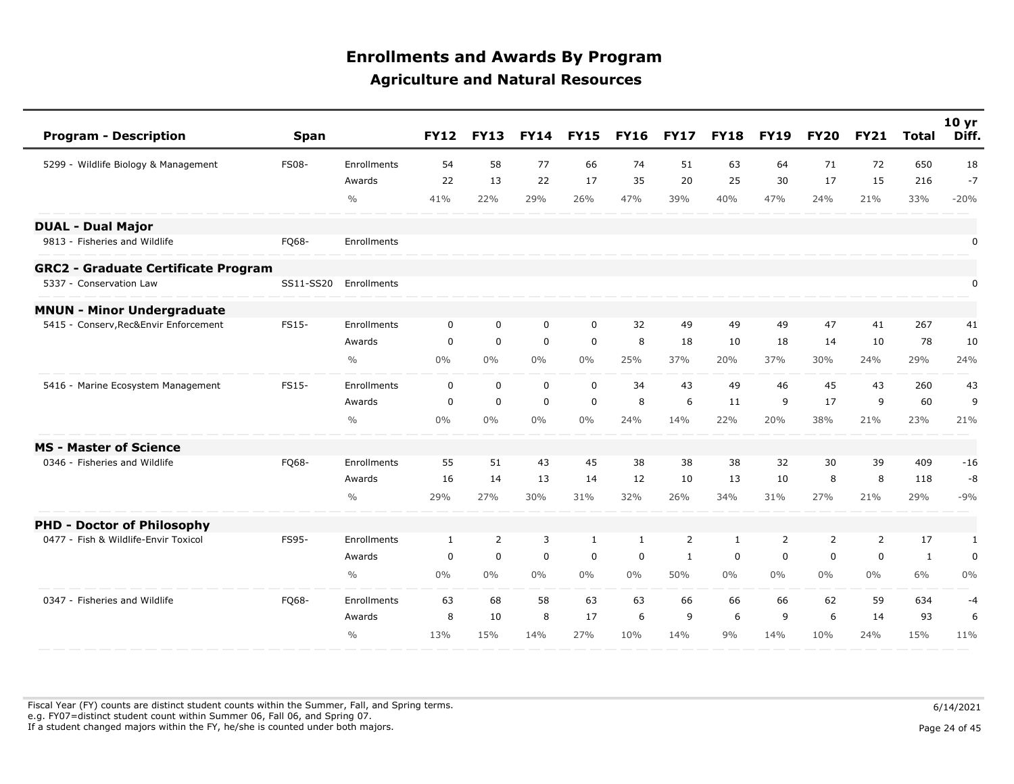| <b>Program - Description</b>               | Span         |               | <b>FY12</b>  | <b>FY13</b>      | <b>FY14</b> | <b>FY15</b>  | <b>FY16</b>  | <b>FY17</b> | <b>FY18</b>  | <b>FY19</b>    | <b>FY20</b>    | <b>FY21</b>    | <b>Total</b> | 10 <sub>yr</sub><br>Diff. |
|--------------------------------------------|--------------|---------------|--------------|------------------|-------------|--------------|--------------|-------------|--------------|----------------|----------------|----------------|--------------|---------------------------|
| 5299 - Wildlife Biology & Management       | <b>FS08-</b> | Enrollments   | 54           | 58               | 77          | 66           | 74           | 51          | 63           | 64             | 71             | 72             | 650          | 18                        |
|                                            |              | Awards        | 22           | 13               | 22          | 17           | 35           | 20          | 25           | 30             | 17             | 15             | 216          | $-7$                      |
|                                            |              | $\frac{0}{0}$ | 41%          | 22%              | 29%         | 26%          | 47%          | 39%         | 40%          | 47%            | 24%            | 21%            | 33%          | $-20%$                    |
| <b>DUAL - Dual Major</b>                   |              |               |              |                  |             |              |              |             |              |                |                |                |              |                           |
| 9813 - Fisheries and Wildlife              | FQ68-        | Enrollments   |              |                  |             |              |              |             |              |                |                |                |              | 0                         |
| <b>GRC2 - Graduate Certificate Program</b> |              |               |              |                  |             |              |              |             |              |                |                |                |              |                           |
| 5337 - Conservation Law                    | SS11-SS20    | Enrollments   |              |                  |             |              |              |             |              |                |                |                |              | 0                         |
| <b>MNUN - Minor Undergraduate</b>          |              |               |              |                  |             |              |              |             |              |                |                |                |              |                           |
| - Conserv, Rec&Envir Enforcement<br>5415   | <b>FS15-</b> | Enrollments   | $\mathbf 0$  | $\mathbf 0$      | $\mathbf 0$ | $\mathbf 0$  | 32           | 49          | 49           | 49             | 47             | 41             | 267          | 41                        |
|                                            |              | Awards        | $\mathbf 0$  | $\pmb{0}$        | $\mathbf 0$ | $\mathsf 0$  | 8            | 18          | 10           | 18             | 14             | 10             | 78           | 10                        |
|                                            |              | $\frac{0}{0}$ | $0\%$        | $0\%$            | $0\%$       | $0\%$        | 25%          | 37%         | 20%          | 37%            | 30%            | 24%            | 29%          | 24%                       |
| 5416 - Marine Ecosystem Management         | FS15-        | Enrollments   | $\mathbf 0$  | $\mathbf 0$      | $\mathbf 0$ | $\mathbf 0$  | 34           | 43          | 49           | 46             | 45             | 43             | 260          | 43                        |
|                                            |              | Awards        | 0            | $\mathbf 0$      | $\mathbf 0$ | $\mathbf 0$  | 8            | 6           | 11           | 9              | 17             | 9              | 60           | 9                         |
|                                            |              | $\frac{0}{0}$ | 0%           | $0\%$            | $0\%$       | $0\%$        | 24%          | 14%         | 22%          | 20%            | 38%            | 21%            | 23%          | 21%                       |
| <b>MS - Master of Science</b>              |              |               |              |                  |             |              |              |             |              |                |                |                |              |                           |
| 0346 - Fisheries and Wildlife              | FQ68-        | Enrollments   | 55           | 51               | 43          | 45           | 38           | 38          | 38           | 32             | 30             | 39             | 409          | $-16$                     |
|                                            |              | Awards        | 16           | 14               | 13          | 14           | 12           | 10          | 13           | 10             | 8              | 8              | 118          | $-8$                      |
|                                            |              | $\frac{0}{0}$ | 29%          | 27%              | 30%         | 31%          | 32%          | 26%         | 34%          | 31%            | 27%            | 21%            | 29%          | $-9%$                     |
| <b>PHD - Doctor of Philosophy</b>          |              |               |              |                  |             |              |              |             |              |                |                |                |              |                           |
| 0477 - Fish & Wildlife-Envir Toxicol       | FS95-        | Enrollments   | $\mathbf{1}$ | $\overline{2}$   | 3           | $\mathbf{1}$ | $\mathbf{1}$ | 2           | $\mathbf{1}$ | $\overline{2}$ | $\overline{2}$ | $\overline{2}$ | 17           | 1                         |
|                                            |              | Awards        | $\mathbf 0$  | $\boldsymbol{0}$ | $\mathbf 0$ | $\mathbf 0$  | $\mathbf 0$  | 1           | 0            | $\mathbf 0$    | $\mathbf 0$    | 0              | 1            | $\pmb{0}$                 |
|                                            |              | $\frac{0}{0}$ | 0%           | $0\%$            | $0\%$       | $0\%$        | $0\%$        | 50%         | $0\%$        | $0\%$          | $0\%$          | $0\%$          | 6%           | $0\%$                     |
| 0347 - Fisheries and Wildlife              | FQ68-        | Enrollments   | 63           | 68               | 58          | 63           | 63           | 66          | 66           | 66             | 62             | 59             | 634          | $-4$                      |
|                                            |              | Awards        | 8            | 10               | 8           | 17           | 6            | 9           | 6            | 9              | 6              | 14             | 93           | 6                         |
|                                            |              | $\frac{0}{0}$ | 13%          | 15%              | 14%         | 27%          | 10%          | 14%         | 9%           | 14%            | 10%            | 24%            | 15%          | 11%                       |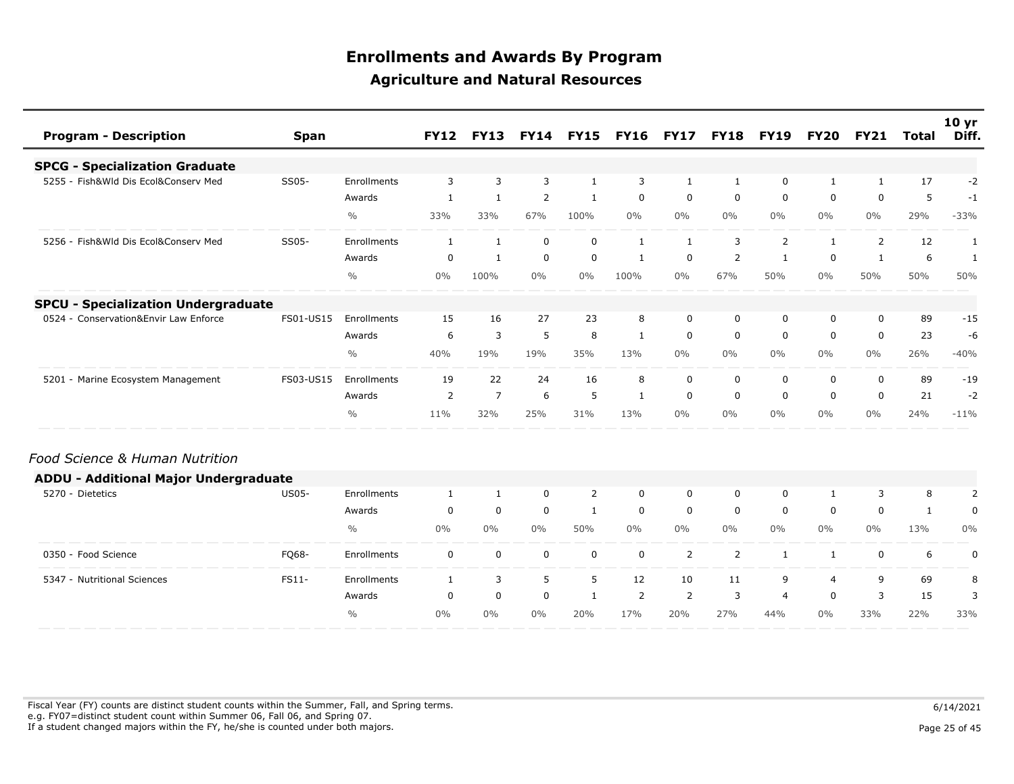| <b>Program - Description</b>                 | <b>Span</b>  |               | <b>FY12</b>    | <b>FY13</b>    | <b>FY14</b> | <b>FY15</b>  | <b>FY16</b>    | <b>FY17</b>    | <b>FY18</b>    | <b>FY19</b>    | <b>FY20</b>    | <b>FY21</b>  | <b>Total</b> | 10 <sub>yr</sub><br>Diff. |
|----------------------------------------------|--------------|---------------|----------------|----------------|-------------|--------------|----------------|----------------|----------------|----------------|----------------|--------------|--------------|---------------------------|
| <b>SPCG - Specialization Graduate</b>        |              |               |                |                |             |              |                |                |                |                |                |              |              |                           |
| 5255 - Fish&Wld Dis Ecol&Conserv Med         | SS05-        | Enrollments   | 3              | $\overline{3}$ | 3           | $\mathbf{1}$ | 3              | $\mathbf{1}$   | 1              | $\mathbf 0$    | $\mathbf{1}$   | 1            | 17           | $-2$                      |
|                                              |              | Awards        | $\mathbf{1}$   | $\mathbf{1}$   | 2           | $\mathbf{1}$ | $\mathbf 0$    | $\mathbf 0$    | $\mathbf 0$    | $\mathbf 0$    | 0              | $\mathbf 0$  | 5            | $-1$                      |
|                                              |              | $\frac{0}{0}$ | 33%            | 33%            | 67%         | 100%         | $0\%$          | $0\%$          | $0\%$          | 0%             | $0\%$          | 0%           | 29%          | $-33%$                    |
| 5256 - Fish&Wld Dis Ecol&Conserv Med         | SS05-        | Enrollments   | 1              | $\mathbf{1}$   | $\mathbf 0$ | $\mathbf 0$  | $\mathbf{1}$   | $\mathbf{1}$   | 3              | $\overline{2}$ | 1              | 2            | 12           | $\mathbf{1}$              |
|                                              |              | Awards        | 0              | $\mathbf{1}$   | $\mathbf 0$ | $\mathbf 0$  | $\mathbf{1}$   | $\mathbf 0$    | $\overline{2}$ | $\mathbf{1}$   | $\mathbf 0$    | $\mathbf{1}$ | 6            | $\mathbf{1}$              |
|                                              |              | $\frac{0}{0}$ | $0\%$          | 100%           | $0\%$       | $0\%$        | 100%           | $0\%$          | 67%            | 50%            | $0\%$          | 50%          | 50%          | 50%                       |
| <b>SPCU - Specialization Undergraduate</b>   |              |               |                |                |             |              |                |                |                |                |                |              |              |                           |
| 0524 - Conservation&Envir Law Enforce        | FS01-US15    | Enrollments   | 15             | 16             | 27          | 23           | 8              | $\mathbf 0$    | 0              | 0              | 0              | 0            | 89           | $-15$                     |
|                                              |              | Awards        | 6              | 3              | 5           | 8            | 1              | $\mathbf 0$    | $\mathbf 0$    | $\mathbf 0$    | 0              | 0            | 23           | -6                        |
|                                              |              | $\frac{0}{0}$ | 40%            | 19%            | 19%         | 35%          | 13%            | $0\%$          | $0\%$          | $0\%$          | $0\%$          | $0\%$        | 26%          | $-40%$                    |
| 5201 - Marine Ecosystem Management           | FS03-US15    | Enrollments   | 19             | 22             | 24          | 16           | 8              | $\Omega$       | $\Omega$       | $\mathbf 0$    | $\Omega$       | $\Omega$     | 89           | $-19$                     |
|                                              |              | Awards        | $\overline{2}$ | $\overline{7}$ | 6           | 5            | 1              | $\mathbf 0$    | 0              | 0              | 0              | 0            | 21           | $-2$                      |
|                                              |              | $\frac{0}{0}$ | 11%            | 32%            | 25%         | 31%          | 13%            | $0\%$          | $0\%$          | $0\%$          | $0\%$          | 0%           | 24%          | $-11%$                    |
| Food Science & Human Nutrition               |              |               |                |                |             |              |                |                |                |                |                |              |              |                           |
| <b>ADDU - Additional Major Undergraduate</b> |              |               |                |                |             |              |                |                |                |                |                |              |              |                           |
| 5270 - Dietetics                             | <b>US05-</b> | Enrollments   | $\mathbf{1}$   | $\mathbf{1}$   | $\mathbf 0$ | 2            | $\mathbf 0$    | $\Omega$       | $\mathbf 0$    | $\mathbf 0$    | $\mathbf{1}$   | 3            | 8            | $\overline{2}$            |
|                                              |              | Awards        | 0              | $\mathbf 0$    | $\mathbf 0$ | $\mathbf{1}$ | $\mathbf 0$    | $\mathbf 0$    | 0              | $\mathbf 0$    | $\mathbf 0$    | $\mathbf 0$  | $\mathbf{1}$ | 0                         |
|                                              |              | $\frac{0}{0}$ | $0\%$          | $0\%$          | $0\%$       | 50%          | $0\%$          | $0\%$          | 0%             | $0\%$          | $0\%$          | 0%           | 13%          | 0%                        |
| 0350 - Food Science                          | FQ68-        | Enrollments   | $\mathbf 0$    | $\mathbf 0$    | $\mathbf 0$ | $\mathbf 0$  | $\mathbf 0$    | $\overline{2}$ | $\overline{2}$ | $\mathbf{1}$   | 1              | $\mathbf 0$  | 6            | $\boldsymbol{0}$          |
| 5347 - Nutritional Sciences                  | FS11-        | Enrollments   | $\mathbf{1}$   | 3              | 5           | 5            | 12             | 10             | 11             | 9              | $\overline{4}$ | 9            | 69           | 8                         |
|                                              |              | Awards        | 0              | $\mathbf 0$    | $\mathbf 0$ | $\mathbf{1}$ | $\overline{2}$ | 2              | 3              | $\overline{4}$ | 0              | 3            | 15           | 3                         |
|                                              |              | $\frac{0}{0}$ | $0\%$          | $0\%$          | $0\%$       | 20%          | 17%            | 20%            | 27%            | 44%            | $0\%$          | 33%          | 22%          | 33%                       |

Fiscal Year (FY) counts are distinct student counts within the Summer, Fall, and Spring terms.  $6/14/2021$  e.g. FY07=distinct student count within Summer 06, Fall 06, and Spring 07. If a student changed majors within the FY, he/she is counted under both majors. Page 25 of 45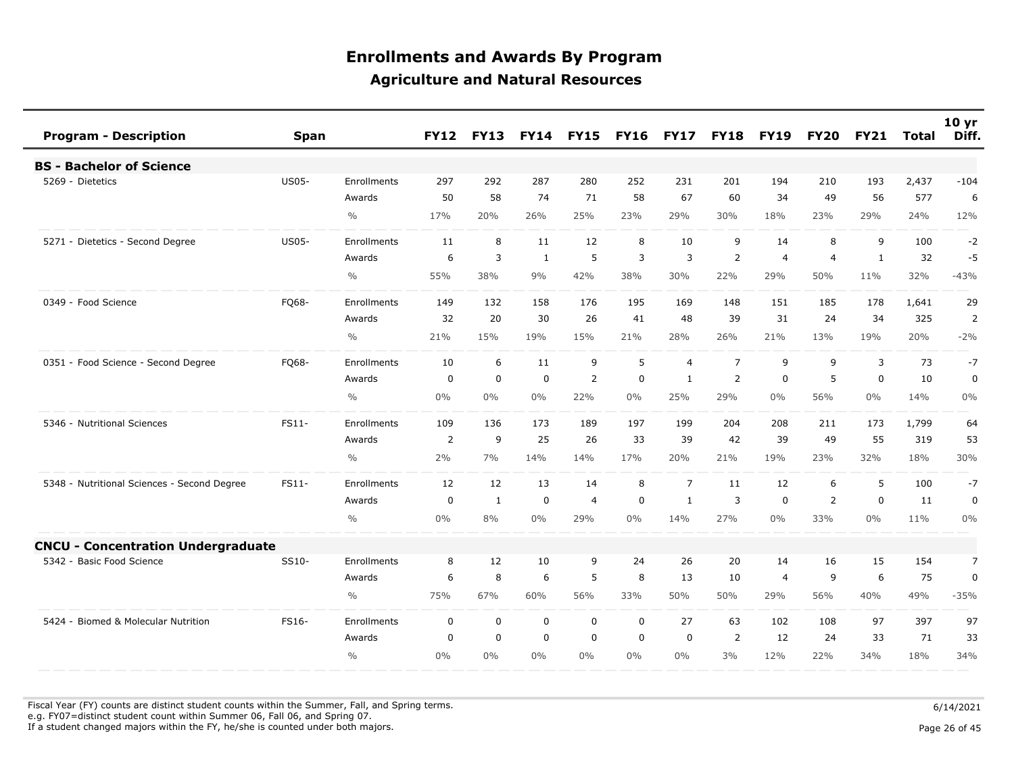| <b>Program - Description</b>                | <b>Span</b>  |                    | <b>FY12</b>    | <b>FY13</b> | <b>FY14</b> | <b>FY15</b>    | <b>FY16</b> | <b>FY17</b>    | <b>FY18</b>    | <b>FY19</b>    | <b>FY20</b>    | <b>FY21</b> | Total | 10 <sub>yr</sub><br>Diff. |
|---------------------------------------------|--------------|--------------------|----------------|-------------|-------------|----------------|-------------|----------------|----------------|----------------|----------------|-------------|-------|---------------------------|
| <b>BS - Bachelor of Science</b>             |              |                    |                |             |             |                |             |                |                |                |                |             |       |                           |
| 5269 - Dietetics                            | <b>US05-</b> | Enrollments        | 297            | 292         | 287         | 280            | 252         | 231            | 201            | 194            | 210            | 193         | 2,437 | $-104$                    |
|                                             |              | Awards             | 50             | 58          | 74          | 71             | 58          | 67             | 60             | 34             | 49             | 56          | 577   | 6                         |
|                                             |              | $\frac{0}{0}$      | 17%            | 20%         | 26%         | 25%            | 23%         | 29%            | 30%            | 18%            | 23%            | 29%         | 24%   | 12%                       |
| 5271 - Dietetics - Second Degree            | <b>US05-</b> | <b>Enrollments</b> | 11             | 8           | 11          | 12             | 8           | 10             | 9              | 14             | 8              | 9           | 100   | $-2$                      |
|                                             |              | Awards             | 6              | 3           | 1           | 5              | 3           | 3              | 2              | $\overline{4}$ | $\overline{4}$ | 1           | 32    | -5                        |
|                                             |              | $\frac{0}{0}$      | 55%            | 38%         | 9%          | 42%            | 38%         | 30%            | 22%            | 29%            | 50%            | 11%         | 32%   | $-43%$                    |
| 0349 - Food Science                         | FQ68-        | Enrollments        | 149            | 132         | 158         | 176            | 195         | 169            | 148            | 151            | 185            | 178         | 1,641 | 29                        |
|                                             |              | Awards             | 32             | 20          | 30          | 26             | 41          | 48             | 39             | 31             | 24             | 34          | 325   | $\overline{2}$            |
|                                             |              | $\frac{0}{0}$      | 21%            | 15%         | 19%         | 15%            | 21%         | 28%            | 26%            | 21%            | 13%            | 19%         | 20%   | $-2%$                     |
| 0351 - Food Science - Second Degree         | FQ68-        | Enrollments        | 10             | 6           | 11          | 9              | 5           | $\overline{4}$ | $\overline{7}$ | 9              | 9              | 3           | 73    | $-7$                      |
|                                             |              | Awards             | 0              | $\mathbf 0$ | $\mathbf 0$ | $\overline{2}$ | $\mathbf 0$ | $\mathbf{1}$   | $\overline{2}$ | $\mathbf 0$    | 5              | 0           | 10    | 0                         |
|                                             |              | $\frac{0}{0}$      | 0%             | $0\%$       | 0%          | 22%            | $0\%$       | 25%            | 29%            | $0\%$          | 56%            | $0\%$       | 14%   | 0%                        |
| 5346 - Nutritional Sciences                 | FS11-        | <b>Enrollments</b> | 109            | 136         | 173         | 189            | 197         | 199            | 204            | 208            | 211            | 173         | 1,799 | 64                        |
|                                             |              | Awards             | $\overline{2}$ | 9           | 25          | 26             | 33          | 39             | 42             | 39             | 49             | 55          | 319   | 53                        |
|                                             |              | $\frac{0}{0}$      | 2%             | 7%          | 14%         | 14%            | 17%         | 20%            | 21%            | 19%            | 23%            | 32%         | 18%   | 30%                       |
| 5348 - Nutritional Sciences - Second Degree | FS11-        | Enrollments        | 12             | 12          | 13          | 14             | 8           | $\overline{7}$ | 11             | 12             | 6              | 5           | 100   | $-7$                      |
|                                             |              | Awards             | 0              | 1           | $\mathbf 0$ | $\overline{4}$ | 0           | 1              | 3              | 0              | 2              | 0           | 11    | 0                         |
|                                             |              | $\frac{0}{0}$      | 0%             | 8%          | 0%          | 29%            | $0\%$       | 14%            | 27%            | $0\%$          | 33%            | $0\%$       | 11%   | 0%                        |
| <b>CNCU - Concentration Undergraduate</b>   |              |                    |                |             |             |                |             |                |                |                |                |             |       |                           |
| 5342 - Basic Food Science                   | SS10-        | Enrollments        | 8              | 12          | 10          | 9              | 24          | 26             | 20             | 14             | 16             | 15          | 154   | $\overline{7}$            |
|                                             |              | Awards             | 6              | 8           | 6           | 5              | 8           | 13             | 10             | $\overline{4}$ | 9              | 6           | 75    | 0                         |
|                                             |              | $\frac{0}{0}$      | 75%            | 67%         | 60%         | 56%            | 33%         | 50%            | 50%            | 29%            | 56%            | 40%         | 49%   | $-35%$                    |
| 5424 - Biomed & Molecular Nutrition         | FS16-        | Enrollments        | $\mathbf 0$    | $\mathbf 0$ | $\mathbf 0$ | $\mathbf 0$    | $\mathbf 0$ | 27             | 63             | 102            | 108            | 97          | 397   | 97                        |
|                                             |              | Awards             | $\mathbf 0$    | $\mathbf 0$ | $\mathbf 0$ | $\mathbf 0$    | $\mathbf 0$ | $\mathbf 0$    | 2              | 12             | 24             | 33          | 71    | 33                        |
|                                             |              | $\frac{0}{0}$      | 0%             | 0%          | 0%          | $0\%$          | 0%          | $0\%$          | 3%             | 12%            | 22%            | 34%         | 18%   | 34%                       |

Fiscal Year (FY) counts are distinct student counts within the Summer, Fall, and Spring terms.  $6/14/2021$ e.g. FY07=distinct student count within Summer 06, Fall 06, and Spring 07.

If a student changed majors within the FY, he/she is counted under both majors. Page 26 of 45

Page 26 of 45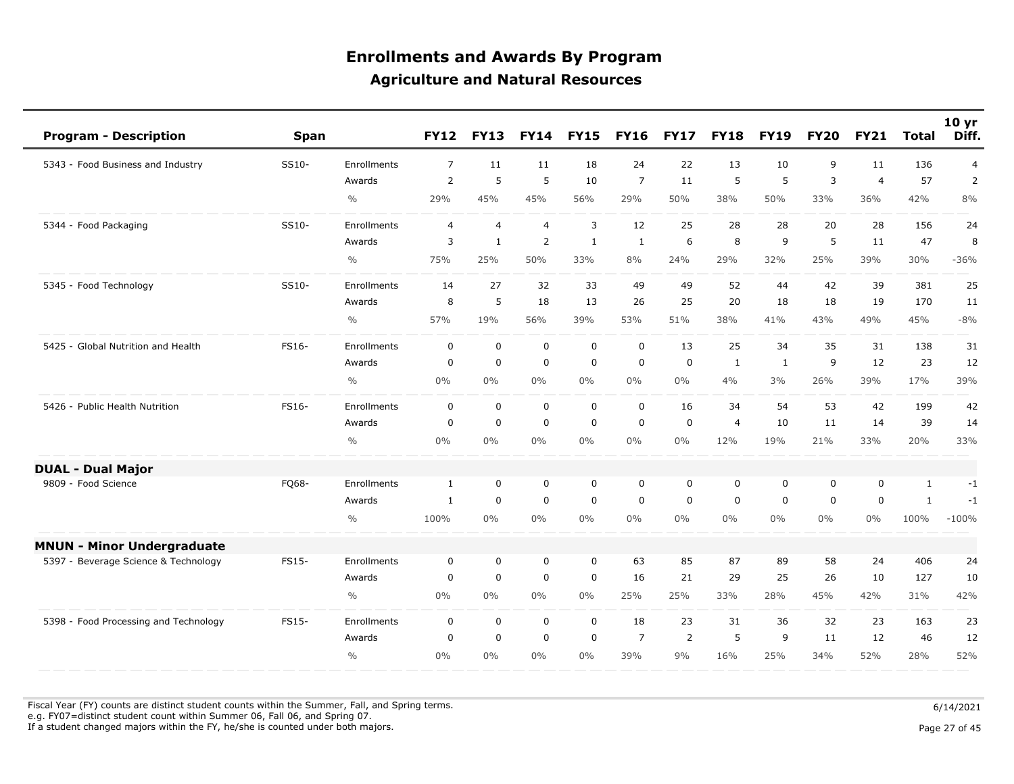| <b>Program - Description</b>          | <b>Span</b>  |                    | <b>FY12</b>    | <b>FY13</b>    | <b>FY14</b>    | <b>FY15</b>  | <b>FY16</b>    | <b>FY17</b> | <b>FY18</b>    | <b>FY19</b>  | <b>FY20</b> | <b>FY21</b>    | <b>Total</b> | 10 <sub>yr</sub><br>Diff. |
|---------------------------------------|--------------|--------------------|----------------|----------------|----------------|--------------|----------------|-------------|----------------|--------------|-------------|----------------|--------------|---------------------------|
| 5343 - Food Business and Industry     | SS10-        | Enrollments        | $\overline{7}$ | 11             | 11             | 18           | 24             | 22          | 13             | 10           | 9           | 11             | 136          | $\overline{4}$            |
|                                       |              | Awards             | 2              | 5              | 5              | 10           | $\overline{7}$ | 11          | 5              | 5            | 3           | $\overline{4}$ | 57           | $\overline{2}$            |
|                                       |              | $\frac{0}{0}$      | 29%            | 45%            | 45%            | 56%          | 29%            | 50%         | 38%            | 50%          | 33%         | 36%            | 42%          | 8%                        |
| 5344 - Food Packaging                 | SS10-        | <b>Enrollments</b> | $\overline{4}$ | $\overline{4}$ | $\overline{4}$ | 3            | 12             | 25          | 28             | 28           | 20          | 28             | 156          | 24                        |
|                                       |              | Awards             | 3              | $\mathbf{1}$   | $\overline{2}$ | $\mathbf{1}$ | $\mathbf{1}$   | 6           | 8              | 9            | 5           | 11             | 47           | 8                         |
|                                       |              | $\frac{0}{0}$      | 75%            | 25%            | $50\%$         | 33%          | 8%             | 24%         | 29%            | 32%          | 25%         | 39%            | 30%          | $-36%$                    |
| 5345 - Food Technology                | SS10-        | Enrollments        | 14             | 27             | 32             | 33           | 49             | 49          | 52             | 44           | 42          | 39             | 381          | 25                        |
|                                       |              | Awards             | 8              | 5              | 18             | 13           | 26             | 25          | 20             | 18           | 18          | 19             | 170          | 11                        |
|                                       |              | $\frac{0}{0}$      | 57%            | 19%            | 56%            | 39%          | 53%            | 51%         | 38%            | 41%          | 43%         | 49%            | 45%          | $-8%$                     |
| 5425 - Global Nutrition and Health    | FS16-        | Enrollments        | $\mathbf 0$    | $\mathbf 0$    | $\mathbf 0$    | $\mathbf 0$  | $\mathbf 0$    | 13          | 25             | 34           | 35          | 31             | 138          | 31                        |
|                                       |              | Awards             | $\mathbf 0$    | $\mathbf 0$    | $\mathbf 0$    | $\mathbf 0$  | $\mathbf 0$    | $\mathbf 0$ | $\mathbf{1}$   | $\mathbf{1}$ | 9           | 12             | 23           | 12                        |
|                                       |              | $\frac{0}{0}$      | 0%             | $0\%$          | $0\%$          | $0\%$        | $0\%$          | $0\%$       | 4%             | 3%           | 26%         | 39%            | 17%          | 39%                       |
| 5426 - Public Health Nutrition        | FS16-        | Enrollments        | $\mathbf 0$    | $\mathbf 0$    | $\mathbf 0$    | $\mathbf 0$  | $\mathbf 0$    | 16          | 34             | 54           | 53          | 42             | 199          | 42                        |
|                                       |              | Awards             | $\mathbf 0$    | $\mathbf 0$    | $\mathbf 0$    | $\mathsf 0$  | $\mathbf 0$    | $\mathbf 0$ | $\overline{4}$ | 10           | 11          | 14             | 39           | 14                        |
|                                       |              | $\frac{0}{0}$      | 0%             | $0\%$          | $0\%$          | $0\%$        | $0\%$          | $0\%$       | 12%            | 19%          | 21%         | 33%            | 20%          | 33%                       |
| <b>DUAL - Dual Major</b>              |              |                    |                |                |                |              |                |             |                |              |             |                |              |                           |
| 9809 - Food Science                   | FQ68-        | Enrollments        | $\mathbf{1}$   | $\mathbf 0$    | $\mathbf 0$    | $\mathbf 0$  | 0              | $\mathbf 0$ | $\mathbf 0$    | $\mathbf 0$  | $\mathbf 0$ | $\mathbf 0$    | $\mathbf{1}$ | $-1$                      |
|                                       |              | Awards             | $\mathbf{1}$   | $\mathbf 0$    | $\mathbf 0$    | $\mathbf 0$  | $\mathbf 0$    | $\mathbf 0$ | $\mathbf 0$    | $\Omega$     | $\mathbf 0$ | $\mathbf{0}$   | $\mathbf{1}$ | $-1$                      |
|                                       |              | $\frac{0}{0}$      | 100%           | $0\%$          | $0\%$          | $0\%$        | $0\%$          | $0\%$       | $0\%$          | $0\%$        | $0\%$       | $0\%$          | 100%         | $-100%$                   |
| <b>MNUN - Minor Undergraduate</b>     |              |                    |                |                |                |              |                |             |                |              |             |                |              |                           |
| 5397 - Beverage Science & Technology  | <b>FS15-</b> | Enrollments        | $\mathbf 0$    | $\mathbf 0$    | $\mathbf 0$    | $\mathsf 0$  | 63             | 85          | 87             | 89           | 58          | 24             | 406          | 24                        |
|                                       |              | Awards             | $\mathbf 0$    | $\mathbf 0$    | $\mathbf 0$    | $\mathbf 0$  | 16             | 21          | 29             | 25           | 26          | 10             | 127          | 10                        |
|                                       |              | $\frac{0}{0}$      | $0\%$          | $0\%$          | $0\%$          | $0\%$        | 25%            | 25%         | 33%            | 28%          | 45%         | 42%            | 31%          | 42%                       |
| 5398 - Food Processing and Technology | FS15-        | Enrollments        | $\mathbf 0$    | $\mathbf 0$    | $\mathbf 0$    | $\mathbf 0$  | 18             | 23          | 31             | 36           | 32          | 23             | 163          | 23                        |
|                                       |              | Awards             | $\mathbf 0$    | $\mathbf 0$    | $\mathbf 0$    | $\mathbf 0$  | $\overline{7}$ | 2           | 5              | 9            | 11          | 12             | 46           | 12                        |
|                                       |              | $\frac{0}{0}$      | 0%             | $0\%$          | $0\%$          | $0\%$        | 39%            | 9%          | 16%            | 25%          | 34%         | 52%            | 28%          | 52%                       |

Fiscal Year (FY) counts are distinct student counts within the Summer, Fall, and Spring terms.  $6/14/2021$ e.g. FY07=distinct student count within Summer 06, Fall 06, and Spring 07.

If a student changed majors within the FY, he/she is counted under both majors. Page 27 of 45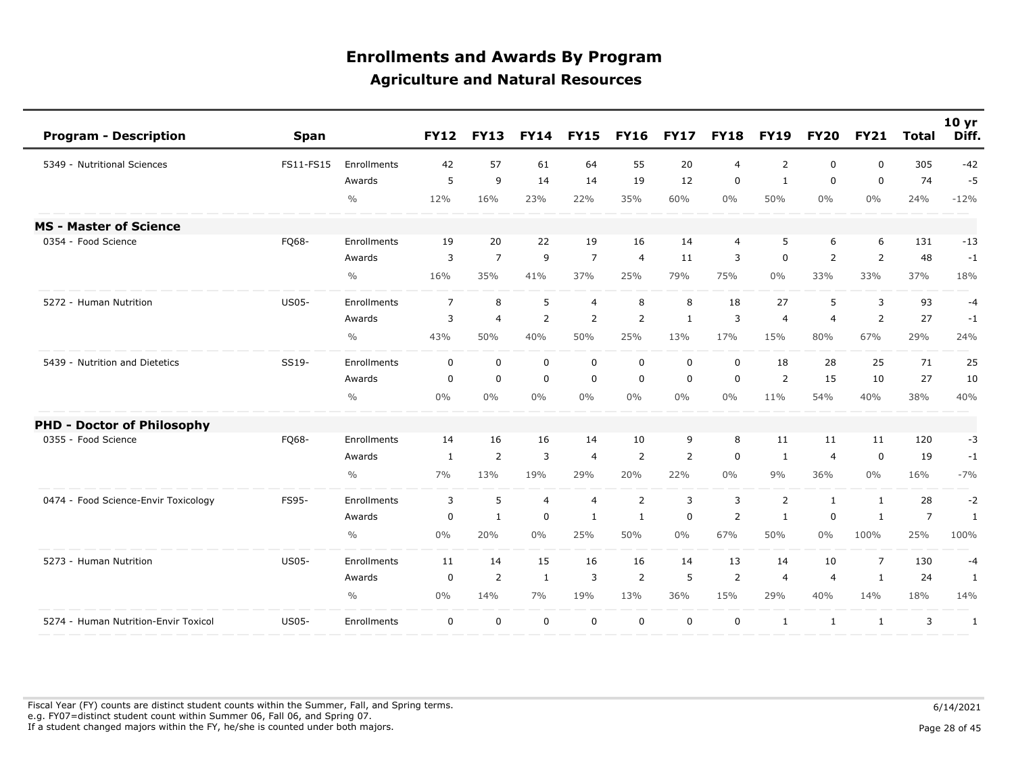| <b>Program - Description</b><br><b>Span</b>          |               | <b>FY12</b>    | <b>FY13</b>    | <b>FY14</b>    | <b>FY15</b>    | <b>FY16</b>    | <b>FY17</b>  | <b>FY18</b>    | <b>FY19</b>    | <b>FY20</b>    | <b>FY21</b>    | <b>Total</b>   | 10 <sub>yr</sub><br>Diff. |
|------------------------------------------------------|---------------|----------------|----------------|----------------|----------------|----------------|--------------|----------------|----------------|----------------|----------------|----------------|---------------------------|
| 5349 - Nutritional Sciences<br>FS11-FS15             | Enrollments   | 42             | 57             | 61             | 64             | 55             | 20           | $\overline{4}$ | 2              | $\Omega$       | $\mathbf{0}$   | 305            | $-42$                     |
|                                                      | Awards        | 5              | 9              | 14             | 14             | 19             | 12           | $\mathbf 0$    | $\mathbf{1}$   | 0              | $\mathbf 0$    | 74             | $-5$                      |
|                                                      | $\frac{0}{0}$ | 12%            | 16%            | 23%            | 22%            | 35%            | 60%          | $0\%$          | 50%            | $0\%$          | 0%             | 24%            | $-12%$                    |
| <b>MS - Master of Science</b>                        |               |                |                |                |                |                |              |                |                |                |                |                |                           |
| 0354 - Food Science<br>FQ68-                         | Enrollments   | 19             | 20             | 22             | 19             | 16             | 14           | $\overline{4}$ | 5              | 6              | 6              | 131            | $-13$                     |
|                                                      | Awards        | 3              | $\overline{7}$ | 9              | $\overline{7}$ | $\overline{4}$ | 11           | 3              | $\mathbf 0$    | 2              | $\overline{2}$ | 48             | $-1$                      |
|                                                      | $\frac{0}{0}$ | 16%            | 35%            | 41%            | 37%            | 25%            | 79%          | 75%            | $0\%$          | 33%            | 33%            | 37%            | 18%                       |
| 5272 - Human Nutrition<br><b>US05-</b>               | Enrollments   | $\overline{7}$ | 8              | 5              | $\overline{4}$ | 8              | 8            | 18             | 27             | 5              | 3              | 93             | $-4$                      |
|                                                      | Awards        | 3              | $\overline{4}$ | 2              | 2              | 2              | $\mathbf{1}$ | 3              | $\overline{4}$ | $\overline{4}$ | $\overline{2}$ | 27             | $-1$                      |
|                                                      | $\frac{0}{0}$ | 43%            | 50%            | 40%            | 50%            | 25%            | 13%          | 17%            | 15%            | 80%            | 67%            | 29%            | 24%                       |
| SS19-<br>5439 - Nutrition and Dietetics              | Enrollments   | $\mathbf 0$    | $\mathbf 0$    | $\mathbf 0$    | $\mathbf 0$    | $\mathbf 0$    | $\mathbf 0$  | $\mathbf 0$    | 18             | 28             | 25             | 71             | 25                        |
|                                                      | Awards        | $\mathbf 0$    | $\mathbf 0$    | $\mathbf 0$    | $\mathbf 0$    | $\mathbf 0$    | $\mathbf 0$  | $\mathbf 0$    | 2              | 15             | 10             | 27             | 10                        |
|                                                      | $\frac{0}{0}$ | 0%             | $0\%$          | $0\%$          | $0\%$          | $0\%$          | $0\%$        | $0\%$          | 11%            | 54%            | 40%            | 38%            | 40%                       |
| <b>PHD - Doctor of Philosophy</b>                    |               |                |                |                |                |                |              |                |                |                |                |                |                           |
| 0355 - Food Science<br>FQ68-                         | Enrollments   | 14             | 16             | 16             | 14             | 10             | 9            | 8              | 11             | 11             | 11             | 120            | -3                        |
|                                                      | Awards        | 1              | $\overline{2}$ | 3              | $\overline{4}$ | 2              | 2            | $\mathbf 0$    | 1              | 4              | $\Omega$       | 19             | $-1$                      |
|                                                      | $\frac{0}{0}$ | 7%             | 13%            | 19%            | 29%            | 20%            | 22%          | $0\%$          | 9%             | 36%            | $0\%$          | 16%            | $-7%$                     |
| 0474 - Food Science-Envir Toxicology<br>FS95-        | Enrollments   | 3              | 5              | $\overline{4}$ | $\overline{4}$ | 2              | 3            | 3              | 2              | $\mathbf{1}$   | 1              | 28             | $-2$                      |
|                                                      | Awards        | $\pmb{0}$      | $\mathbf{1}$   | $\mathbf 0$    | $\mathbf{1}$   | 1              | $\mathbf 0$  | $\overline{2}$ | $\mathbf{1}$   | 0              | $\mathbf{1}$   | $\overline{7}$ | $\mathbf{1}$              |
|                                                      | $\frac{0}{0}$ | 0%             | 20%            | $0\%$          | 25%            | 50%            | $0\%$        | 67%            | 50%            | $0\%$          | 100%           | 25%            | 100%                      |
| 5273 - Human Nutrition<br><b>US05-</b>               | Enrollments   | 11             | 14             | 15             | 16             | 16             | 14           | 13             | 14             | 10             | $\overline{7}$ | 130            | $-4$                      |
|                                                      | Awards        | $\mathbf 0$    | $\overline{2}$ | $\mathbf{1}$   | 3              | 2              | 5            | $\overline{2}$ | $\overline{4}$ | $\overline{4}$ | $\mathbf{1}$   | 24             | $\mathbf{1}$              |
|                                                      | $\frac{0}{0}$ | 0%             | 14%            | 7%             | 19%            | 13%            | 36%          | 15%            | 29%            | 40%            | 14%            | 18%            | 14%                       |
| <b>US05-</b><br>5274 - Human Nutrition-Envir Toxicol | Enrollments   | $\mathbf 0$    | $\mathbf 0$    | $\mathbf 0$    | $\mathbf 0$    | $\mathbf 0$    | $\mathbf 0$  | $\mathbf 0$    | $\mathbf{1}$   | 1              | $\mathbf{1}$   | 3              | $\mathbf{1}$              |

Fiscal Year (FY) counts are distinct student counts within the Summer, Fall, and Spring terms.  $6/14/2021$  e.g. FY07=distinct student count within Summer 06, Fall 06, and Spring 07. If a student changed majors within the FY, he/she is counted under both majors. Page 28 of 45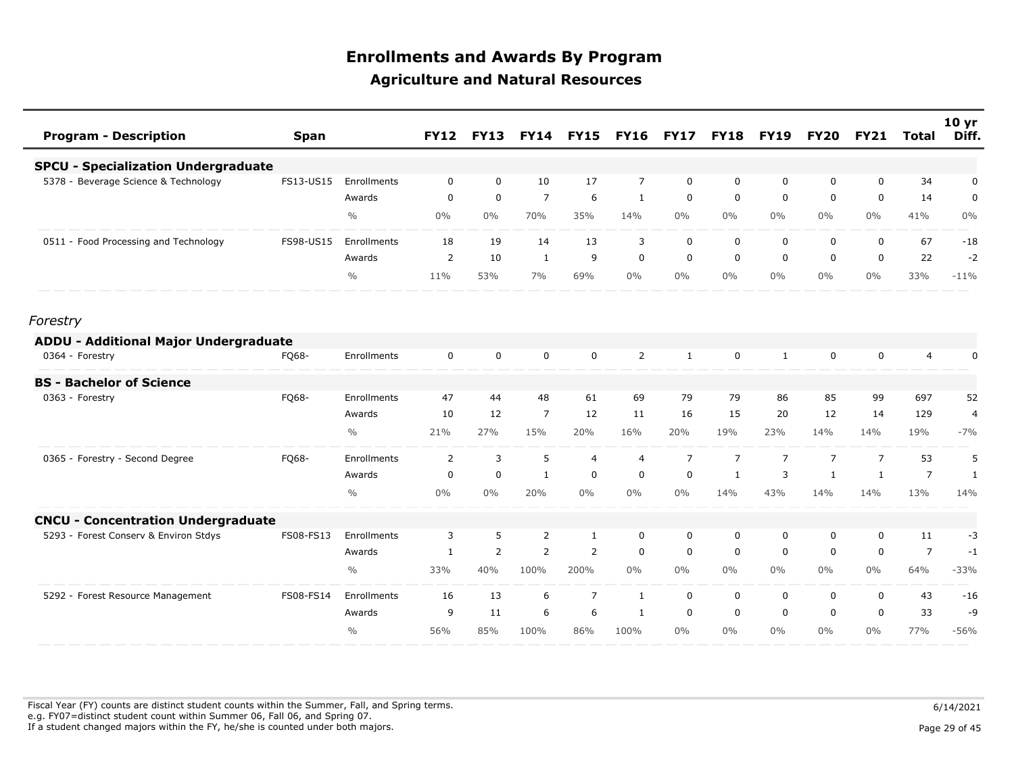| <b>Program - Description</b>               | <b>Span</b> |               | <b>FY12</b>    | <b>FY13</b>    | <b>FY14</b>    | <b>FY15</b>    | <b>FY16</b>    | <b>FY17</b>    | <b>FY18</b>    | <b>FY19</b>    | <b>FY20</b>    | <b>FY21</b>    | <b>Total</b>   | 10 <sub>yr</sub><br>Diff. |
|--------------------------------------------|-------------|---------------|----------------|----------------|----------------|----------------|----------------|----------------|----------------|----------------|----------------|----------------|----------------|---------------------------|
| <b>SPCU - Specialization Undergraduate</b> |             |               |                |                |                |                |                |                |                |                |                |                |                |                           |
| 5378 - Beverage Science & Technology       | FS13-US15   | Enrollments   | $\mathbf 0$    | $\mathbf 0$    | 10             | 17             | $\overline{7}$ | $\mathbf 0$    | $\mathbf 0$    | 0              | 0              | $\mathbf 0$    | 34             | $\pmb{0}$                 |
|                                            |             | Awards        | 0              | $\mathbf 0$    | $\overline{7}$ | 6              | 1              | 0              | 0              | 0              | 0              | $\mathbf 0$    | 14             | 0                         |
|                                            |             | $\frac{0}{0}$ | $0\%$          | $0\%$          | 70%            | 35%            | 14%            | $0\%$          | $0\%$          | $0\%$          | $0\%$          | $0\%$          | 41%            | $0\%$                     |
| 0511 - Food Processing and Technology      | FS98-US15   | Enrollments   | 18             | 19             | 14             | 13             | 3              | $\mathbf 0$    | 0              | $\mathbf 0$    | 0              | $\mathbf 0$    | 67             | $-18$                     |
|                                            |             | Awards        | $\overline{2}$ | 10             | $\mathbf{1}$   | 9              | $\mathbf 0$    | $\mathbf 0$    | $\mathbf 0$    | $\mathbf 0$    | 0              | $\mathbf 0$    | 22             | $-2$                      |
|                                            |             | $\frac{0}{0}$ | 11%            | 53%            | 7%             | 69%            | $0\%$          | $0\%$          | $0\%$          | $0\%$          | $0\%$          | $0\%$          | 33%            | $-11%$                    |
| Forestry                                   |             |               |                |                |                |                |                |                |                |                |                |                |                |                           |
| ADDU - Additional Major Undergraduate      |             |               |                |                |                |                |                |                |                |                |                |                |                |                           |
| 0364 - Forestry                            | FQ68-       | Enrollments   | $\mathbf 0$    | $\mathbf 0$    | $\mathbf 0$    | $\mathbf 0$    | $\overline{2}$ | 1              | $\mathbf 0$    | 1              | 0              | $\mathbf 0$    | $\overline{4}$ | 0                         |
| <b>BS - Bachelor of Science</b>            |             |               |                |                |                |                |                |                |                |                |                |                |                |                           |
| 0363 - Forestry                            | FQ68-       | Enrollments   | 47             | 44             | 48             | 61             | 69             | 79             | 79             | 86             | 85             | 99             | 697            | 52                        |
|                                            |             | Awards        | 10             | 12             | $\overline{7}$ | 12             | 11             | 16             | 15             | 20             | 12             | 14             | 129            | 4                         |
|                                            |             | $\frac{0}{0}$ | 21%            | 27%            | 15%            | 20%            | 16%            | 20%            | 19%            | 23%            | 14%            | 14%            | 19%            | $-7%$                     |
| 0365 - Forestry - Second Degree            | FQ68-       | Enrollments   | 2              | 3              | 5              | $\overline{4}$ | $\overline{4}$ | $\overline{7}$ | $\overline{7}$ | $\overline{7}$ | $\overline{7}$ | $\overline{7}$ | 53             | 5                         |
|                                            |             | Awards        | 0              | $\mathbf 0$    | $\mathbf{1}$   | 0              | $\mathbf 0$    | 0              | 1              | 3              | 1              | $\mathbf{1}$   | $\overline{7}$ | 1                         |
|                                            |             | $\frac{0}{0}$ | $0\%$          | $0\%$          | 20%            | $0\%$          | $0\%$          | $0\%$          | 14%            | 43%            | 14%            | 14%            | 13%            | 14%                       |
| <b>CNCU - Concentration Undergraduate</b>  |             |               |                |                |                |                |                |                |                |                |                |                |                |                           |
| 5293 - Forest Conserv & Environ Stdys      | FS08-FS13   | Enrollments   | 3              | 5              | 2              | 1              | $\mathbf 0$    | $\mathbf 0$    | $\mathbf 0$    | 0              | 0              | $\mathbf 0$    | 11             | $-3$                      |
|                                            |             | Awards        | 1              | $\overline{2}$ | 2              | $\overline{2}$ | $\mathbf 0$    | $\mathbf 0$    | $\mathbf 0$    | $\mathbf 0$    | 0              | $\mathbf 0$    | $\overline{7}$ | $-1$                      |
|                                            |             | $\frac{0}{0}$ | 33%            | 40%            | 100%           | 200%           | $0\%$          | $0\%$          | $0\%$          | $0\%$          | $0\%$          | $0\%$          | 64%            | $-33%$                    |
| 5292 - Forest Resource Management          | FS08-FS14   | Enrollments   | 16             | 13             | 6              | $\overline{7}$ | 1              | $\mathbf 0$    | $\mathbf 0$    | $\mathbf 0$    | 0              | $\mathbf 0$    | 43             | $-16$                     |
|                                            |             | Awards        | 9              | 11             | 6              | 6              | 1              | $\Omega$       | $\Omega$       | $\Omega$       | $\mathbf{0}$   | $\mathbf{0}$   | 33             | -9                        |
|                                            |             | $\frac{0}{0}$ | 56%            | 85%            | 100%           | 86%            | 100%           | $0\%$          | $0\%$          | $0\%$          | $0\%$          | $0\%$          | 77%            | $-56%$                    |

Fiscal Year (FY) counts are distinct student counts within the Summer, Fall, and Spring terms.  $6/14/2021$  e.g. FY07=distinct student count within Summer 06, Fall 06, and Spring 07. If a student changed majors within the FY, he/she is counted under both majors. Page 29 of 45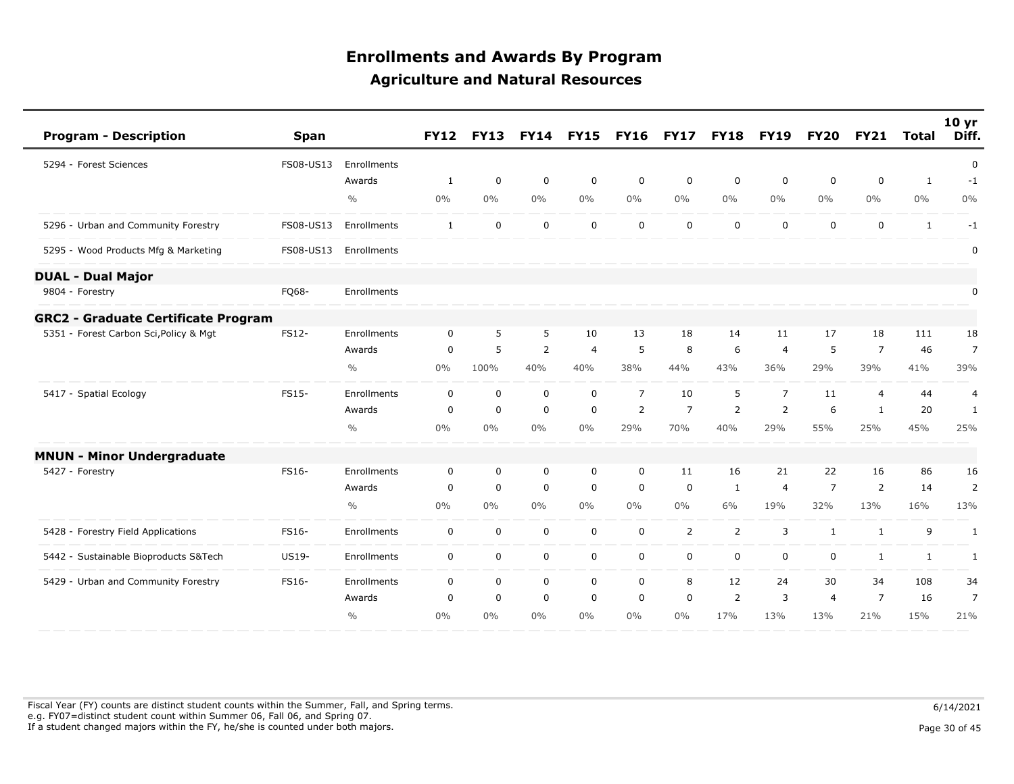| <b>Program - Description</b>               | <b>Span</b> |               | <b>FY12</b>  | <b>FY13</b> | <b>FY14</b>    | <b>FY15</b>    | <b>FY16</b>    | <b>FY17</b>    | <b>FY18</b>    | <b>FY19</b>    | <b>FY20</b>    | <b>FY21</b>    | <b>Total</b> | 10 <sub>yr</sub><br>Diff. |
|--------------------------------------------|-------------|---------------|--------------|-------------|----------------|----------------|----------------|----------------|----------------|----------------|----------------|----------------|--------------|---------------------------|
| 5294 - Forest Sciences                     | FS08-US13   | Enrollments   |              |             |                |                |                |                |                |                |                |                |              | 0                         |
|                                            |             | Awards        | $\mathbf{1}$ | 0           | $\mathbf 0$    | $\mathbf 0$    | 0              | $\mathbf 0$    | $\mathbf 0$    | $\mathbf 0$    | $\mathbf 0$    | $\mathbf 0$    | $\mathbf{1}$ | $-1$                      |
|                                            |             | $\frac{0}{0}$ | $0\%$        | $0\%$       | 0%             | 0%             | 0%             | $0\%$          | $0\%$          | $0\%$          | $0\%$          | $0\%$          | $0\%$        | $0\%$                     |
| 5296 - Urban and Community Forestry        | FS08-US13   | Enrollments   | $\mathbf{1}$ | 0           | $\mathbf 0$    | $\mathbf 0$    | $\mathbf 0$    | $\mathbf 0$    | $\mathbf 0$    | $\mathbf 0$    | $\mathbf 0$    | $\mathbf 0$    | $\mathbf{1}$ | $-1$                      |
| 5295 - Wood Products Mfg & Marketing       | FS08-US13   | Enrollments   |              |             |                |                |                |                |                |                |                |                |              | 0                         |
| <b>DUAL - Dual Major</b>                   |             |               |              |             |                |                |                |                |                |                |                |                |              |                           |
| 9804 - Forestry                            | FQ68-       | Enrollments   |              |             |                |                |                |                |                |                |                |                |              | 0                         |
| <b>GRC2 - Graduate Certificate Program</b> |             |               |              |             |                |                |                |                |                |                |                |                |              |                           |
| 5351 - Forest Carbon Sci, Policy & Mgt     | FS12-       | Enrollments   | $\mathbf 0$  | 5           | 5              | 10             | 13             | 18             | 14             | 11             | 17             | 18             | 111          | 18                        |
|                                            |             | Awards        | $\mathbf 0$  | 5           | $\overline{2}$ | $\overline{4}$ | 5              | 8              | 6              | $\overline{4}$ | 5              | $\overline{7}$ | 46           | $\overline{7}$            |
|                                            |             | $\frac{0}{0}$ | 0%           | 100%        | 40%            | 40%            | 38%            | 44%            | 43%            | 36%            | 29%            | 39%            | 41%          | 39%                       |
| 5417 - Spatial Ecology                     | FS15-       | Enrollments   | $\mathbf 0$  | 0           | $\mathbf 0$    | $\mathbf 0$    | $\overline{7}$ | 10             | 5              | $\overline{7}$ | 11             | $\overline{4}$ | 44           | 4                         |
|                                            |             | Awards        | 0            | $\mathbf 0$ | $\mathbf 0$    | $\mathbf 0$    | 2              | $\overline{7}$ | 2              | 2              | 6              | 1              | 20           | 1                         |
|                                            |             | $\frac{0}{0}$ | $0\%$        | $0\%$       | 0%             | 0%             | 29%            | 70%            | 40%            | 29%            | 55%            | 25%            | 45%          | 25%                       |
| <b>MNUN - Minor Undergraduate</b>          |             |               |              |             |                |                |                |                |                |                |                |                |              |                           |
| 5427 - Forestry                            | FS16-       | Enrollments   | 0            | 0           | $\mathbf 0$    | 0              | 0              | 11             | 16             | 21             | 22             | 16             | 86           | 16                        |
|                                            |             | Awards        | 0            | 0           | $\mathbf 0$    | $\mathbf 0$    | 0              | 0              | 1              | $\overline{4}$ | $\overline{7}$ | 2              | 14           | $\overline{2}$            |
|                                            |             | $\frac{0}{0}$ | $0\%$        | 0%          | $0\%$          | 0%             | $0\%$          | $0\%$          | 6%             | 19%            | 32%            | 13%            | 16%          | 13%                       |
| 5428 - Forestry Field Applications         | FS16-       | Enrollments   | $\mathbf 0$  | $\mathbf 0$ | $\mathbf 0$    | $\mathbf 0$    | 0              | 2              | $\overline{2}$ | 3              | $\mathbf{1}$   | $\mathbf{1}$   | 9            | $\mathbf{1}$              |
| 5442 - Sustainable Bioproducts S&Tech      | US19-       | Enrollments   | $\mathbf 0$  | 0           | $\mathbf 0$    | $\mathsf{O}$   | $\mathsf{O}$   | 0              | $\mathbf 0$    | $\mathbf 0$    | $\mathbf 0$    | $\mathbf{1}$   | $\mathbf{1}$ | 1                         |
| 5429 - Urban and Community Forestry        | FS16-       | Enrollments   | 0            | 0           | $\mathbf 0$    | 0              | 0              | 8              | 12             | 24             | 30             | 34             | 108          | 34                        |
|                                            |             | Awards        | 0            | 0           | $\mathbf 0$    | $\mathbf 0$    | 0              | 0              | 2              | 3              | $\overline{4}$ | $\overline{7}$ | 16           | 7                         |
|                                            |             | $\frac{0}{0}$ | 0%           | $0\%$       | 0%             | 0%             | 0%             | 0%             | 17%            | 13%            | 13%            | 21%            | 15%          | 21%                       |

Fiscal Year (FY) counts are distinct student counts within the Summer, Fall, and Spring terms.  $6/14/2021$  e.g. FY07=distinct student count within Summer 06, Fall 06, and Spring 07. If a student changed majors within the FY, he/she is counted under both majors. Page 30 of 45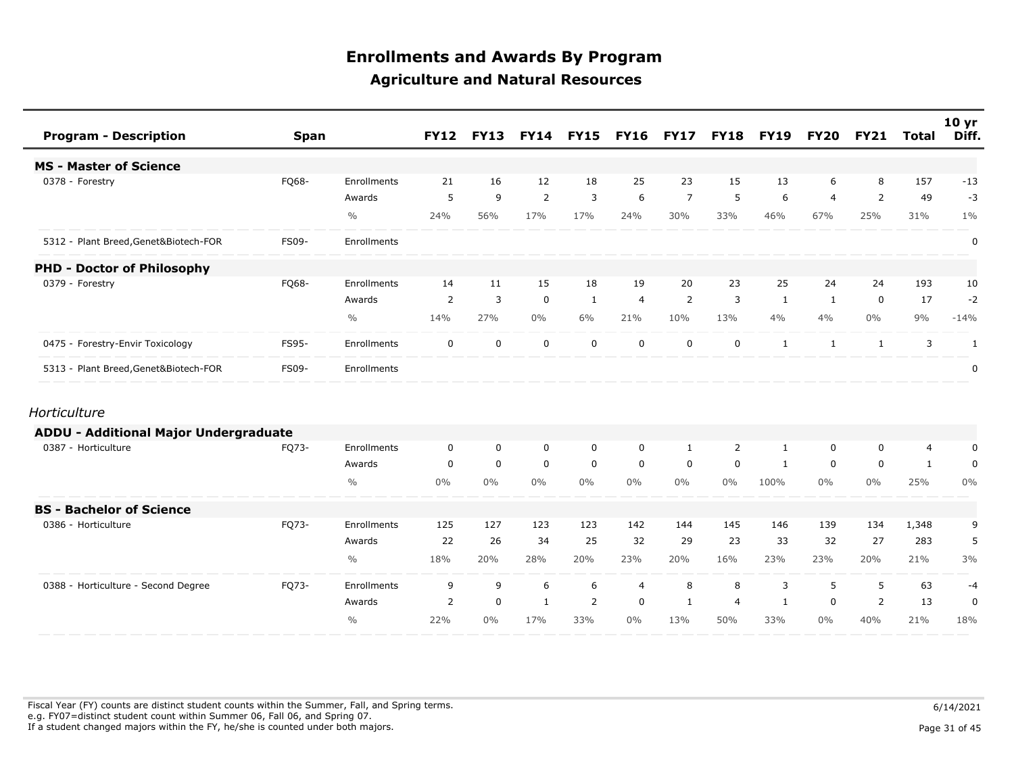| <b>Program - Description</b>                 | <b>Span</b>  |               | <b>FY12</b>    | <b>FY13</b> |                | <b>FY14 FY15</b> | <b>FY16</b>    | <b>FY17</b>    | <b>FY18</b>    | <b>FY19</b>  | <b>FY20</b>    | <b>FY21</b> | <b>Total</b> | 10 <sub>yr</sub><br>Diff. |
|----------------------------------------------|--------------|---------------|----------------|-------------|----------------|------------------|----------------|----------------|----------------|--------------|----------------|-------------|--------------|---------------------------|
| <b>MS - Master of Science</b>                |              |               |                |             |                |                  |                |                |                |              |                |             |              |                           |
| 0378 - Forestry                              | FQ68-        | Enrollments   | 21             | 16          | 12             | 18               | 25             | 23             | 15             | 13           | 6              | 8           | 157          | $-13$                     |
|                                              |              | Awards        | 5              | 9           | $\overline{2}$ | 3                | 6              | $\overline{7}$ | 5              | 6            | $\overline{4}$ | 2           | 49           | $-3$                      |
|                                              |              | $\frac{0}{0}$ | 24%            | 56%         | 17%            | 17%              | 24%            | 30%            | 33%            | 46%          | 67%            | 25%         | 31%          | $1\%$                     |
| 5312 - Plant Breed, Genet&Biotech-FOR        | <b>FS09-</b> | Enrollments   |                |             |                |                  |                |                |                |              |                |             |              | 0                         |
| <b>PHD - Doctor of Philosophy</b>            |              |               |                |             |                |                  |                |                |                |              |                |             |              |                           |
| 0379 - Forestry                              | FQ68-        | Enrollments   | 14             | 11          | 15             | 18               | 19             | 20             | 23             | 25           | 24             | 24          | 193          | 10                        |
|                                              |              | Awards        | 2              | 3           | $\mathbf 0$    | 1                | $\overline{4}$ | 2              | 3              | 1            | 1              | $\mathbf 0$ | 17           | $-2$                      |
|                                              |              | $\frac{0}{0}$ | 14%            | 27%         | $0\%$          | 6%               | 21%            | 10%            | 13%            | 4%           | 4%             | $0\%$       | 9%           | $-14%$                    |
| 0475 - Forestry-Envir Toxicology             | FS95-        | Enrollments   | $\mathbf 0$    | $\mathbf 0$ | $\mathbf 0$    | $\mathbf 0$      | $\mathbf 0$    | $\mathbf 0$    | 0              | 1            | 1              | 1           | 3            | $\mathbf{1}$              |
| 5313 - Plant Breed, Genet&Biotech-FOR        | FS09-        | Enrollments   |                |             |                |                  |                |                |                |              |                |             |              | $\mathbf 0$               |
| Horticulture                                 |              |               |                |             |                |                  |                |                |                |              |                |             |              |                           |
| <b>ADDU - Additional Major Undergraduate</b> |              |               |                |             |                |                  |                |                |                |              |                |             |              |                           |
| 0387 - Horticulture                          | FQ73-        | Enrollments   | $\mathbf 0$    | $\mathbf 0$ | $\mathbf 0$    | $\mathbf 0$      | $\mathbf 0$    | 1              | 2              | $\mathbf{1}$ | 0              | $\mathbf 0$ | 4            | 0                         |
|                                              |              | Awards        | $\mathbf 0$    | $\mathbf 0$ | $\mathbf 0$    | $\mathbf 0$      | $\mathbf 0$    | $\mathbf 0$    | $\mathbf 0$    | 1            | 0              | $\mathbf 0$ | $\mathbf{1}$ | $\mathbf 0$               |
|                                              |              | $\frac{0}{0}$ | $0\%$          | $0\%$       | $0\%$          | $0\%$            | $0\%$          | $0\%$          | $0\%$          | 100%         | $0\%$          | $0\%$       | 25%          | $0\%$                     |
| <b>BS - Bachelor of Science</b>              |              |               |                |             |                |                  |                |                |                |              |                |             |              |                           |
| 0386 - Horticulture                          | FQ73-        | Enrollments   | 125            | 127         | 123            | 123              | 142            | 144            | 145            | 146          | 139            | 134         | 1,348        | 9                         |
|                                              |              | Awards        | 22             | 26          | 34             | 25               | 32             | 29             | 23             | 33           | 32             | 27          | 283          | 5                         |
|                                              |              | $\frac{0}{0}$ | 18%            | 20%         | 28%            | 20%              | 23%            | 20%            | 16%            | 23%          | 23%            | 20%         | 21%          | 3%                        |
| 0388 - Horticulture - Second Degree          | FQ73-        | Enrollments   | 9              | 9           | 6              | 6                | $\overline{4}$ | 8              | 8              | 3            | 5              | 5           | 63           | $-4$                      |
|                                              |              | Awards        | $\overline{2}$ | $\mathbf 0$ | $\mathbf{1}$   | 2                | $\mathbf 0$    | 1              | $\overline{4}$ | $\mathbf{1}$ | $\mathbf 0$    | 2           | 13           | $\pmb{0}$                 |
|                                              |              | $\frac{0}{0}$ | 22%            | $0\%$       | 17%            | 33%              | $0\%$          | 13%            | 50%            | 33%          | $0\%$          | 40%         | 21%          | 18%                       |

Fiscal Year (FY) counts are distinct student counts within the Summer, Fall, and Spring terms.  $6/14/2021$  e.g. FY07=distinct student count within Summer 06, Fall 06, and Spring 07. If a student changed majors within the FY, he/she is counted under both majors. Page 31 of 45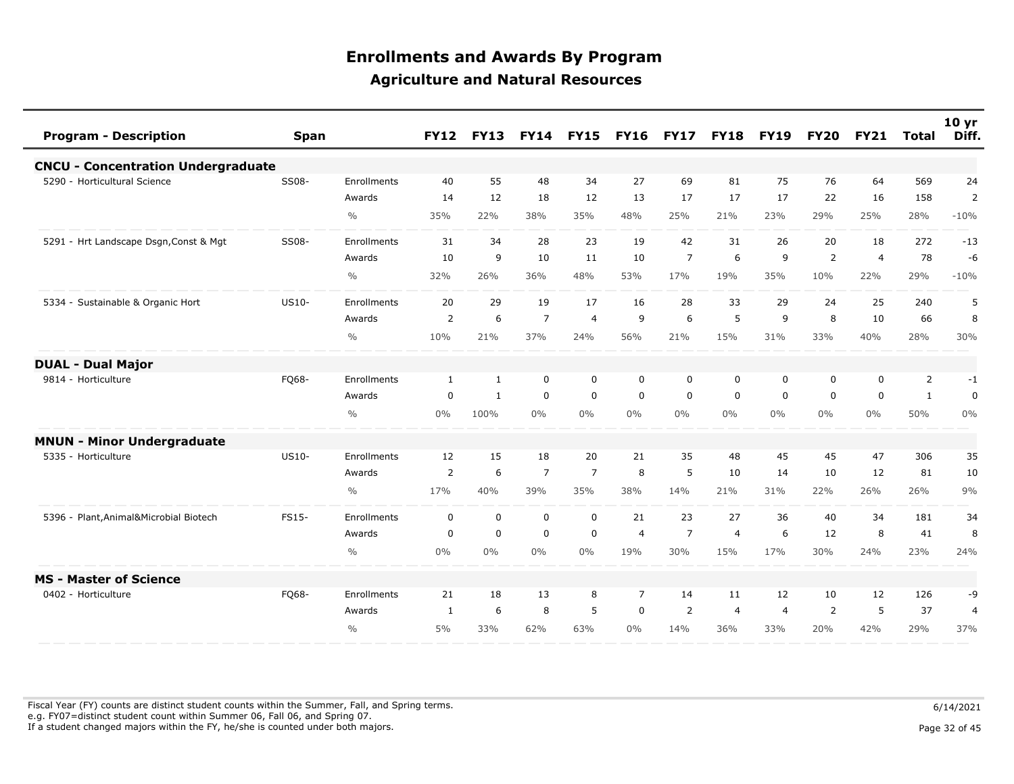| <b>Program - Description</b>              | Span         |               | <b>FY12</b>    | <b>FY13</b>  | <b>FY14</b>    | <b>FY15</b>    | <b>FY16</b>    | <b>FY17</b>    | <b>FY18</b>    | <b>FY19</b>    | <b>FY20</b>    | <b>FY21</b>    | Total          | 10 <sub>yr</sub><br>Diff. |
|-------------------------------------------|--------------|---------------|----------------|--------------|----------------|----------------|----------------|----------------|----------------|----------------|----------------|----------------|----------------|---------------------------|
| <b>CNCU - Concentration Undergraduate</b> |              |               |                |              |                |                |                |                |                |                |                |                |                |                           |
| 5290 - Horticultural Science              | SS08-        | Enrollments   | 40             | 55           | 48             | 34             | 27             | 69             | 81             | 75             | 76             | 64             | 569            | 24                        |
|                                           |              | Awards        | 14             | 12           | 18             | 12             | 13             | 17             | 17             | 17             | 22             | 16             | 158            | 2                         |
|                                           |              | $\frac{0}{0}$ | 35%            | 22%          | 38%            | 35%            | 48%            | 25%            | 21%            | 23%            | 29%            | 25%            | 28%            | $-10%$                    |
| 5291 - Hrt Landscape Dsgn, Const & Mgt    | SS08-        | Enrollments   | 31             | 34           | 28             | 23             | 19             | 42             | 31             | 26             | 20             | 18             | 272            | $-13$                     |
|                                           |              | Awards        | 10             | 9            | 10             | 11             | 10             | $\overline{7}$ | 6              | 9              | 2              | $\overline{4}$ | 78             | $-6$                      |
|                                           |              | $\frac{0}{0}$ | 32%            | 26%          | 36%            | 48%            | 53%            | 17%            | 19%            | 35%            | 10%            | 22%            | 29%            | $-10%$                    |
| 5334 - Sustainable & Organic Hort         | US10-        | Enrollments   | 20             | 29           | 19             | 17             | 16             | 28             | 33             | 29             | 24             | 25             | 240            | 5                         |
|                                           |              | Awards        | $\overline{2}$ | 6            | $\overline{7}$ | $\overline{4}$ | 9              | 6              | 5              | 9              | 8              | 10             | 66             | 8                         |
|                                           |              | $\frac{0}{0}$ | 10%            | 21%          | 37%            | 24%            | 56%            | 21%            | 15%            | 31%            | 33%            | 40%            | 28%            | 30%                       |
| <b>DUAL - Dual Major</b>                  |              |               |                |              |                |                |                |                |                |                |                |                |                |                           |
| 9814 - Horticulture                       | FQ68-        | Enrollments   | $\mathbf{1}$   | $\mathbf{1}$ | $\mathbf 0$    | 0              | $\mathbf 0$    | $\mathbf 0$    | 0              | $\mathbf 0$    | $\mathbf 0$    | $\mathbf 0$    | $\overline{2}$ | $-1$                      |
|                                           |              | Awards        | $\mathbf 0$    | $\mathbf{1}$ | $\mathbf 0$    | $\mathbf 0$    | $\mathbf 0$    | $\mathbf 0$    | 0              | $\mathbf 0$    | $\mathbf 0$    | $\mathbf 0$    | $\mathbf{1}$   | $\mathbf 0$               |
|                                           |              | $\frac{0}{0}$ | 0%             | 100%         | $0\%$          | $0\%$          | $0\%$          | $0\%$          | 0%             | $0\%$          | $0\%$          | 0%             | 50%            | $0\%$                     |
| <b>MNUN - Minor Undergraduate</b>         |              |               |                |              |                |                |                |                |                |                |                |                |                |                           |
| 5335 - Horticulture                       | <b>US10-</b> | Enrollments   | 12             | 15           | 18             | 20             | 21             | 35             | 48             | 45             | 45             | 47             | 306            | 35                        |
|                                           |              | Awards        | 2              | 6            | $\overline{7}$ | $\overline{7}$ | 8              | 5              | 10             | 14             | 10             | 12             | 81             | 10                        |
|                                           |              | $\frac{0}{0}$ | 17%            | 40%          | 39%            | 35%            | 38%            | 14%            | 21%            | 31%            | 22%            | 26%            | 26%            | 9%                        |
| 5396 - Plant, Animal&Microbial Biotech    | FS15-        | Enrollments   | $\Omega$       | $\Omega$     | $\mathbf 0$    | $\mathbf 0$    | 21             | 23             | 27             | 36             | 40             | 34             | 181            | 34                        |
|                                           |              | Awards        | $\mathbf 0$    | $\mathbf 0$  | 0              | $\mathbf 0$    | $\overline{4}$ | $\overline{7}$ | $\overline{4}$ | 6              | 12             | 8              | 41             | 8                         |
|                                           |              | $\frac{0}{0}$ | 0%             | $0\%$        | $0\%$          | $0\%$          | 19%            | 30%            | 15%            | 17%            | 30%            | 24%            | 23%            | 24%                       |
| <b>MS - Master of Science</b>             |              |               |                |              |                |                |                |                |                |                |                |                |                |                           |
| 0402 - Horticulture                       | FQ68-        | Enrollments   | 21             | 18           | 13             | 8              | $\overline{7}$ | 14             | 11             | 12             | 10             | 12             | 126            | -9                        |
|                                           |              | Awards        | 1              | 6            | 8              | 5              | $\mathbf 0$    | $\overline{2}$ | $\overline{4}$ | $\overline{4}$ | $\overline{2}$ | 5              | 37             | $\overline{4}$            |
|                                           |              | $\frac{0}{0}$ | 5%             | 33%          | 62%            | 63%            | $0\%$          | 14%            | 36%            | 33%            | 20%            | 42%            | 29%            | 37%                       |

Fiscal Year (FY) counts are distinct student counts within the Summer, Fall, and Spring terms.  $6/14/2021$  e.g. FY07=distinct student count within Summer 06, Fall 06, and Spring 07. If a student changed majors within the FY, he/she is counted under both majors. Page 32 of 45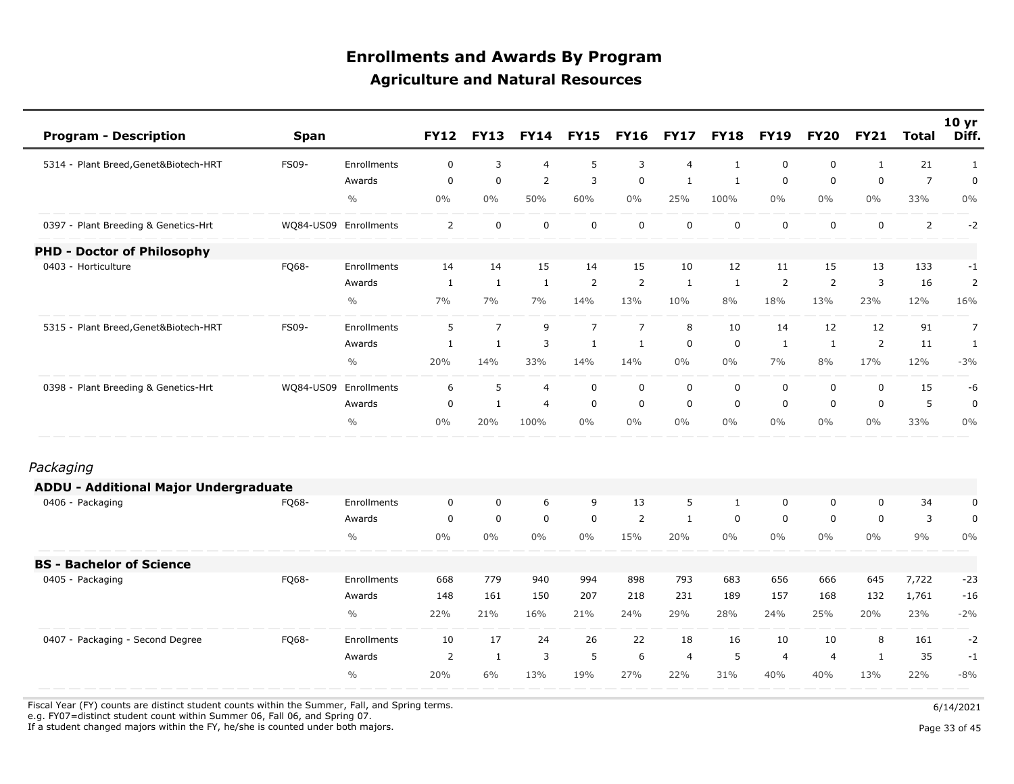| <b>Program - Description</b>                 | <b>Span</b>           |               | <b>FY12</b>    | <b>FY13</b>    | <b>FY14</b>    | <b>FY15</b>    | <b>FY16</b>    | <b>FY17</b>    | <b>FY18</b>  | <b>FY19</b>    | <b>FY20</b>    | <b>FY21</b>    | <b>Total</b>   | 10 <sub>yr</sub><br>Diff. |
|----------------------------------------------|-----------------------|---------------|----------------|----------------|----------------|----------------|----------------|----------------|--------------|----------------|----------------|----------------|----------------|---------------------------|
| 5314 - Plant Breed, Genet&Biotech-HRT        | FS09-                 | Enrollments   | 0              | 3              | $\overline{4}$ | 5              | 3              | $\overline{4}$ | $\mathbf{1}$ | 0              | 0              | $\mathbf{1}$   | 21             | $\mathbf{1}$              |
|                                              |                       | Awards        | $\mathbf 0$    | $\overline{0}$ | 2              | 3              | $\mathbf 0$    | $\mathbf{1}$   | $\mathbf{1}$ | $\mathbf 0$    | 0              | $\mathbf 0$    | $\overline{7}$ | 0                         |
|                                              |                       | $\frac{0}{0}$ | $0\%$          | $0\%$          | 50%            | 60%            | $0\%$          | 25%            | 100%         | $0\%$          | $0\%$          | $0\%$          | 33%            | 0%                        |
| 0397 - Plant Breeding & Genetics-Hrt         | WQ84-US09 Enrollments |               | $\overline{2}$ | $\mathbf 0$    | $\mathbf 0$    | $\mathsf 0$    | $\mathbf 0$    | $\mathbf 0$    | $\mathsf 0$  | $\mathbf 0$    | 0              | $\mathbf 0$    | $\overline{2}$ | $-2$                      |
| <b>PHD - Doctor of Philosophy</b>            |                       |               |                |                |                |                |                |                |              |                |                |                |                |                           |
| 0403 - Horticulture                          | FQ68-                 | Enrollments   | 14             | 14             | 15             | 14             | 15             | 10             | 12           | 11             | 15             | 13             | 133            | $-1$                      |
|                                              |                       | Awards        | 1              | $\mathbf{1}$   | $\mathbf{1}$   | $\overline{2}$ | $\overline{2}$ | 1              | 1            | 2              | $\overline{2}$ | 3              | 16             | $\overline{2}$            |
|                                              |                       | $\frac{0}{0}$ | 7%             | 7%             | 7%             | 14%            | 13%            | 10%            | 8%           | 18%            | 13%            | 23%            | 12%            | 16%                       |
| 5315 - Plant Breed, Genet&Biotech-HRT        | <b>FS09-</b>          | Enrollments   | 5              | $\overline{7}$ | 9              | $\overline{7}$ | $\overline{7}$ | 8              | 10           | 14             | 12             | 12             | 91             | $\overline{7}$            |
|                                              |                       | Awards        | $\mathbf{1}$   | $\mathbf{1}$   | $\mathsf 3$    | $\mathbf{1}$   | $\mathbf{1}$   | $\mathbf 0$    | $\mathsf 0$  | $\mathbf{1}$   | $\mathbf{1}$   | $\overline{2}$ | 11             | $\mathbf{1}$              |
|                                              |                       | $\frac{0}{0}$ | 20%            | 14%            | 33%            | 14%            | 14%            | $0\%$          | $0\%$        | 7%             | 8%             | 17%            | 12%            | $-3%$                     |
| 0398 - Plant Breeding & Genetics-Hrt         | WQ84-US09             | Enrollments   | 6              | 5              | 4              | $\mathbf 0$    | $\mathbf 0$    | $\mathbf 0$    | $\mathbf 0$  | $\mathbf 0$    | 0              | $\mathbf 0$    | 15             | -6                        |
|                                              |                       | Awards        | $\mathbf 0$    | $\mathbf{1}$   | $\overline{4}$ | $\mathbf 0$    | $\mathbf 0$    | $\mathbf 0$    | 0            | $\mathbf 0$    | 0              | 0              | 5              | $\pmb{0}$                 |
|                                              |                       | $\frac{0}{0}$ | $0\%$          | 20%            | 100%           | $0\%$          | $0\%$          | $0\%$          | $0\%$        | $0\%$          | $0\%$          | 0%             | 33%            | 0%                        |
| Packaging                                    |                       |               |                |                |                |                |                |                |              |                |                |                |                |                           |
| <b>ADDU - Additional Major Undergraduate</b> |                       |               |                |                |                |                |                |                |              |                |                |                |                |                           |
| 0406 - Packaging                             | FQ68-                 | Enrollments   | $\mathbf 0$    | $\mathbf 0$    | 6              | 9              | 13             | 5              | $\mathbf{1}$ | 0              | 0              | $\mathbf 0$    | 34             | $\pmb{0}$                 |
|                                              |                       | Awards        | $\mathbf 0$    | $\mathbf 0$    | $\mathbf 0$    | $\mathbf 0$    | 2              | $\mathbf{1}$   | $\mathbf 0$  | $\mathbf 0$    | 0              | $\mathbf 0$    | 3              | $\pmb{0}$                 |
|                                              |                       | $\frac{0}{0}$ | $0\%$          | $0\%$          | $0\%$          | $0\%$          | 15%            | 20%            | $0\%$        | $0\%$          | $0\%$          | 0%             | 9%             | 0%                        |
| <b>BS - Bachelor of Science</b>              |                       |               |                |                |                |                |                |                |              |                |                |                |                |                           |
| 0405 - Packaging                             | FQ68-                 | Enrollments   | 668            | 779            | 940            | 994            | 898            | 793            | 683          | 656            | 666            | 645            | 7,722          | $-23$                     |
|                                              |                       | Awards        | 148            | 161            | 150            | 207            | 218            | 231            | 189          | 157            | 168            | 132            | 1,761          | $-16$                     |
|                                              |                       | $\frac{0}{0}$ | 22%            | 21%            | 16%            | 21%            | 24%            | 29%            | 28%          | 24%            | 25%            | 20%            | 23%            | $-2%$                     |
| 0407 - Packaging - Second Degree             | FQ68-                 | Enrollments   | 10             | 17             | 24             | 26             | 22             | 18             | 16           | 10             | 10             | 8              | 161            | $-2$                      |
|                                              |                       | Awards        | 2              | $\mathbf{1}$   | 3              | 5              | 6              | $\overline{4}$ | 5            | $\overline{4}$ | $\overline{4}$ | 1              | 35             | $-1$                      |
|                                              |                       | $\frac{0}{0}$ | 20%            | 6%             | 13%            | 19%            | 27%            | 22%            | 31%          | 40%            | 40%            | 13%            | 22%            | $-8%$                     |

Fiscal Year (FY) counts are distinct student counts within the Summer, Fall, and Spring terms.  $6/14/2021$ 

e.g. FY07=distinct student count within Summer 06, Fall 06, and Spring 07.

If a student changed majors within the FY, he/she is counted under both majors. Page 33 of 45

Page 33 of 45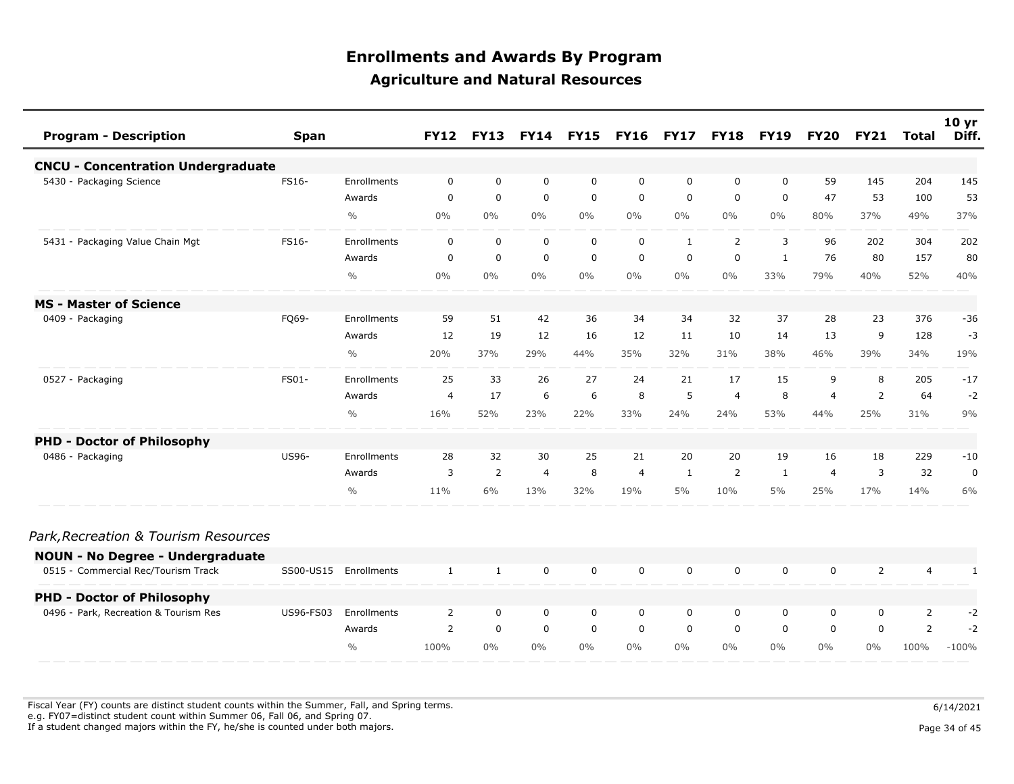| <b>Program - Description</b>              | <b>Span</b>      |               | <b>FY12</b>    | <b>FY13</b>    |                | <b>FY14 FY15</b> | <b>FY16</b>    | <b>FY17</b>  | <b>FY18</b>    | <b>FY19</b>  | <b>FY20</b>    | <b>FY21</b>    | <b>Total</b>   | 10 <sub>yr</sub><br>Diff. |
|-------------------------------------------|------------------|---------------|----------------|----------------|----------------|------------------|----------------|--------------|----------------|--------------|----------------|----------------|----------------|---------------------------|
| <b>CNCU - Concentration Undergraduate</b> |                  |               |                |                |                |                  |                |              |                |              |                |                |                |                           |
| 5430 - Packaging Science                  | FS16-            | Enrollments   | 0              | 0              | 0              | 0                | 0              | $\mathbf 0$  | 0              | 0            | 59             | 145            | 204            | 145                       |
|                                           |                  | Awards        | $\mathbf 0$    | $\mathbf 0$    | $\mathbf 0$    | $\mathbf 0$      | $\mathbf 0$    | $\mathbf 0$  | $\mathbf 0$    | $\mathbf 0$  | 47             | 53             | 100            | 53                        |
|                                           |                  | $\frac{0}{0}$ | $0\%$          | $0\%$          | $0\%$          | $0\%$            | $0\%$          | $0\%$        | $0\%$          | $0\%$        | 80%            | 37%            | 49%            | 37%                       |
| 5431 - Packaging Value Chain Mgt          | <b>FS16-</b>     | Enrollments   | $\mathbf 0$    | $\mathbf 0$    | $\mathbf 0$    | $\mathbf 0$      | $\mathbf 0$    | $\mathbf{1}$ | $\overline{2}$ | 3            | 96             | 202            | 304            | 202                       |
|                                           |                  | Awards        | $\mathbf 0$    | 0              | $\mathbf 0$    | $\mathbf 0$      | $\mathbf 0$    | $\mathbf 0$  | 0              | $\mathbf{1}$ | 76             | 80             | 157            | 80                        |
|                                           |                  | $\frac{0}{0}$ | $0\%$          | $0\%$          | $0\%$          | $0\%$            | $0\%$          | $0\%$        | $0\%$          | 33%          | 79%            | 40%            | 52%            | 40%                       |
| <b>MS - Master of Science</b>             |                  |               |                |                |                |                  |                |              |                |              |                |                |                |                           |
| 0409 - Packaging                          | FQ69-            | Enrollments   | 59             | 51             | 42             | 36               | 34             | 34           | 32             | 37           | 28             | 23             | 376            | $-36$                     |
|                                           |                  | Awards        | 12             | 19             | 12             | 16               | 12             | 11           | 10             | 14           | 13             | 9              | 128            | $-3$                      |
|                                           |                  | $\frac{0}{0}$ | 20%            | 37%            | 29%            | 44%              | 35%            | 32%          | 31%            | 38%          | 46%            | 39%            | 34%            | 19%                       |
| 0527 - Packaging                          | FS01-            | Enrollments   | 25             | 33             | 26             | 27               | 24             | 21           | 17             | 15           | 9              | 8              | 205            | $-17$                     |
|                                           |                  | Awards        | $\overline{4}$ | 17             | 6              | 6                | 8              | 5            | $\overline{4}$ | 8            | $\overline{4}$ | 2              | 64             | $-2$                      |
|                                           |                  | $\frac{0}{0}$ | 16%            | 52%            | 23%            | 22%              | 33%            | 24%          | 24%            | 53%          | 44%            | 25%            | 31%            | 9%                        |
| <b>PHD - Doctor of Philosophy</b>         |                  |               |                |                |                |                  |                |              |                |              |                |                |                |                           |
| 0486 - Packaging                          | <b>US96-</b>     | Enrollments   | 28             | 32             | 30             | 25               | 21             | 20           | 20             | 19           | 16             | 18             | 229            | $-10$                     |
|                                           |                  | Awards        | 3              | $\overline{2}$ | $\overline{4}$ | 8                | $\overline{4}$ | 1            | 2              | 1            | $\overline{4}$ | 3              | 32             | $\mathbf 0$               |
|                                           |                  | $\frac{0}{0}$ | 11%            | 6%             | 13%            | 32%              | 19%            | 5%           | 10%            | 5%           | 25%            | 17%            | 14%            | 6%                        |
| Park, Recreation & Tourism Resources      |                  |               |                |                |                |                  |                |              |                |              |                |                |                |                           |
| <b>NOUN - No Degree - Undergraduate</b>   |                  |               |                |                |                |                  |                |              |                |              |                |                |                |                           |
| 0515 - Commercial Rec/Tourism Track       | SS00-US15        | Enrollments   | $\mathbf{1}$   | $\mathbf{1}$   | $\mathbf 0$    | $\mathbf 0$      | $\mathbf 0$    | $\mathbf 0$  | $\mathbf 0$    | $\mathbf 0$  | 0              | $\overline{2}$ | $\overline{4}$ | 1                         |
| <b>PHD - Doctor of Philosophy</b>         |                  |               |                |                |                |                  |                |              |                |              |                |                |                |                           |
| 0496 - Park, Recreation & Tourism Res     | <b>US96-FS03</b> | Enrollments   | 2              | $\mathbf 0$    | $\mathbf 0$    | $\mathbf 0$      | $\mathbf 0$    | $\mathbf 0$  | $\mathbf 0$    | 0            | 0              | 0              | $\overline{2}$ | $-2$                      |
|                                           |                  | Awards        | $\overline{2}$ | $\mathbf 0$    | $\mathbf 0$    | $\mathbf 0$      | $\mathbf 0$    | $\mathbf 0$  | $\Omega$       | $\Omega$     | $\Omega$       | $\Omega$       | $\overline{2}$ | $-2$                      |
|                                           |                  | $\frac{0}{0}$ | 100%           | $0\%$          | $0\%$          | $0\%$            | $0\%$          | $0\%$        | $0\%$          | $0\%$        | $0\%$          | $0\%$          | 100%           | $-100%$                   |

Fiscal Year (FY) counts are distinct student counts within the Summer, Fall, and Spring terms.  $6/14/2021$  e.g. FY07=distinct student count within Summer 06, Fall 06, and Spring 07. If a student changed majors within the FY, he/she is counted under both majors. Page 34 of 45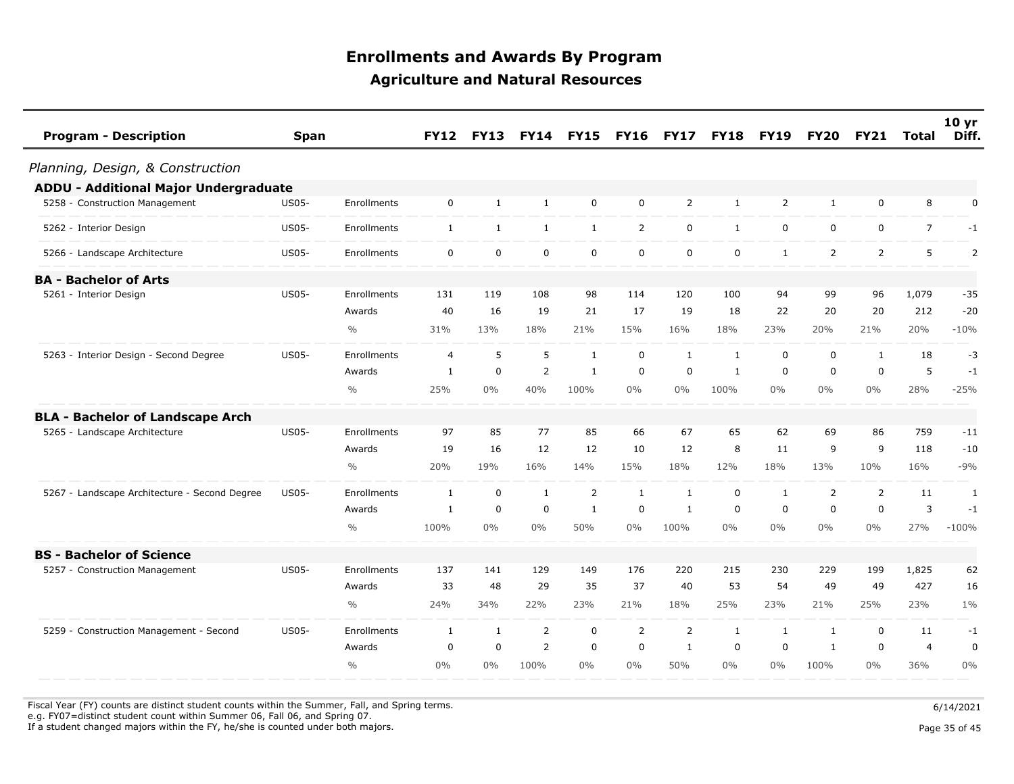| <b>Program - Description</b>                  | <b>Span</b>  |               | <b>FY12</b>    | <b>FY13</b>  | <b>FY14</b>    | <b>FY15</b>  | <b>FY16</b>    | <b>FY17</b>    | <b>FY18</b>  | <b>FY19</b>  | <b>FY20</b>    | <b>FY21</b>    | Total          | 10 <sub>yr</sub><br>Diff. |
|-----------------------------------------------|--------------|---------------|----------------|--------------|----------------|--------------|----------------|----------------|--------------|--------------|----------------|----------------|----------------|---------------------------|
| Planning, Design, & Construction              |              |               |                |              |                |              |                |                |              |              |                |                |                |                           |
| ADDU - Additional Major Undergraduate         |              |               |                |              |                |              |                |                |              |              |                |                |                |                           |
| 5258 - Construction Management                | <b>US05-</b> | Enrollments   | $\mathbf 0$    | $\mathbf{1}$ | $\mathbf{1}$   | 0            | $\mathbf 0$    | $\overline{2}$ | $\mathbf{1}$ | 2            | $\mathbf{1}$   | $\mathbf 0$    | 8              | $\pmb{0}$                 |
| 5262 - Interior Design                        | <b>US05-</b> | Enrollments   | 1              | $\mathbf{1}$ | $\mathbf{1}$   | $\mathbf{1}$ | $\overline{2}$ | $\mathbf 0$    | $\mathbf{1}$ | $\mathbf 0$  | 0              | $\mathbf 0$    | $\overline{7}$ | $-1$                      |
| 5266 - Landscape Architecture                 | <b>US05-</b> | Enrollments   | $\mathbf 0$    | $\mathbf 0$  | $\mathbf 0$    | $\mathbf 0$  | $\mathbf 0$    | $\mathbf 0$    | $\mathbf 0$  | $\mathbf{1}$ | $\overline{2}$ | $\overline{2}$ | 5              | $\overline{2}$            |
| <b>BA - Bachelor of Arts</b>                  |              |               |                |              |                |              |                |                |              |              |                |                |                |                           |
| 5261 - Interior Design                        | <b>US05-</b> | Enrollments   | 131            | 119          | 108            | 98           | 114            | 120            | 100          | 94           | 99             | 96             | 1,079          | $-35$                     |
|                                               |              | Awards        | 40             | 16           | 19             | 21           | 17             | 19             | 18           | 22           | 20             | 20             | 212            | $-20$                     |
|                                               |              | $\frac{0}{0}$ | 31%            | 13%          | 18%            | 21%          | 15%            | 16%            | 18%          | 23%          | 20%            | 21%            | 20%            | $-10%$                    |
| 5263 - Interior Design - Second Degree        | <b>US05-</b> | Enrollments   | $\overline{4}$ | 5            | 5              | 1            | $\mathbf 0$    | 1              | 1            | $\mathbf 0$  | 0              | 1              | 18             | $-3$                      |
|                                               |              | Awards        | 1              | $\mathbf 0$  | $\overline{2}$ | $\mathbf{1}$ | $\mathbf 0$    | $\mathbf 0$    | $\mathbf{1}$ | $\mathbf 0$  | 0              | $\mathbf 0$    | 5              | $-1$                      |
|                                               |              | $\frac{0}{0}$ | 25%            | $0\%$        | 40%            | 100%         | $0\%$          | $0\%$          | 100%         | $0\%$        | $0\%$          | $0\%$          | 28%            | $-25%$                    |
| <b>BLA - Bachelor of Landscape Arch</b>       |              |               |                |              |                |              |                |                |              |              |                |                |                |                           |
| 5265 - Landscape Architecture                 | <b>US05-</b> | Enrollments   | 97             | 85           | 77             | 85           | 66             | 67             | 65           | 62           | 69             | 86             | 759            | $-11$                     |
|                                               |              | Awards        | 19             | 16           | 12             | 12           | 10             | 12             | 8            | 11           | 9              | 9              | 118            | $-10$                     |
|                                               |              | $\frac{0}{0}$ | 20%            | 19%          | 16%            | 14%          | 15%            | 18%            | 12%          | 18%          | 13%            | 10%            | 16%            | $-9%$                     |
| 5267 - Landscape Architecture - Second Degree | <b>US05-</b> | Enrollments   | 1              | $\mathbf 0$  | 1              | 2            | 1              | 1              | 0            | $\mathbf{1}$ | $\overline{2}$ | 2              | 11             | 1                         |
|                                               |              | Awards        | 1              | $\mathbf 0$  | 0              | $\mathbf{1}$ | $\mathbf 0$    | 1              | $\mathbf 0$  | $\mathbf 0$  | 0              | $\mathbf 0$    | 3              | $-1$                      |
|                                               |              | $\frac{0}{0}$ | 100%           | $0\%$        | $0\%$          | 50%          | 0%             | 100%           | $0\%$        | $0\%$        | $0\%$          | 0%             | 27%            | $-100%$                   |
| <b>BS - Bachelor of Science</b>               |              |               |                |              |                |              |                |                |              |              |                |                |                |                           |
| 5257 - Construction Management                | <b>US05-</b> | Enrollments   | 137            | 141          | 129            | 149          | 176            | 220            | 215          | 230          | 229            | 199            | 1,825          | 62                        |
|                                               |              | Awards        | 33             | 48           | 29             | 35           | 37             | 40             | 53           | 54           | 49             | 49             | 427            | 16                        |
|                                               |              | $\frac{0}{0}$ | 24%            | 34%          | 22%            | 23%          | 21%            | 18%            | 25%          | 23%          | 21%            | 25%            | 23%            | $1\%$                     |
| 5259 - Construction Management - Second       | <b>US05-</b> | Enrollments   | $\mathbf{1}$   | $\mathbf{1}$ | $\overline{2}$ | 0            | $\overline{2}$ | $\overline{2}$ | $\mathbf{1}$ | $\mathbf{1}$ | $\mathbf{1}$   | $\mathbf 0$    | 11             | $-1$                      |
|                                               |              | Awards        | $\mathbf 0$    | $\mathbf 0$  | $\overline{2}$ | $\mathbf 0$  | $\mathbf 0$    | $\mathbf{1}$   | $\mathbf 0$  | $\mathbf 0$  | $\mathbf{1}$   | $\mathbf 0$    | $\overline{4}$ | $\pmb{0}$                 |
|                                               |              | $\frac{0}{0}$ | $0\%$          | $0\%$        | 100%           | $0\%$        | $0\%$          | 50%            | $0\%$        | $0\%$        | 100%           | $0\%$          | 36%            | 0%                        |

Fiscal Year (FY) counts are distinct student counts within the Summer, Fall, and Spring terms.  $6/14/2021$ 

e.g. FY07=distinct student count within Summer 06, Fall 06, and Spring 07.

If a student changed majors within the FY, he/she is counted under both majors. Page 35 of 45

Page 35 of 45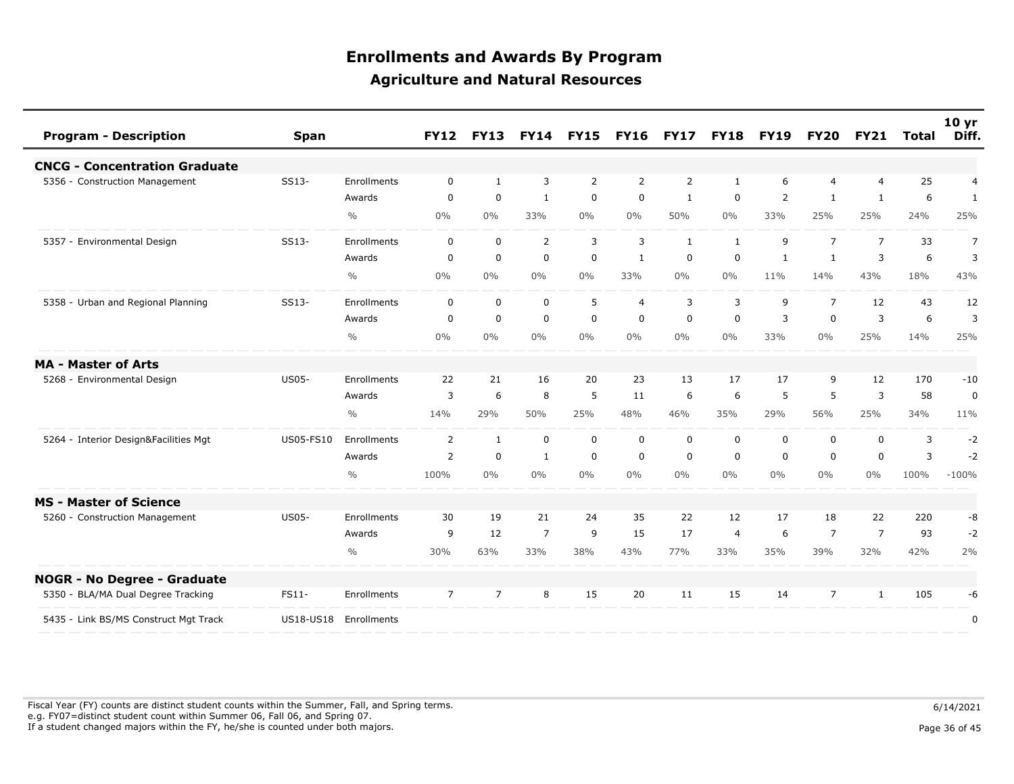| <b>Program - Description</b>          | <b>Span</b>      |               | <b>FY12</b>    | <b>FY13</b>    | <b>FY14</b>    | <b>FY15</b> | <b>FY16</b>    | <b>FY17</b>  | <b>FY18</b>      | <b>FY19</b> | <b>FY20</b>    | <b>FY21</b>    | Total | 10 <sub>yr</sub><br>Diff. |
|---------------------------------------|------------------|---------------|----------------|----------------|----------------|-------------|----------------|--------------|------------------|-------------|----------------|----------------|-------|---------------------------|
| <b>CNCG - Concentration Graduate</b>  |                  |               |                |                |                |             |                |              |                  |             |                |                |       |                           |
| 5356 - Construction Management        | SS13-            | Enrollments   | $\mathbf 0$    | $\mathbf{1}$   | 3              | 2           | 2              | 2            | 1                | 6           | $\overline{4}$ | $\overline{4}$ | 25    | $\overline{4}$            |
|                                       |                  | Awards        | $\mathbf 0$    | 0              | $\mathbf{1}$   | $\mathbf 0$ | $\mathbf 0$    | $\mathbf{1}$ | 0                | 2           | $\mathbf{1}$   | $\mathbf{1}$   | 6     | $\mathbf{1}$              |
|                                       |                  | $\frac{0}{0}$ | $0\%$          | $0\%$          | 33%            | $0\%$       | $0\%$          | 50%          | $0\%$            | 33%         | 25%            | 25%            | 24%   | 25%                       |
| 5357 - Environmental Design           | SS13-            | Enrollments   | $\mathbf 0$    | $\mathbf 0$    | $\overline{2}$ | 3           | 3              | 1            | $\mathbf{1}$     | 9           | $\overline{7}$ | $\overline{7}$ | 33    | $\overline{7}$            |
|                                       |                  | Awards        | 0              | $\mathbf 0$    | $\mathbf 0$    | $\mathbf 0$ | 1              | $\mathbf 0$  | $\mathbf 0$      | 1           | 1              | 3              | 6     | 3                         |
|                                       |                  | $\frac{0}{0}$ | 0%             | 0%             | $0\%$          | $0\%$       | 33%            | $0\%$        | $0\%$            | 11%         | 14%            | 43%            | 18%   | 43%                       |
| 5358 - Urban and Regional Planning    | SS13-            | Enrollments   | 0              | $\mathbf 0$    | $\mathbf 0$    | 5           | $\overline{4}$ | 3            | 3                | 9           | $\overline{7}$ | 12             | 43    | 12                        |
|                                       |                  | Awards        | $\mathbf 0$    | $\mathbf 0$    | $\mathbf 0$    | $\mathbf 0$ | $\mathbf 0$    | $\mathbf 0$  | $\boldsymbol{0}$ | 3           | $\mathbf 0$    | 3              | 6     | 3                         |
|                                       |                  | $\frac{0}{0}$ | 0%             | 0%             | 0%             | $0\%$       | 0%             | 0%           | $0\%$            | 33%         | $0\%$          | 25%            | 14%   | 25%                       |
| <b>MA - Master of Arts</b>            |                  |               |                |                |                |             |                |              |                  |             |                |                |       |                           |
| 5268 - Environmental Design           | <b>US05-</b>     | Enrollments   | 22             | 21             | 16             | 20          | 23             | 13           | 17               | 17          | 9              | 12             | 170   | $-10$                     |
|                                       |                  | Awards        | 3              | 6              | 8              | 5           | 11             | 6            | 6                | 5           | 5              | 3              | 58    | 0                         |
|                                       |                  | $\frac{0}{0}$ | 14%            | 29%            | 50%            | 25%         | 48%            | 46%          | 35%              | 29%         | 56%            | 25%            | 34%   | 11%                       |
| 5264 - Interior Design&Facilities Mgt | <b>US05-FS10</b> | Enrollments   | $\overline{2}$ | $\mathbf{1}$   | $\mathbf 0$    | $\mathbf 0$ | $\mathbf 0$    | $\mathbf 0$  | $\mathbf 0$      | $\mathbf 0$ | $\mathbf 0$    | $\mathbf 0$    | 3     | $-2$                      |
|                                       |                  | Awards        | 2              | $\mathbf 0$    | $\mathbf{1}$   | $\mathbf 0$ | $\mathbf 0$    | 0            | 0                | $\mathbf 0$ | $\mathbf 0$    | $\mathbf 0$    | 3     | $-2$                      |
|                                       |                  | $\frac{0}{0}$ | 100%           | 0%             | 0%             | $0\%$       | $0\%$          | $0\%$        | $0\%$            | $0\%$       | $0\%$          | 0%             | 100%  | $-100%$                   |
| <b>MS - Master of Science</b>         |                  |               |                |                |                |             |                |              |                  |             |                |                |       |                           |
| 5260 - Construction Management        | <b>US05-</b>     | Enrollments   | 30             | 19             | 21             | 24          | 35             | 22           | 12               | 17          | 18             | 22             | 220   | -8                        |
|                                       |                  | Awards        | 9              | 12             | $\overline{7}$ | 9           | 15             | 17           | $\overline{4}$   | 6           | 7              | $\overline{7}$ | 93    | $-2$                      |
|                                       |                  | $\frac{0}{0}$ | 30%            | 63%            | 33%            | 38%         | 43%            | 77%          | 33%              | 35%         | 39%            | 32%            | 42%   | 2%                        |
| <b>NOGR - No Degree - Graduate</b>    |                  |               |                |                |                |             |                |              |                  |             |                |                |       |                           |
| 5350 - BLA/MA Dual Degree Tracking    | FS11-            | Enrollments   | $\overline{7}$ | $\overline{7}$ | 8              | 15          | 20             | 11           | 15               | 14          | $\overline{7}$ | 1              | 105   | -6                        |
| 5435 - Link BS/MS Construct Mgt Track | US18-US18        | Enrollments   |                |                |                |             |                |              |                  |             |                |                |       | 0                         |

Fiscal Year (FY) counts are distinct student counts within the Summer, Fall, and Spring terms.  $6/14/2021$  e.g. FY07=distinct student count within Summer 06, Fall 06, and Spring 07. If a student changed majors within the FY, he/she is counted under both majors. Page 36 of 45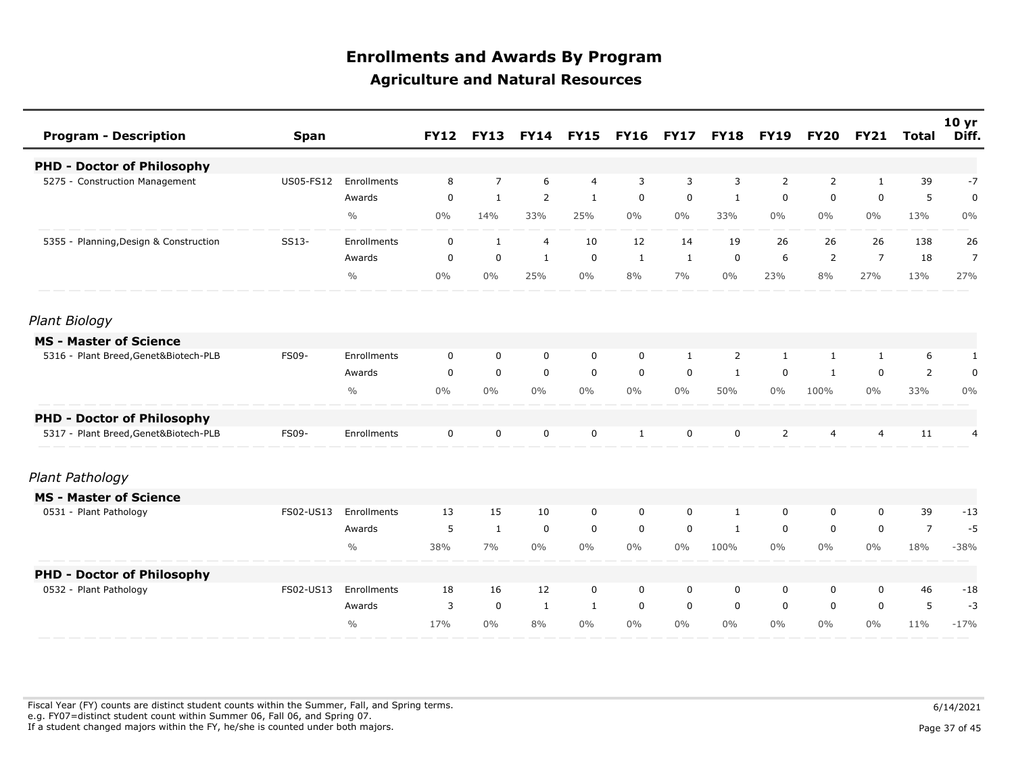| <b>Program - Description</b>           | <b>Span</b> |               | <b>FY12</b> | <b>FY13</b>    |                | <b>FY14 FY15</b> | <b>FY16</b>  | <b>FY17</b> | <b>FY18</b>  | <b>FY19</b>    | <b>FY20</b> | <b>FY21</b>    | Total          | 10 <sub>yr</sub><br>Diff. |
|----------------------------------------|-------------|---------------|-------------|----------------|----------------|------------------|--------------|-------------|--------------|----------------|-------------|----------------|----------------|---------------------------|
| <b>PHD - Doctor of Philosophy</b>      |             |               |             |                |                |                  |              |             |              |                |             |                |                |                           |
| 5275 - Construction Management         | US05-FS12   | Enrollments   | 8           | $\overline{7}$ | 6              | 4                | 3            | 3           | 3            | 2              | 2           | 1              | 39             | $-7$                      |
|                                        |             | Awards        | $\mathbf 0$ | $\mathbf{1}$   | 2              | $\mathbf{1}$     | $\mathbf 0$  | $\mathbf 0$ | $\mathbf{1}$ | $\mathbf 0$    | $\mathbf 0$ | $\mathbf 0$    | 5              | $\mathbf 0$               |
|                                        |             | $\frac{0}{0}$ | $0\%$       | 14%            | 33%            | 25%              | $0\%$        | $0\%$       | 33%          | $0\%$          | $0\%$       | $0\%$          | 13%            | $0\%$                     |
| 5355 - Planning, Design & Construction | SS13-       | Enrollments   | $\mathbf 0$ | $\mathbf{1}$   | $\overline{4}$ | 10               | 12           | 14          | 19           | 26             | 26          | 26             | 138            | 26                        |
|                                        |             | Awards        | 0           | $\mathbf 0$    | $\mathbf{1}$   | $\mathbf 0$      | $\mathbf{1}$ | 1           | 0            | 6              | 2           | $\overline{7}$ | 18             | $\overline{7}$            |
|                                        |             | $\frac{0}{0}$ | $0\%$       | $0\%$          | 25%            | $0\%$            | 8%           | 7%          | $0\%$        | 23%            | 8%          | 27%            | 13%            | 27%                       |
| Plant Biology                          |             |               |             |                |                |                  |              |             |              |                |             |                |                |                           |
| <b>MS - Master of Science</b>          |             |               |             |                |                |                  |              |             |              |                |             |                |                |                           |
| 5316 - Plant Breed, Genet&Biotech-PLB  | FS09-       | Enrollments   | 0           | 0              | $\mathbf 0$    | $\mathbf 0$      | $\mathbf 0$  | 1           | 2            | $\mathbf{1}$   | 1           | 1              | 6              | $\mathbf{1}$              |
|                                        |             | Awards        | $\mathbf 0$ | $\mathbf 0$    | $\mathbf 0$    | $\mathbf 0$      | $\mathbf 0$  | $\mathbf 0$ | 1            | $\mathbf 0$    | 1           | $\mathbf 0$    | $\overline{2}$ | $\mathbf 0$               |
|                                        |             | $\frac{0}{0}$ | $0\%$       | $0\%$          | $0\%$          | $0\%$            | $0\%$        | $0\%$       | 50%          | $0\%$          | 100%        | $0\%$          | 33%            | $0\%$                     |
| <b>PHD - Doctor of Philosophy</b>      |             |               |             |                |                |                  |              |             |              |                |             |                |                |                           |
| 5317 - Plant Breed, Genet&Biotech-PLB  | FS09-       | Enrollments   | 0           | 0              | $\mathbf 0$    | $\mathbf 0$      | 1            | $\mathbf 0$ | $\mathbf 0$  | $\overline{2}$ | 4           | 4              | 11             | 4                         |
| Plant Pathology                        |             |               |             |                |                |                  |              |             |              |                |             |                |                |                           |
| <b>MS - Master of Science</b>          |             |               |             |                |                |                  |              |             |              |                |             |                |                |                           |
| 0531 - Plant Pathology                 | FS02-US13   | Enrollments   | 13          | 15             | 10             | $\mathbf 0$      | $\mathbf 0$  | $\mathbf 0$ | 1            | 0              | 0           | $\mathbf 0$    | 39             | $-13$                     |
|                                        |             | Awards        | 5           | $\mathbf{1}$   | $\mathbf 0$    | $\mathbf 0$      | $\mathbf 0$  | $\mathbf 0$ | 1            | $\mathbf 0$    | $\mathbf 0$ | $\mathbf 0$    | $\overline{7}$ | $-5$                      |
|                                        |             | $\frac{0}{0}$ | 38%         | 7%             | $0\%$          | $0\%$            | $0\%$        | $0\%$       | 100%         | $0\%$          | $0\%$       | $0\%$          | 18%            | $-38%$                    |
| <b>PHD - Doctor of Philosophy</b>      |             |               |             |                |                |                  |              |             |              |                |             |                |                |                           |
| 0532 - Plant Pathology                 | FS02-US13   | Enrollments   | 18          | 16             | 12             | $\mathbf 0$      | $\mathbf 0$  | $\mathbf 0$ | 0            | 0              | 0           | $\mathbf 0$    | 46             | $-18$                     |
|                                        |             | Awards        | 3           | $\mathsf 0$    | $\mathbf{1}$   | $\mathbf{1}$     | $\mathbf 0$  | $\mathbf 0$ | $\mathbf 0$  | $\mathbf 0$    | 0           | $\mathbf 0$    | 5              | $-3$                      |
|                                        |             | $\frac{0}{0}$ | 17%         | $0\%$          | 8%             | $0\%$            | $0\%$        | $0\%$       | $0\%$        | $0\%$          | $0\%$       | $0\%$          | 11%            | $-17%$                    |

Fiscal Year (FY) counts are distinct student counts within the Summer, Fall, and Spring terms.  $6/14/2021$  e.g. FY07=distinct student count within Summer 06, Fall 06, and Spring 07. If a student changed majors within the FY, he/she is counted under both majors. Page 37 of 45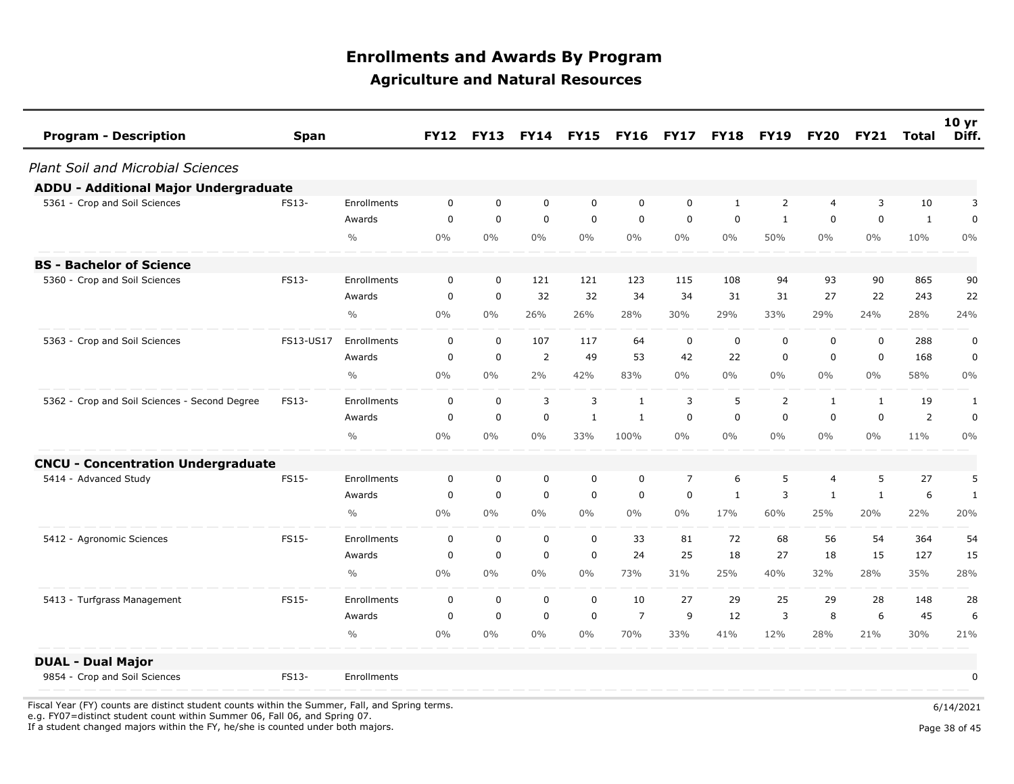| <b>Program - Description</b>                  | <b>Span</b> |               | <b>FY12</b>  | <b>FY13</b>    | <b>FY14</b>    | <b>FY15</b>  | <b>FY16</b>    | <b>FY17</b>    | <b>FY18</b>  | <b>FY19</b>    | <b>FY20</b>  | <b>FY21</b>  | Total        | 10 <sub>yr</sub><br>Diff. |
|-----------------------------------------------|-------------|---------------|--------------|----------------|----------------|--------------|----------------|----------------|--------------|----------------|--------------|--------------|--------------|---------------------------|
| <b>Plant Soil and Microbial Sciences</b>      |             |               |              |                |                |              |                |                |              |                |              |              |              |                           |
| <b>ADDU - Additional Major Undergraduate</b>  |             |               |              |                |                |              |                |                |              |                |              |              |              |                           |
| 5361 - Crop and Soil Sciences                 | FS13-       | Enrollments   | $\mathbf{0}$ | $\mathbf 0$    | $\mathbf 0$    | $\mathbf 0$  | $\mathbf 0$    | $\mathbf{0}$   | 1            | $\overline{2}$ | 4            | 3            | 10           | 3                         |
|                                               |             | Awards        | $\mathbf 0$  | $\overline{0}$ | $\mathbf 0$    | $\mathbf 0$  | $\mathbf 0$    | $\mathbf 0$    | $\mathbf 0$  | $\mathbf{1}$   | 0            | $\mathbf 0$  | $\mathbf{1}$ | $\mathbf 0$               |
|                                               |             | $\frac{0}{0}$ | $0\%$        | $0\%$          | $0\%$          | $0\%$        | $0\%$          | $0\%$          | $0\%$        | 50%            | $0\%$        | $0\%$        | 10%          | 0%                        |
| <b>BS - Bachelor of Science</b>               |             |               |              |                |                |              |                |                |              |                |              |              |              |                           |
| 5360 - Crop and Soil Sciences                 | FS13-       | Enrollments   | $\mathbf{0}$ | $\Omega$       | 121            | 121          | 123            | 115            | 108          | 94             | 93           | 90           | 865          | 90                        |
|                                               |             | Awards        | $\mathbf 0$  | $\mathbf 0$    | 32             | 32           | 34             | 34             | 31           | 31             | 27           | 22           | 243          | 22                        |
|                                               |             | $\frac{0}{0}$ | $0\%$        | $0\%$          | 26%            | 26%          | 28%            | 30%            | 29%          | 33%            | 29%          | 24%          | 28%          | 24%                       |
| 5363 - Crop and Soil Sciences                 | FS13-US17   | Enrollments   | $\mathbf{0}$ | $\Omega$       | 107            | 117          | 64             | $\Omega$       | $\mathbf 0$  | $\mathbf 0$    | 0            | $\Omega$     | 288          | $\mathbf 0$               |
|                                               |             | Awards        | $\mathbf 0$  | $\mathbf 0$    | $\overline{2}$ | 49           | 53             | 42             | 22           | 0              | 0            | $\mathbf 0$  | 168          | 0                         |
|                                               |             | $\frac{0}{0}$ | $0\%$        | $0\%$          | 2%             | 42%          | 83%            | $0\%$          | $0\%$        | $0\%$          | $0\%$        | 0%           | 58%          | $0\%$                     |
| 5362 - Crop and Soil Sciences - Second Degree | FS13-       | Enrollments   | $\mathbf 0$  | $\mathbf 0$    | 3              | $\mathbf{3}$ | $\mathbf{1}$   | 3              | 5            | $\overline{2}$ | $\mathbf{1}$ | $\mathbf{1}$ | 19           | $\mathbf{1}$              |
|                                               |             | Awards        | 0            | $\mathbf 0$    | $\mathbf 0$    | $\mathbf{1}$ | $\mathbf{1}$   | $\mathbf 0$    | $\mathbf 0$  | $\mathbf 0$    | 0            | $\mathbf 0$  | 2            | $\mathbf 0$               |
|                                               |             | $\frac{0}{0}$ | $0\%$        | $0\%$          | $0\%$          | 33%          | 100%           | $0\%$          | $0\%$        | $0\%$          | $0\%$        | 0%           | 11%          | $0\%$                     |
| <b>CNCU - Concentration Undergraduate</b>     |             |               |              |                |                |              |                |                |              |                |              |              |              |                           |
| 5414 - Advanced Study                         | FS15-       | Enrollments   | $\mathbf 0$  | $\mathbf 0$    | 0              | $\mathbf 0$  | 0              | $\overline{7}$ | 6            | 5              | 4            | 5            | 27           | 5                         |
|                                               |             | Awards        | $\mathbf 0$  | $\mathbf 0$    | $\mathbf 0$    | $\mathbf 0$  | $\mathbf 0$    | $\mathbf 0$    | $\mathbf{1}$ | 3              | $\mathbf{1}$ | 1            | 6            | $\mathbf{1}$              |
|                                               |             | $\frac{0}{0}$ | $0\%$        | $0\%$          | $0\%$          | 0%           | $0\%$          | $0\%$          | 17%          | 60%            | 25%          | 20%          | 22%          | 20%                       |
| 5412 - Agronomic Sciences                     | FS15-       | Enrollments   | $\mathbf 0$  | $\mathbf 0$    | $\mathbf 0$    | $\mathbf 0$  | 33             | 81             | 72           | 68             | 56           | 54           | 364          | 54                        |
|                                               |             | Awards        | $\mathbf 0$  | $\mathbf 0$    | $\mathbf 0$    | $\mathbf 0$  | 24             | 25             | 18           | 27             | 18           | 15           | 127          | 15                        |
|                                               |             | $\frac{0}{0}$ | $0\%$        | $0\%$          | $0\%$          | $0\%$        | 73%            | 31%            | 25%          | 40%            | 32%          | 28%          | 35%          | 28%                       |
| 5413 - Turfgrass Management                   | FS15-       | Enrollments   | $\mathbf 0$  | $\mathbf 0$    | $\mathbf 0$    | $\mathbf 0$  | 10             | 27             | 29           | 25             | 29           | 28           | 148          | 28                        |
|                                               |             | Awards        | $\Omega$     | $\mathbf 0$    | $\mathbf 0$    | $\mathbf 0$  | $\overline{7}$ | 9              | 12           | 3              | 8            | 6            | 45           | 6                         |
|                                               |             | $\frac{0}{0}$ | $0\%$        | $0\%$          | $0\%$          | $0\%$        | 70%            | 33%            | 41%          | 12%            | 28%          | 21%          | 30%          | 21%                       |
| <b>DUAL - Dual Major</b>                      |             |               |              |                |                |              |                |                |              |                |              |              |              |                           |
| 9854 - Crop and Soil Sciences                 | FS13-       | Enrollments   |              |                |                |              |                |                |              |                |              |              |              | 0                         |

Fiscal Year (FY) counts are distinct student counts within the Summer, Fall, and Spring terms.  $6/14/2021$ e.g. FY07=distinct student count within Summer 06, Fall 06, and Spring 07.

If a student changed majors within the FY, he/she is counted under both majors. Page 38 of 45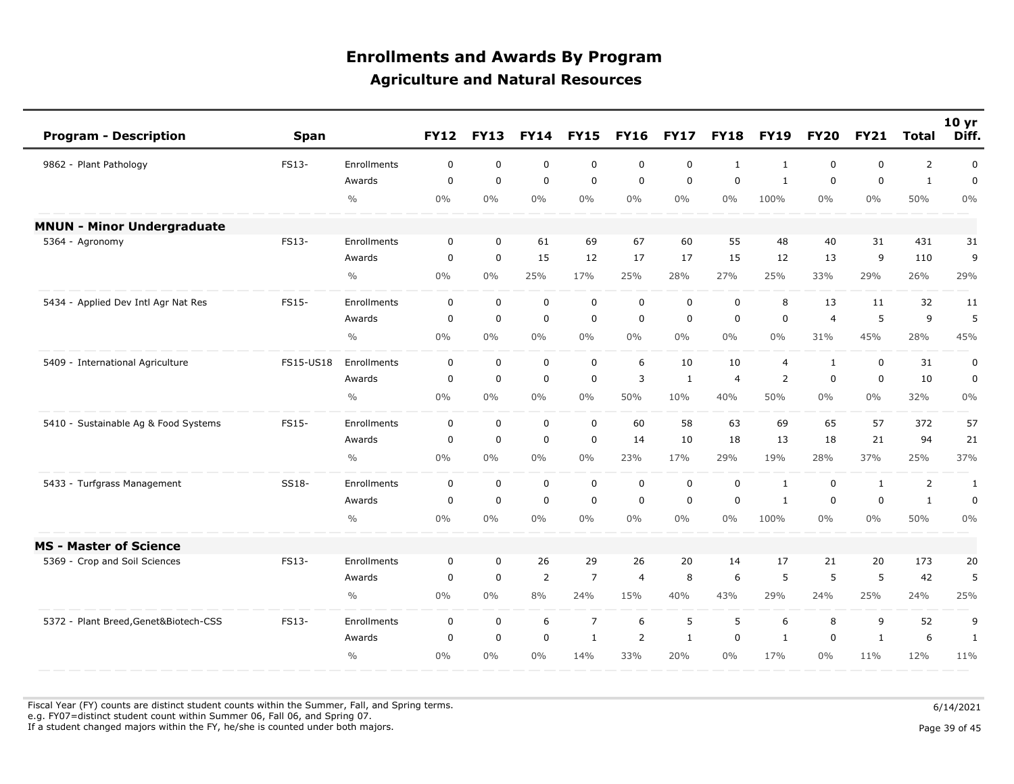| <b>Program - Description</b>          | <b>Span</b> |               | <b>FY12</b> | <b>FY13</b> | <b>FY14</b> | <b>FY15</b>    | <b>FY16</b>    | <b>FY17</b> | <b>FY18</b>  | <b>FY19</b>    | <b>FY20</b>  | <b>FY21</b>  | <b>Total</b>   | 10 <sub>yr</sub><br>Diff. |
|---------------------------------------|-------------|---------------|-------------|-------------|-------------|----------------|----------------|-------------|--------------|----------------|--------------|--------------|----------------|---------------------------|
| 9862 - Plant Pathology                | FS13-       | Enrollments   | 0           | $\mathbf 0$ | $\mathbf 0$ | 0              | $\mathbf 0$    | $\mathbf 0$ | $\mathbf{1}$ | 1              | 0            | $\mathbf 0$  | $\overline{2}$ | $\mathbf 0$               |
|                                       |             | Awards        | 0           | $\mathbf 0$ | $\mathbf 0$ | $\mathbf 0$    | 0              | 0           | 0            | 1              | 0            | $\mathbf 0$  | 1              | 0                         |
|                                       |             | $\frac{0}{0}$ | $0\%$       | $0\%$       | $0\%$       | $0\%$          | $0\%$          | $0\%$       | $0\%$        | 100%           | $0\%$        | $0\%$        | 50%            | 0%                        |
| <b>MNUN - Minor Undergraduate</b>     |             |               |             |             |             |                |                |             |              |                |              |              |                |                           |
| 5364 - Agronomy                       | FS13-       | Enrollments   | 0           | 0           | 61          | 69             | 67             | 60          | 55           | 48             | 40           | 31           | 431            | 31                        |
|                                       |             | Awards        | $\mathbf 0$ | $\mathbf 0$ | 15          | 12             | 17             | 17          | 15           | 12             | 13           | 9            | 110            | 9                         |
|                                       |             | $\frac{0}{0}$ | $0\%$       | 0%          | 25%         | 17%            | 25%            | 28%         | 27%          | 25%            | 33%          | 29%          | 26%            | 29%                       |
| 5434 - Applied Dev Intl Agr Nat Res   | FS15-       | Enrollments   | 0           | $\mathbf 0$ | $\mathbf 0$ | $\mathbf 0$    | $\mathbf 0$    | $\mathbf 0$ | $\mathbf 0$  | 8              | 13           | 11           | 32             | 11                        |
|                                       |             | Awards        | $\pmb{0}$   | $\mathbf 0$ | $\mathbf 0$ | $\mathbf 0$    | $\mathbf 0$    | $\pmb{0}$   | $\mathbf 0$  | $\mathbf 0$    | 4            | 5            | 9              | 5                         |
|                                       |             | $\frac{0}{0}$ | 0%          | $0\%$       | $0\%$       | $0\%$          | $0\%$          | $0\%$       | $0\%$        | $0\%$          | 31%          | 45%          | 28%            | 45%                       |
| 5409 - International Agriculture      | FS15-US18   | Enrollments   | 0           | $\mathbf 0$ | $\mathbf 0$ | 0              | 6              | 10          | 10           | $\overline{4}$ | $\mathbf{1}$ | $\mathbf 0$  | 31             | 0                         |
|                                       |             | Awards        | 0           | $\mathbf 0$ | $\mathbf 0$ | $\mathsf 0$    | 3              | 1           | 4            | 2              | 0            | $\mathbf 0$  | 10             | $\mathbf 0$               |
|                                       |             | $\frac{0}{0}$ | $0\%$       | $0\%$       | $0\%$       | $0\%$          | 50%            | 10%         | 40%          | 50%            | $0\%$        | $0\%$        | 32%            | $0\%$                     |
| 5410 - Sustainable Ag & Food Systems  | FS15-       | Enrollments   | $\mathbf 0$ | $\mathsf 0$ | $\mathbf 0$ | $\mathbf 0$    | 60             | 58          | 63           | 69             | 65           | 57           | 372            | 57                        |
|                                       |             | Awards        | 0           | $\mathbf 0$ | $\mathbf 0$ | $\mathbf 0$    | 14             | 10          | 18           | 13             | 18           | 21           | 94             | 21                        |
|                                       |             | $\frac{0}{0}$ | $0\%$       | $0\%$       | $0\%$       | $0\%$          | 23%            | 17%         | 29%          | 19%            | 28%          | 37%          | 25%            | 37%                       |
| 5433 - Turfgrass Management           | SS18-       | Enrollments   | 0           | $\mathbf 0$ | $\mathbf 0$ | 0              | 0              | $\mathbf 0$ | 0            | $\mathbf{1}$   | 0            | 1            | $\overline{2}$ | 1                         |
|                                       |             | Awards        | $\mathbf 0$ | $\mathbf 0$ | $\mathbf 0$ | $\mathbf 0$    | $\mathbf 0$    | $\mathbf 0$ | $\mathbf 0$  | $\mathbf{1}$   | 0            | $\mathbf 0$  | $\mathbf{1}$   | $\mathbf 0$               |
|                                       |             | $\frac{0}{0}$ | 0%          | $0\%$       | $0\%$       | $0\%$          | $0\%$          | $0\%$       | $0\%$        | 100%           | $0\%$        | 0%           | 50%            | $0\%$                     |
| <b>MS - Master of Science</b>         |             |               |             |             |             |                |                |             |              |                |              |              |                |                           |
| 5369 - Crop and Soil Sciences         | FS13-       | Enrollments   | 0           | $\mathbf 0$ | 26          | 29             | 26             | 20          | 14           | 17             | 21           | 20           | 173            | 20                        |
|                                       |             | Awards        | $\mathbf 0$ | $\mathbf 0$ | 2           | $\overline{7}$ | $\overline{4}$ | 8           | 6            | 5              | 5            | 5            | 42             | 5                         |
|                                       |             | $\frac{0}{0}$ | $0\%$       | $0\%$       | 8%          | 24%            | 15%            | 40%         | 43%          | 29%            | 24%          | 25%          | 24%            | 25%                       |
| 5372 - Plant Breed, Genet&Biotech-CSS | FS13-       | Enrollments   | 0           | 0           | 6           | $\overline{7}$ | 6              | 5           | 5            | 6              | 8            | 9            | 52             | 9                         |
|                                       |             | Awards        | $\mathbf 0$ | $\mathbf 0$ | $\mathbf 0$ | $\mathbf{1}$   | $\overline{2}$ | 1           | $\mathbf 0$  | 1              | 0            | $\mathbf{1}$ | 6              | 1                         |
|                                       |             | $\frac{0}{0}$ | 0%          | $0\%$       | 0%          | 14%            | 33%            | 20%         | $0\%$        | 17%            | $0\%$        | 11%          | 12%            | 11%                       |

Fiscal Year (FY) counts are distinct student counts within the Summer, Fall, and Spring terms.  $6/14/2021$ e.g. FY07=distinct student count within Summer 06, Fall 06, and Spring 07.

If a student changed majors within the FY, he/she is counted under both majors. Page 39 of 45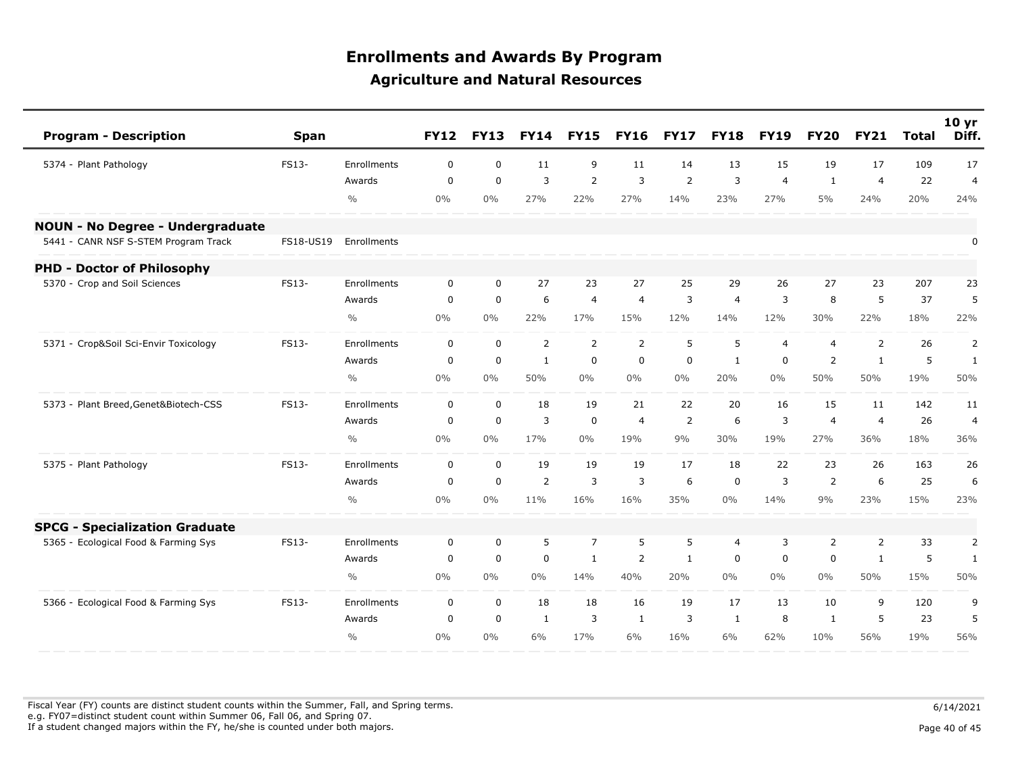| <b>Program - Description</b>            | <b>Span</b> |               | <b>FY12</b> | <b>FY13</b> | <b>FY14</b>    | <b>FY15</b>    | <b>FY16</b>    | <b>FY17</b>    | <b>FY18</b>    | <b>FY19</b>    | <b>FY20</b>    | <b>FY21</b>    | <b>Total</b> | 10 <sub>yr</sub><br>Diff. |
|-----------------------------------------|-------------|---------------|-------------|-------------|----------------|----------------|----------------|----------------|----------------|----------------|----------------|----------------|--------------|---------------------------|
| 5374 - Plant Pathology                  | FS13-       | Enrollments   | 0           | $\mathbf 0$ | 11             | 9              | 11             | 14             | 13             | 15             | 19             | 17             | 109          | 17                        |
|                                         |             | Awards        | $\mathbf 0$ | $\mathbf 0$ | 3              | $\overline{2}$ | 3              | $\overline{2}$ | 3              | $\overline{4}$ | $\mathbf{1}$   | $\overline{4}$ | 22           | $\overline{4}$            |
|                                         |             | $\frac{0}{0}$ | $0\%$       | 0%          | 27%            | 22%            | 27%            | 14%            | 23%            | 27%            | $5\%$          | 24%            | 20%          | 24%                       |
| <b>NOUN - No Degree - Undergraduate</b> |             |               |             |             |                |                |                |                |                |                |                |                |              |                           |
| 5441 - CANR NSF S-STEM Program Track    | FS18-US19   | Enrollments   |             |             |                |                |                |                |                |                |                |                |              | $\pmb{0}$                 |
| <b>PHD - Doctor of Philosophy</b>       |             |               |             |             |                |                |                |                |                |                |                |                |              |                           |
| 5370 - Crop and Soil Sciences           | FS13-       | Enrollments   | 0           | $\mathbf 0$ | 27             | 23             | 27             | 25             | 29             | 26             | 27             | 23             | 207          | 23                        |
|                                         |             | Awards        | $\mathbf 0$ | $\mathbf 0$ | 6              | $\overline{4}$ | $\overline{4}$ | 3              | $\overline{4}$ | 3              | 8              | 5              | 37           | 5                         |
|                                         |             | $\frac{0}{0}$ | $0\%$       | $0\%$       | 22%            | 17%            | 15%            | 12%            | 14%            | 12%            | 30%            | 22%            | 18%          | 22%                       |
| 5371 - Crop&Soil Sci-Envir Toxicology   | FS13-       | Enrollments   | $\mathbf 0$ | $\mathbf 0$ | $\overline{2}$ | $\overline{2}$ | $\overline{2}$ | 5              | 5              | $\overline{4}$ | $\overline{4}$ | 2              | 26           | 2                         |
|                                         |             | Awards        | $\mathbf 0$ | $\mathbf 0$ | $\mathbf{1}$   | $\mathbf 0$    | $\mathbf 0$    | $\mathbf 0$    | 1              | $\mathbf 0$    | $\overline{2}$ | $\mathbf{1}$   | 5            | 1                         |
|                                         |             | $\frac{0}{0}$ | 0%          | $0\%$       | 50%            | $0\%$          | $0\%$          | $0\%$          | 20%            | $0\%$          | 50%            | 50%            | 19%          | 50%                       |
| 5373 - Plant Breed, Genet&Biotech-CSS   | FS13-       | Enrollments   | 0           | $\mathsf 0$ | 18             | 19             | 21             | 22             | 20             | 16             | 15             | 11             | 142          | 11                        |
|                                         |             | Awards        | $\mathbf 0$ | $\mathbf 0$ | 3              | $\mathbf 0$    | $\overline{4}$ | 2              | 6              | 3              | $\overline{4}$ | $\overline{4}$ | 26           | $\overline{4}$            |
|                                         |             | $\frac{0}{0}$ | 0%          | $0\%$       | 17%            | $0\%$          | 19%            | 9%             | 30%            | 19%            | 27%            | 36%            | 18%          | 36%                       |
| 5375 - Plant Pathology                  | FS13-       | Enrollments   | $\mathbf 0$ | $\mathbf 0$ | 19             | 19             | 19             | 17             | 18             | 22             | 23             | 26             | 163          | 26                        |
|                                         |             | Awards        | $\mathbf 0$ | $\mathbf 0$ | $\overline{2}$ | $\overline{3}$ | 3              | 6              | $\mathbf 0$    | 3              | 2              | 6              | 25           | 6                         |
|                                         |             | $\frac{0}{0}$ | 0%          | 0%          | 11%            | 16%            | 16%            | 35%            | $0\%$          | 14%            | 9%             | 23%            | 15%          | 23%                       |
| <b>SPCG - Specialization Graduate</b>   |             |               |             |             |                |                |                |                |                |                |                |                |              |                           |
| 5365 - Ecological Food & Farming Sys    | FS13-       | Enrollments   | $\mathbf 0$ | $\mathbf 0$ | 5              | $\overline{7}$ | 5              | 5              | $\overline{4}$ | 3              | $\overline{2}$ | 2              | 33           | $\overline{2}$            |
|                                         |             | Awards        | $\mathbf 0$ | $\mathbf 0$ | $\mathbf 0$    | $\mathbf{1}$   | 2              | $\mathbf{1}$   | $\mathbf 0$    | $\mathbf 0$    | 0              | $\mathbf{1}$   | 5            | $\mathbf{1}$              |
|                                         |             | $\frac{0}{0}$ | 0%          | $0\%$       | $0\%$          | 14%            | 40%            | 20%            | $0\%$          | $0\%$          | $0\%$          | 50%            | 15%          | 50%                       |
| 5366 - Ecological Food & Farming Sys    | FS13-       | Enrollments   | 0           | $\mathbf 0$ | 18             | 18             | 16             | 19             | 17             | 13             | 10             | 9              | 120          | 9                         |
|                                         |             | Awards        | $\Omega$    | $\mathbf 0$ | $\mathbf{1}$   | 3              | $\mathbf{1}$   | 3              | 1              | 8              | 1              | -5             | 23           | 5                         |
|                                         |             | $\frac{0}{0}$ | 0%          | $0\%$       | 6%             | 17%            | 6%             | 16%            | 6%             | 62%            | 10%            | 56%            | 19%          | 56%                       |

Fiscal Year (FY) counts are distinct student counts within the Summer, Fall, and Spring terms.  $6/14/2021$  e.g. FY07=distinct student count within Summer 06, Fall 06, and Spring 07. If a student changed majors within the FY, he/she is counted under both majors. Page 10 of 45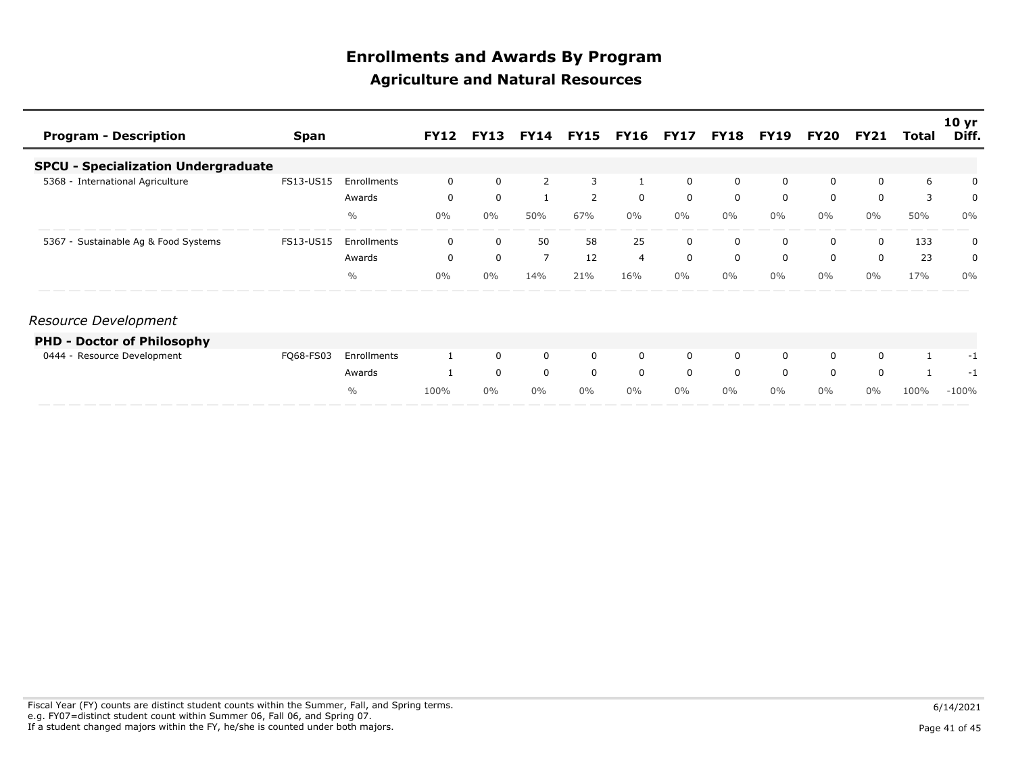| <b>Program - Description</b>               | <b>Span</b> |               | <b>FY12</b> | <b>FY13</b> |                |                | <b>FY14 FY15 FY16 FY17</b> |             | <b>FY18</b> | <b>FY19</b> | FY20  | <b>FY21</b>  | Total        | 10 <sub>yr</sub><br>Diff. |
|--------------------------------------------|-------------|---------------|-------------|-------------|----------------|----------------|----------------------------|-------------|-------------|-------------|-------|--------------|--------------|---------------------------|
| <b>SPCU - Specialization Undergraduate</b> |             |               |             |             |                |                |                            |             |             |             |       |              |              |                           |
| 5368 - International Agriculture           | FS13-US15   | Enrollments   | 0           | $\mathbf 0$ | 2              | 3              |                            | $\Omega$    | $\mathbf 0$ | $\mathbf 0$ | 0     | $\Omega$     | 6            | 0                         |
|                                            |             | Awards        | 0           | $\mathbf 0$ | 1              | $\overline{2}$ | $\mathbf 0$                | $\mathbf 0$ | $\mathbf 0$ | 0           | 0     | 0            | 3            | 0                         |
|                                            |             | $\frac{0}{0}$ | $0\%$       | $0\%$       | 50%            | 67%            | $0\%$                      | $0\%$       | $0\%$       | $0\%$       | $0\%$ | $0\%$        | 50%          | 0%                        |
| 5367 - Sustainable Ag & Food Systems       | FS13-US15   | Enrollments   | 0           | 0           | 50             | 58             | 25                         | $\Omega$    | 0           | 0           | 0     | 0            | 133          | 0                         |
|                                            |             | Awards        | 0           | $\mathbf 0$ | $\overline{7}$ | 12             | $\overline{4}$             | $\mathbf 0$ | $\mathbf 0$ | $\mathbf 0$ | 0     | $\mathbf 0$  | 23           | 0                         |
|                                            |             | $\%$          | $0\%$       | $0\%$       | 14%            | 21%            | 16%                        | $0\%$       | $0\%$       | $0\%$       | $0\%$ | $0\%$        | 17%          | $0\%$                     |
| Resource Development                       |             |               |             |             |                |                |                            |             |             |             |       |              |              |                           |
| <b>PHD - Doctor of Philosophy</b>          |             |               |             |             |                |                |                            |             |             |             |       |              |              |                           |
| 0444 - Resource Development                | FQ68-FS03   | Enrollments   |             | $\mathbf 0$ | $\mathbf 0$    | $\mathbf{0}$   | 0                          | $\mathbf 0$ | $\mathbf 0$ | $\mathbf 0$ | 0     | 0            | $\mathbf{1}$ | -1                        |
|                                            |             | Awards        |             | $\mathbf 0$ | $\mathbf 0$    | $\mathbf 0$    | $\mathbf 0$                | $\Omega$    | $\Omega$    | $\Omega$    | 0     | $\mathbf{0}$ | $\mathbf{1}$ | -1                        |
|                                            |             | $\frac{0}{0}$ | 100%        | $0\%$       | $0\%$          | $0\%$          | $0\%$                      | $0\%$       | $0\%$       | $0\%$       | $0\%$ | $0\%$        | 100%         | $-100%$                   |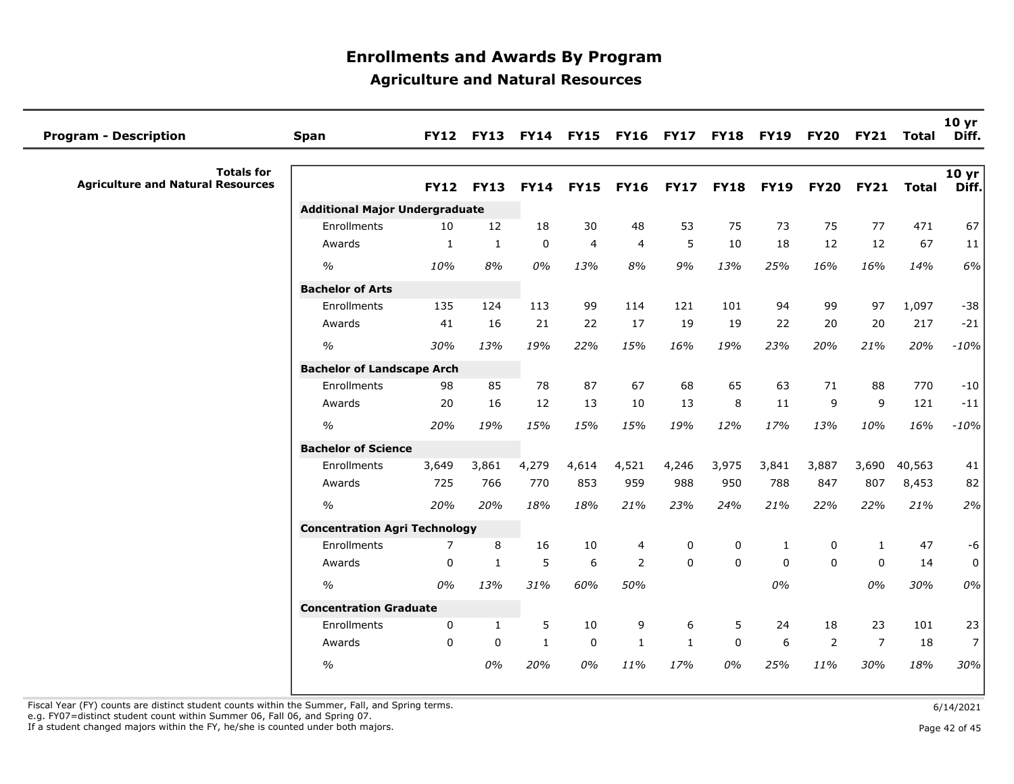| <b>Program - Description</b>                                  | Span                                  | <b>FY12</b>  | <b>FY13</b>  |              | <b>FY14 FY15</b> | <b>FY16</b>    | <b>FY17</b>  | <b>FY18</b> | <b>FY19</b> | <b>FY20</b>    | <b>FY21</b>    | Total        | 10 <sub>yr</sub><br>Diff. |
|---------------------------------------------------------------|---------------------------------------|--------------|--------------|--------------|------------------|----------------|--------------|-------------|-------------|----------------|----------------|--------------|---------------------------|
| <b>Totals for</b><br><b>Agriculture and Natural Resources</b> |                                       | <b>FY12</b>  | <b>FY13</b>  | <b>FY14</b>  | <b>FY15</b>      | <b>FY16</b>    | <b>FY17</b>  | <b>FY18</b> | <b>FY19</b> | <b>FY20</b>    | <b>FY21</b>    | <b>Total</b> | 10 yr<br>Diff.            |
|                                                               | <b>Additional Major Undergraduate</b> |              |              |              |                  |                |              |             |             |                |                |              |                           |
|                                                               | Enrollments                           | 10           | 12           | 18           | 30               | 48             | 53           | 75          | 73          | 75             | 77             | 471          | 67                        |
|                                                               | Awards                                | $\mathbf{1}$ | $\mathbf{1}$ | $\mathbf 0$  | $\overline{4}$   | $\overline{4}$ | 5            | 10          | 18          | 12             | 12             | 67           | 11                        |
|                                                               | $\%$                                  | 10%          | 8%           | $0\%$        | 13%              | 8%             | 9%           | 13%         | 25%         | 16%            | 16%            | 14%          | 6%                        |
|                                                               | <b>Bachelor of Arts</b>               |              |              |              |                  |                |              |             |             |                |                |              |                           |
|                                                               | Enrollments                           | 135          | 124          | 113          | 99               | 114            | 121          | 101         | 94          | 99             | 97             | 1,097        | $-38$                     |
|                                                               | Awards                                | 41           | 16           | 21           | 22               | 17             | 19           | 19          | 22          | 20             | 20             | 217          | $-21$                     |
|                                                               | $\%$                                  | 30%          | 13%          | 19%          | 22%              | 15%            | 16%          | 19%         | 23%         | 20%            | 21%            | 20%          | $-10%$                    |
|                                                               | <b>Bachelor of Landscape Arch</b>     |              |              |              |                  |                |              |             |             |                |                |              |                           |
|                                                               | Enrollments                           | 98           | 85           | 78           | 87               | 67             | 68           | 65          | 63          | 71             | 88             | 770          | $-10$                     |
|                                                               | Awards                                | 20           | 16           | 12           | 13               | 10             | 13           | 8           | 11          | 9              | 9              | 121          | $-11$                     |
|                                                               | $\frac{0}{0}$                         | 20%          | 19%          | 15%          | 15%              | 15%            | 19%          | 12%         | 17%         | 13%            | 10%            | 16%          | $-10%$                    |
|                                                               | <b>Bachelor of Science</b>            |              |              |              |                  |                |              |             |             |                |                |              |                           |
|                                                               | Enrollments                           | 3,649        | 3,861        | 4,279        | 4,614            | 4,521          | 4,246        | 3,975       | 3,841       | 3,887          | 3,690          | 40,563       | 41                        |
|                                                               | Awards                                | 725          | 766          | 770          | 853              | 959            | 988          | 950         | 788         | 847            | 807            | 8,453        | 82                        |
|                                                               | $\frac{1}{2}$                         | 20%          | 20%          | 18%          | 18%              | 21%            | 23%          | 24%         | 21%         | 22%            | 22%            | 21%          | 2%                        |
|                                                               | <b>Concentration Agri Technology</b>  |              |              |              |                  |                |              |             |             |                |                |              |                           |
|                                                               | Enrollments                           | 7            | 8            | 16           | 10               | 4              | 0            | 0           | 1           | 0              | 1              | 47           | $-6$                      |
|                                                               | Awards                                | 0            | 1            | 5            | 6                | 2              | $\Omega$     | $\Omega$    | $\Omega$    | $\Omega$       | $\mathbf{0}$   | 14           | $\mathsf{O}\xspace$       |
|                                                               | $\%$                                  | 0%           | 13%          | 31%          | 60%              | 50%            |              |             | 0%          |                | 0%             | 30%          | 0%                        |
|                                                               | <b>Concentration Graduate</b>         |              |              |              |                  |                |              |             |             |                |                |              |                           |
|                                                               | Enrollments                           | $\Omega$     | $\mathbf{1}$ | 5            | 10               | 9              | 6            | 5           | 24          | 18             | 23             | 101          | 23                        |
|                                                               | Awards                                | $\Omega$     | $\Omega$     | $\mathbf{1}$ | 0                | $\mathbf{1}$   | $\mathbf{1}$ | $\mathbf 0$ | 6           | $\overline{2}$ | $\overline{7}$ | 18           | 7 <sup>1</sup>            |
|                                                               | $\%$                                  |              | 0%           | 20%          | 0%               | 11%            | 17%          | 0%          | 25%         | 11%            | 30%            | 18%          | 30%                       |

Fiscal Year (FY) counts are distinct student counts within the Summer, Fall, and Spring terms.<br>e.g. FY07=distinct student count within Summer 06, Fall 06, and Spring 07.

If a student changed majors within the FY, he/she is counted under both majors. Page 42 of 45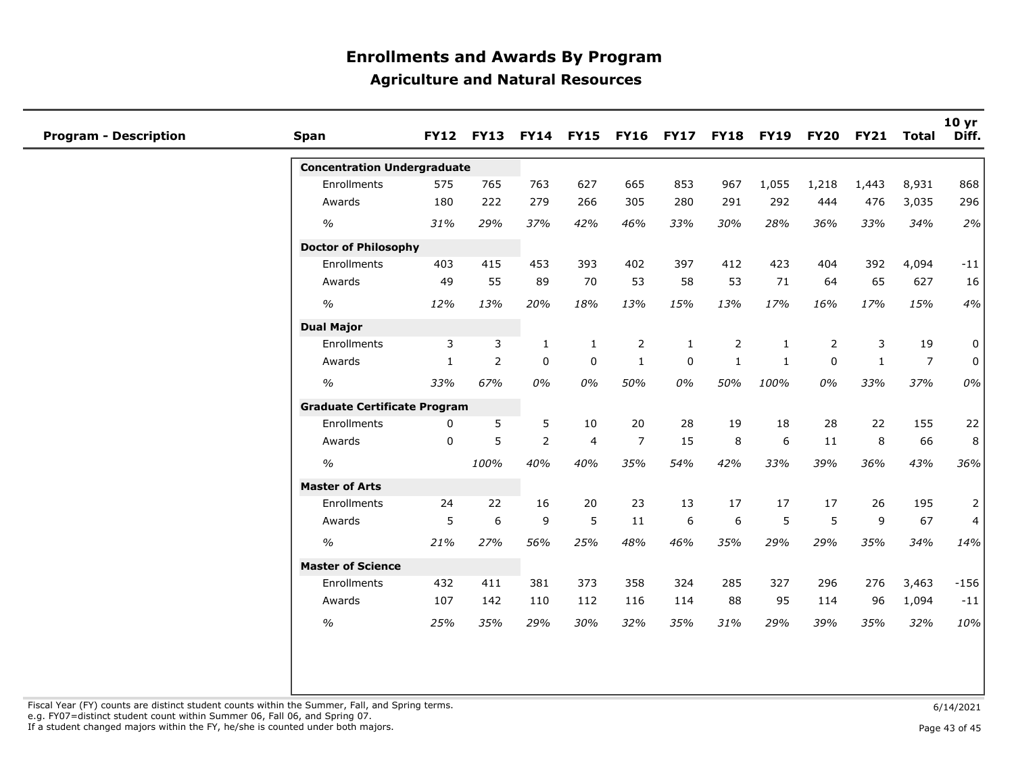| <b>Program - Description</b> | Span                                | <b>FY12</b>  |                  |                |                |                |             | FY13 FY14 FY15 FY16 FY17 FY18 FY19 FY20 |              |             | <b>FY21</b>  | <b>Total</b>   | 10 yr<br>Diff. |
|------------------------------|-------------------------------------|--------------|------------------|----------------|----------------|----------------|-------------|-----------------------------------------|--------------|-------------|--------------|----------------|----------------|
|                              | <b>Concentration Undergraduate</b>  |              |                  |                |                |                |             |                                         |              |             |              |                |                |
|                              | Enrollments                         | 575          | 765              | 763            | 627            | 665            | 853         | 967                                     | 1,055        | 1,218       | 1,443        | 8,931          | 868            |
|                              | Awards                              | 180          | 222              | 279            | 266            | 305            | 280         | 291                                     | 292          | 444         | 476          | 3,035          | 296            |
|                              | $\frac{1}{2}$                       | 31%          | 29%              | 37%            | 42%            | 46%            | 33%         | 30%                                     | 28%          | 36%         | 33%          | 34%            | 2%             |
|                              | <b>Doctor of Philosophy</b>         |              |                  |                |                |                |             |                                         |              |             |              |                |                |
|                              | Enrollments                         | 403          | 415              | 453            | 393            | 402            | 397         | 412                                     | 423          | 404         | 392          | 4,094          | $-11$          |
|                              | Awards                              | 49           | 55               | 89             | 70             | 53             | 58          | 53                                      | 71           | 64          | 65           | 627            | 16             |
|                              | $\%$                                | 12%          | 13%              | 20%            | 18%            | 13%            | 15%         | 13%                                     | 17%          | 16%         | 17%          | 15%            | 4%             |
|                              | <b>Dual Major</b>                   |              |                  |                |                |                |             |                                         |              |             |              |                |                |
|                              | Enrollments                         | 3            | 3                | 1              | 1              | $\overline{2}$ | 1           | $\overline{2}$                          | 1            | 2           | 3            | 19             | 0              |
|                              | Awards                              | 1            | $\overline{2}$   | $\mathbf 0$    | $\mathbf 0$    | $\mathbf{1}$   | $\mathbf 0$ | $\mathbf{1}$                            | $\mathbf{1}$ | $\mathbf 0$ | $\mathbf{1}$ | $\overline{7}$ | 0              |
|                              | $\frac{1}{2}$                       | 33%          | 67%              | 0%             | 0%             | 50%            | 0%          | 50%                                     | 100%         | 0%          | 33%          | 37%            | 0%             |
|                              | <b>Graduate Certificate Program</b> |              |                  |                |                |                |             |                                         |              |             |              |                |                |
|                              | Enrollments                         | $\mathbf{0}$ | 5                | 5              | 10             | 20             | 28          | 19                                      | 18           | 28          | 22           | 155            | 22             |
|                              | Awards                              | $\Omega$     | 5                | $\overline{2}$ | $\overline{4}$ | $\overline{7}$ | 15          | 8                                       | 6            | 11          | 8            | 66             | 8              |
|                              | $\frac{o}{o}$                       |              | 100%             | 40%            | 40%            | 35%            | 54%         | 42%                                     | 33%          | 39%         | 36%          | 43%            | 36%            |
|                              | <b>Master of Arts</b>               |              |                  |                |                |                |             |                                         |              |             |              |                |                |
|                              | Enrollments                         | 24           | 22               | 16             | 20             | 23             | 13          | 17                                      | 17           | 17          | 26           | 195            | 2              |
|                              | Awards                              | 5            | $\boldsymbol{6}$ | 9              | 5              | 11             | 6           | 6                                       | 5            | 5           | 9            | 67             | 4              |
|                              | $\%$                                | 21%          | 27%              | 56%            | 25%            | 48%            | 46%         | 35%                                     | 29%          | 29%         | 35%          | 34%            | 14%            |
|                              | <b>Master of Science</b>            |              |                  |                |                |                |             |                                         |              |             |              |                |                |
|                              | Enrollments                         | 432          | 411              | 381            | 373            | 358            | 324         | 285                                     | 327          | 296         | 276          | 3,463          | $-156$         |
|                              | Awards                              | 107          | 142              | 110            | 112            | 116            | 114         | 88                                      | 95           | 114         | 96           | 1,094          | $-11$          |
|                              | $\%$                                | 25%          | 35%              | 29%            | 30%            | 32%            | 35%         | 31%                                     | 29%          | 39%         | 35%          | 32%            | 10%            |
|                              |                                     |              |                  |                |                |                |             |                                         |              |             |              |                |                |

Fiscal Year (FY) counts are distinct student counts within the Summer, Fall, and Spring terms.<br>e.g. FY07=distinct student count within Summer 06, Fall 06, and Spring 07.

If a student changed majors within the FY, he/she is counted under both majors. Page 13 of 45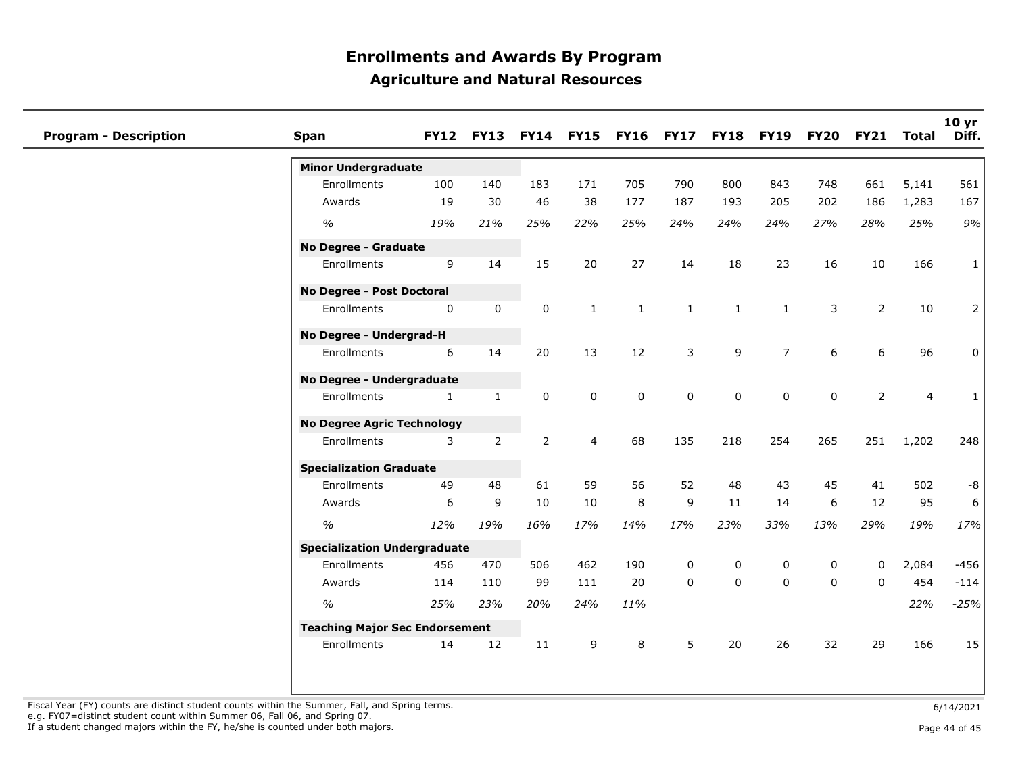| <b>Program - Description</b> | Span                                  |              | <b>FY12 FY13</b> |                | <b>FY14 FY15</b> |              | FY16 FY17 FY18 FY19 |           |                | <b>FY20</b>      | FY21 Total     |                         | 10 yr<br>Diff. |
|------------------------------|---------------------------------------|--------------|------------------|----------------|------------------|--------------|---------------------|-----------|----------------|------------------|----------------|-------------------------|----------------|
|                              | <b>Minor Undergraduate</b>            |              |                  |                |                  |              |                     |           |                |                  |                |                         |                |
|                              | Enrollments                           | 100          | 140              | 183            | 171              | 705          | 790                 | 800       | 843            | 748              | 661            | 5,141                   | 561            |
|                              | Awards                                | 19           | 30               | 46             | 38               | 177          | 187                 | 193       | 205            | 202              | 186            | 1,283                   | 167            |
|                              | $\%$                                  | 19%          | 21%              | 25%            | 22%              | 25%          | 24%                 | 24%       | 24%            | 27%              | 28%            | 25%                     | 9%             |
|                              | <b>No Degree - Graduate</b>           |              |                  |                |                  |              |                     |           |                |                  |                |                         |                |
|                              | Enrollments                           | 9            | 14               | 15             | 20               | 27           | 14                  | 18        | 23             | 16               | 10             | 166                     | $\mathbf{1}$   |
|                              | No Degree - Post Doctoral             |              |                  |                |                  |              |                     |           |                |                  |                |                         |                |
|                              | Enrollments                           | 0            | 0                | 0              | $\mathbf{1}$     | $\mathbf{1}$ | $\mathbf{1}$        | 1         | $\mathbf{1}$   | 3                | $\overline{2}$ | 10                      | $\overline{2}$ |
|                              | No Degree - Undergrad-H               |              |                  |                |                  |              |                     |           |                |                  |                |                         |                |
|                              | Enrollments                           | 6            | 14               | 20             | 13               | 12           | 3                   | 9         | $\overline{7}$ | 6                | 6              | 96                      | 0              |
|                              | No Degree - Undergraduate             |              |                  |                |                  |              |                     |           |                |                  |                |                         |                |
|                              | Enrollments                           | $\mathbf{1}$ | $\mathbf{1}$     | 0              | 0                | $\pmb{0}$    | $\mathbf 0$         | $\pmb{0}$ | 0              | $\mathbf 0$      | $\overline{2}$ | $\overline{\mathbf{4}}$ | $\mathbf{1}$   |
|                              | <b>No Degree Agric Technology</b>     |              |                  |                |                  |              |                     |           |                |                  |                |                         |                |
|                              | Enrollments                           | 3            | $\overline{2}$   | $\overline{2}$ | $\overline{4}$   | 68           | 135                 | 218       | 254            | 265              | 251            | 1,202                   | 248            |
|                              | <b>Specialization Graduate</b>        |              |                  |                |                  |              |                     |           |                |                  |                |                         |                |
|                              | Enrollments                           | 49           | 48               | 61             | 59               | 56           | 52                  | 48        | 43             | 45               | 41             | 502                     | $-8$           |
|                              | Awards                                | 6            | $\mathsf 9$      | 10             | 10               | 8            | 9                   | 11        | 14             | $\boldsymbol{6}$ | 12             | 95                      | 6              |
|                              | $\frac{0}{0}$                         | 12%          | 19%              | 16%            | 17%              | 14%          | 17%                 | 23%       | 33%            | 13%              | 29%            | 19%                     | 17%            |
|                              | <b>Specialization Undergraduate</b>   |              |                  |                |                  |              |                     |           |                |                  |                |                         |                |
|                              | Enrollments                           | 456          | 470              | 506            | 462              | 190          | 0                   | 0         | 0              | 0                | $\mathbf 0$    | 2,084                   | $-456$         |
|                              | Awards                                | 114          | 110              | 99             | 111              | 20           | $\Omega$            | $\Omega$  | $\Omega$       | $\mathbf 0$      | $\Omega$       | 454                     | $-114$         |
|                              | $\frac{0}{0}$                         | 25%          | 23%              | 20%            | 24%              | 11%          |                     |           |                |                  |                | 22%                     | $-25%$         |
|                              | <b>Teaching Major Sec Endorsement</b> |              |                  |                |                  |              |                     |           |                |                  |                |                         |                |
|                              | Enrollments                           | 14           | 12               | 11             | 9                | 8            | 5                   | 20        | 26             | 32               | 29             | 166                     | 15             |
|                              |                                       |              |                  |                |                  |              |                     |           |                |                  |                |                         |                |

Fiscal Year (FY) counts are distinct student counts within the Summer, Fall, and Spring terms.<br>e.g. FY07=distinct student count within Summer 06, Fall 06, and Spring 07.

If a student changed majors within the FY, he/she is counted under both majors. Page 44 of 45